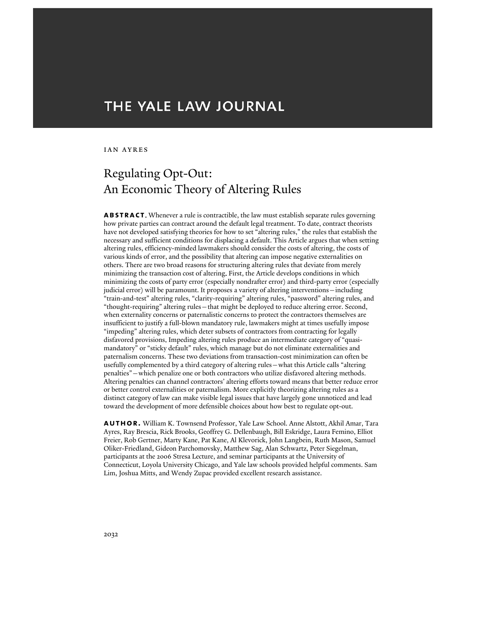# THE YALE LAW JOURNAL

#### Ian Ayres

# Regulating Opt-Out: An Economic Theory of Altering Rules

**abstract**. Whenever a rule is contractible, the law must establish separate rules governing how private parties can contract around the default legal treatment. To date, contract theorists have not developed satisfying theories for how to set "altering rules," the rules that establish the necessary and sufficient conditions for displacing a default. This Article argues that when setting altering rules, efficiency-minded lawmakers should consider the costs of altering, the costs of various kinds of error, and the possibility that altering can impose negative externalities on others. There are two broad reasons for structuring altering rules that deviate from merely minimizing the transaction cost of altering. First, the Article develops conditions in which minimizing the costs of party error (especially nondrafter error) and third-party error (especially judicial error) will be paramount. It proposes a variety of altering interventions—including "train-and-test" altering rules, "clarity-requiring" altering rules, "password" altering rules, and "thought-requiring" altering rules—that might be deployed to reduce altering error. Second, when externality concerns or paternalistic concerns to protect the contractors themselves are insufficient to justify a full-blown mandatory rule, lawmakers might at times usefully impose "impeding" altering rules, which deter subsets of contractors from contracting for legally disfavored provisions. Impeding altering rules produce an intermediate category of "quasimandatory" or "sticky default" rules, which manage but do not eliminate externalities and paternalism concerns. These two deviations from transaction-cost minimization can often be usefully complemented by a third category of altering rules—what this Article calls "altering penalties"—which penalize one or both contractors who utilize disfavored altering methods. Altering penalties can channel contractors' altering efforts toward means that better reduce error or better control externalities or paternalism. More explicitly theorizing altering rules as a distinct category of law can make visible legal issues that have largely gone unnoticed and lead toward the development of more defensible choices about how best to regulate opt-out.

**author.** William K. Townsend Professor, Yale Law School. Anne Alstott, Akhil Amar, Tara Ayres, Ray Brescia, Rick Brooks, Geoffrey G. Dellenbaugh, Bill Eskridge, Laura Femino, Elliot Freier, Rob Gertner, Marty Kane, Pat Kane, Al Klevorick, John Langbein, Ruth Mason, Samuel Oliker-Friedland, Gideon Parchomovsky, Matthew Sag, Alan Schwartz, Peter Siegelman, participants at the 2006 Stresa Lecture, and seminar participants at the University of Connecticut, Loyola University Chicago, and Yale law schools provided helpful comments. Sam Lim, Joshua Mitts, and Wendy Zupac provided excellent research assistance.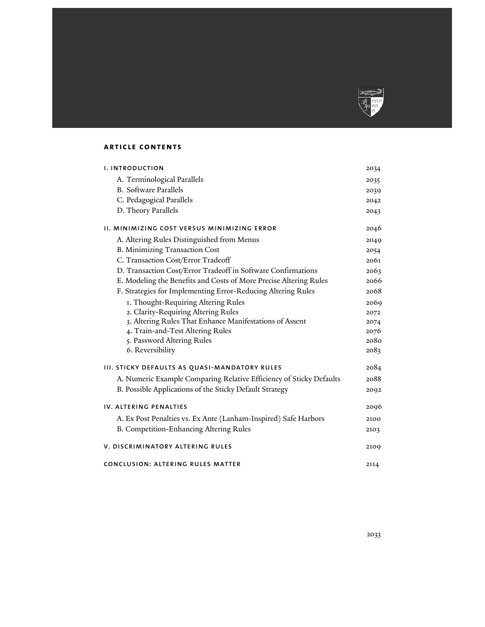

# **article contents**

| <b>I. INTRODUCTION</b>                                              | 2034 |
|---------------------------------------------------------------------|------|
| A. Terminological Parallels                                         | 2035 |
| <b>B.</b> Software Parallels                                        | 2039 |
| C. Pedagogical Parallels                                            | 2042 |
| D. Theory Parallels                                                 | 2043 |
| II. MINIMIZING COST VERSUS MINIMIZING ERROR                         | 2046 |
| A. Altering Rules Distinguished from Menus                          | 2049 |
| <b>B. Minimizing Transaction Cost</b>                               | 2054 |
| C. Transaction Cost/Error Tradeoff                                  | 2061 |
| D. Transaction Cost/Error Tradeoff in Software Confirmations        | 2063 |
| E. Modeling the Benefits and Costs of More Precise Altering Rules   | 2066 |
| F. Strategies for Implementing Error-Reducing Altering Rules        | 2068 |
| 1. Thought-Requiring Altering Rules                                 | 2069 |
| 2. Clarity-Requiring Altering Rules                                 | 2072 |
| 3. Altering Rules That Enhance Manifestations of Assent             | 2074 |
| 4. Train-and-Test Altering Rules                                    | 2076 |
| 5. Password Altering Rules                                          | 2080 |
| 6. Reversibility                                                    | 2083 |
| <b>III. STICKY DEFAULTS AS QUASI-MANDATORY RULES</b>                | 2084 |
| A. Numeric Example Comparing Relative Efficiency of Sticky Defaults | 2088 |
| B. Possible Applications of the Sticky Default Strategy             | 2092 |
| IV. ALTERING PENALTIES                                              | 2096 |
| A. Ex Post Penalties vs. Ex Ante (Lanham-Inspired) Safe Harbors     | 2100 |
| B. Competition-Enhancing Altering Rules                             | 2103 |
| V. DISCRIMINATORY ALTERING RULES                                    | 2109 |
| CONCLUSION: ALTERING RULES MATTER                                   | 2114 |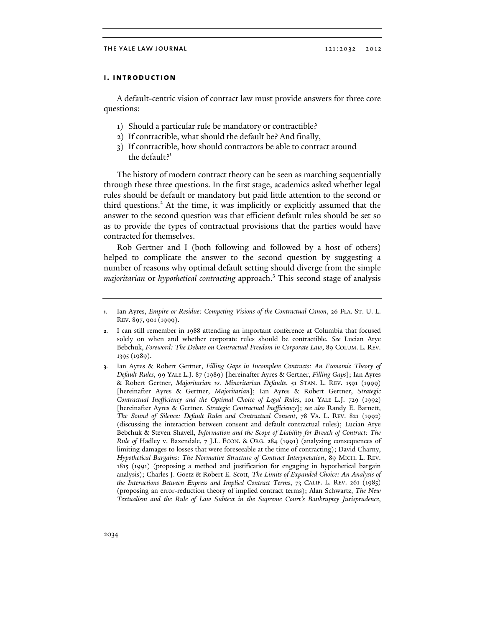## **i. introduction**

A default-centric vision of contract law must provide answers for three core questions:

- 1) Should a particular rule be mandatory or contractible?
- 2) If contractible, what should the default be? And finally,
- 3) If contractible, how should contractors be able to contract around the default? $1$

The history of modern contract theory can be seen as marching sequentially through these three questions. In the first stage, academics asked whether legal rules should be default or mandatory but paid little attention to the second or third questions.<sup>2</sup> At the time, it was implicitly or explicitly assumed that the answer to the second question was that efficient default rules should be set so as to provide the types of contractual provisions that the parties would have contracted for themselves.

Rob Gertner and I (both following and followed by a host of others) helped to complicate the answer to the second question by suggesting a number of reasons why optimal default setting should diverge from the simple *majoritarian* or *hypothetical contracting* approach.<sup>3</sup> This second stage of analysis

**3.** Ian Ayres & Robert Gertner, *Filling Gaps in Incomplete Contracts: An Economic Theory of Default Rules*, 99 YALE L.J. 87 (1989) [hereinafter Ayres & Gertner, *Filling Gaps*]; Ian Ayres & Robert Gertner, *Majoritarian vs. Minoritarian Defaults*, 51 STAN. L. REV. 1591 (1999) [hereinafter Ayres & Gertner, *Majoritarian*]; Ian Ayres & Robert Gertner, *Strategic Contractual Inefficiency and the Optimal Choice of Legal Rules*, 101 YALE L.J. 729 (1992) [hereinafter Ayres & Gertner, *Strategic Contractual Inefficiency*]; *see also* Randy E. Barnett, *The Sound of Silence: Default Rules and Contractual Consent*, 78 VA. L. REV. 821 (1992) (discussing the interaction between consent and default contractual rules); Lucian Arye Bebchuk & Steven Shavell, *Information and the Scope of Liability for Breach of Contract: The Rule of* Hadley v. Baxendale, 7 J.L. ECON. & ORG. 284 (1991) (analyzing consequences of limiting damages to losses that were foreseeable at the time of contracting); David Charny, *Hypothetical Bargains: The Normative Structure of Contract Interpretation*, 89 MICH. L. REV. 1815 (1991) (proposing a method and justification for engaging in hypothetical bargain analysis); Charles J. Goetz & Robert E. Scott, *The Limits of Expanded Choice: An Analysis of the Interactions Between Express and Implied Contract Terms*, 73 CALIF. L. REV. 261 (1985) (proposing an error-reduction theory of implied contract terms); Alan Schwartz, *The New Textualism and the Rule of Law Subtext in the Supreme Court's Bankruptcy Jurisprudence*,

**<sup>1.</sup>** Ian Ayres, *Empire or Residue: Competing Visions of the Contractual Canon*, 26 FLA. ST. U. L. REV. 897, 901 (1999).

**<sup>2.</sup>** I can still remember in 1988 attending an important conference at Columbia that focused solely on when and whether corporate rules should be contractible. *See* Lucian Arye Bebchuk, *Foreword: The Debate on Contractual Freedom in Corporate Law*, 89 COLUM. L. REV. 1395 (1989).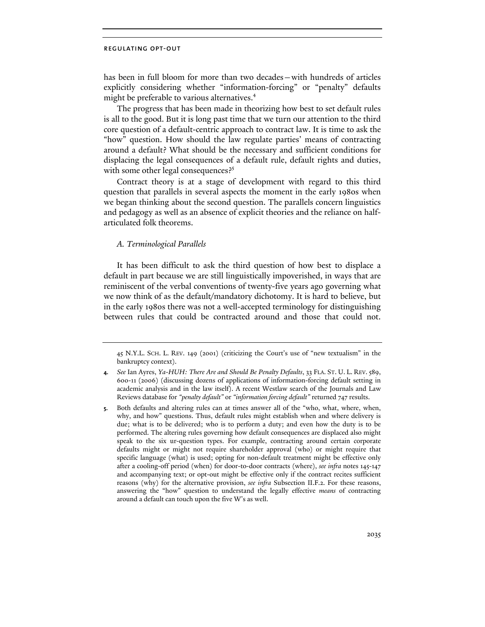has been in full bloom for more than two decades—with hundreds of articles explicitly considering whether "information-forcing" or "penalty" defaults might be preferable to various alternatives.<sup>4</sup>

The progress that has been made in theorizing how best to set default rules is all to the good. But it is long past time that we turn our attention to the third core question of a default-centric approach to contract law. It is time to ask the "how" question. How should the law regulate parties' means of contracting around a default? What should be the necessary and sufficient conditions for displacing the legal consequences of a default rule, default rights and duties, with some other legal consequences?<sup>5</sup>

Contract theory is at a stage of development with regard to this third question that parallels in several aspects the moment in the early 1980s when we began thinking about the second question. The parallels concern linguistics and pedagogy as well as an absence of explicit theories and the reliance on halfarticulated folk theorems.

## *A. Terminological Parallels*

It has been difficult to ask the third question of how best to displace a default in part because we are still linguistically impoverished, in ways that are reminiscent of the verbal conventions of twenty-five years ago governing what we now think of as the default/mandatory dichotomy. It is hard to believe, but in the early 1980s there was not a well-accepted terminology for distinguishing between rules that could be contracted around and those that could not.

<sup>45</sup> N.Y.L. SCH. L. REV. 149 (2001) (criticizing the Court's use of "new textualism" in the bankruptcy context).

**<sup>4.</sup>** *See* Ian Ayres, *Ya-HUH: There Are and Should Be Penalty Defaults*, 33 FLA. ST. U. L. REV. 589, 600-11 (2006) (discussing dozens of applications of information-forcing default setting in academic analysis and in the law itself). A recent Westlaw search of the Journals and Law Reviews database for *"penalty default"* or *"information forcing default"* returned 747 results.

**<sup>5.</sup>** Both defaults and altering rules can at times answer all of the "who, what, where, when, why, and how" questions. Thus, default rules might establish when and where delivery is due; what is to be delivered; who is to perform a duty; and even how the duty is to be performed. The altering rules governing how default consequences are displaced also might speak to the six ur-question types. For example, contracting around certain corporate defaults might or might not require shareholder approval (who) or might require that specific language (what) is used; opting for non-default treatment might be effective only after a cooling-off period (when) for door-to-door contracts (where), *see infra* notes 145-147 and accompanying text; or opt-out might be effective only if the contract recites sufficient reasons (why) for the alternative provision, *see infra* Subsection II.F.2. For these reasons, answering the "how" question to understand the legally effective *means* of contracting around a default can touch upon the five W's as well.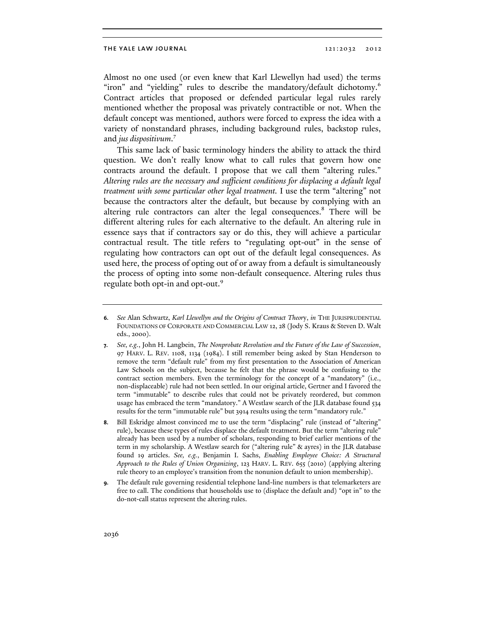Almost no one used (or even knew that Karl Llewellyn had used) the terms "iron" and "yielding" rules to describe the mandatory/default dichotomy.<sup>6</sup> Contract articles that proposed or defended particular legal rules rarely mentioned whether the proposal was privately contractible or not. When the default concept was mentioned, authors were forced to express the idea with a variety of nonstandard phrases, including background rules, backstop rules, and *jus dispositivum*. 7

This same lack of basic terminology hinders the ability to attack the third question. We don't really know what to call rules that govern how one contracts around the default. I propose that we call them "altering rules." *Altering rules are the necessary and sufficient conditions for displacing a default legal treatment with some particular other legal treatment.* I use the term "altering" not because the contractors alter the default, but because by complying with an altering rule contractors can alter the legal consequences.<sup>8</sup> There will be different altering rules for each alternative to the default. An altering rule in essence says that if contractors say or do this, they will achieve a particular contractual result. The title refers to "regulating opt-out" in the sense of regulating how contractors can opt out of the default legal consequences. As used here, the process of opting out of or away from a default is simultaneously the process of opting into some non-default consequence. Altering rules thus regulate both opt-in and opt-out.<sup>9</sup>

**<sup>6.</sup>** *See* Alan Schwartz, *Karl Llewellyn and the Origins of Contract Theor*y, *in* THE JURISPRUDENTIAL FOUNDATIONS OF CORPORATE AND COMMERCIAL LAW 12, 28 (Jody S. Kraus & Steven D. Walt eds., 2000).

**<sup>7.</sup>** *See, e.g.*, John H. Langbein, *The Nonprobate Revolution and the Future of the Law of Succession*, 97 HARV. L. REV. 1108, 1134 (1984). I still remember being asked by Stan Henderson to remove the term "default rule" from my first presentation to the Association of American Law Schools on the subject, because he felt that the phrase would be confusing to the contract section members. Even the terminology for the concept of a "mandatory" (i.e., non-displaceable) rule had not been settled. In our original article, Gertner and I favored the term "immutable" to describe rules that could not be privately reordered, but common usage has embraced the term "mandatory." A Westlaw search of the JLR database found 534 results for the term "immutable rule" but 3914 results using the term "mandatory rule."

**<sup>8.</sup>** Bill Eskridge almost convinced me to use the term "displacing" rule (instead of "altering" rule), because these types of rules displace the default treatment. But the term "altering rule" already has been used by a number of scholars, responding to brief earlier mentions of the term in my scholarship. A Westlaw search for ("altering rule" & ayres) in the JLR database found 19 articles. *See, e.g.*, Benjamin I. Sachs, *Enabling Employee Choice: A Structural Approach to the Rules of Union Organizing*, 123 HARV. L. REV. 655 (2010) (applying altering rule theory to an employee's transition from the nonunion default to union membership).

**<sup>9.</sup>** The default rule governing residential telephone land-line numbers is that telemarketers are free to call. The conditions that households use to (displace the default and) "opt in" to the do-not-call status represent the altering rules.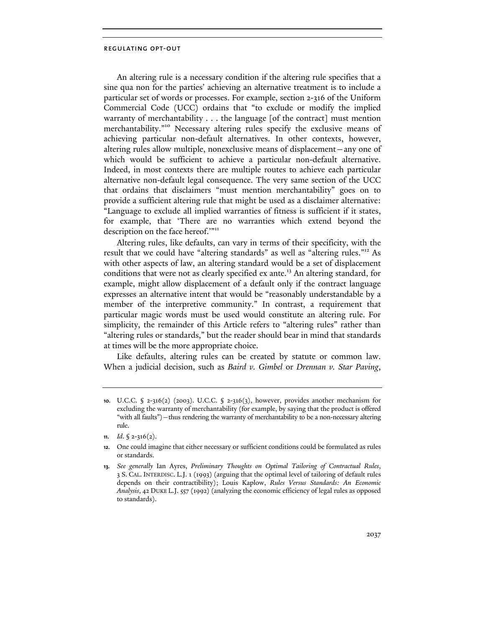An altering rule is a necessary condition if the altering rule specifies that a sine qua non for the parties' achieving an alternative treatment is to include a particular set of words or processes. For example, section 2-316 of the Uniform Commercial Code (UCC) ordains that "to exclude or modify the implied warranty of merchantability  $\dots$  the language [of the contract] must mention merchantability."<sup>10</sup> Necessary altering rules specify the exclusive means of achieving particular non-default alternatives. In other contexts, however, altering rules allow multiple, nonexclusive means of displacement—any one of which would be sufficient to achieve a particular non-default alternative. Indeed, in most contexts there are multiple routes to achieve each particular alternative non-default legal consequence. The very same section of the UCC that ordains that disclaimers "must mention merchantability" goes on to provide a sufficient altering rule that might be used as a disclaimer alternative: "Language to exclude all implied warranties of fitness is sufficient if it states, for example, that 'There are no warranties which extend beyond the description on the face hereof."<sup>11</sup>

Altering rules, like defaults, can vary in terms of their specificity, with the result that we could have "altering standards" as well as "altering rules."12 As with other aspects of law, an altering standard would be a set of displacement conditions that were not as clearly specified ex ante.<sup>13</sup> An altering standard, for example, might allow displacement of a default only if the contract language expresses an alternative intent that would be "reasonably understandable by a member of the interpretive community." In contrast, a requirement that particular magic words must be used would constitute an altering rule. For simplicity, the remainder of this Article refers to "altering rules" rather than "altering rules or standards," but the reader should bear in mind that standards at times will be the more appropriate choice.

Like defaults, altering rules can be created by statute or common law. When a judicial decision, such as *Baird v. Gimbel* or *Drennan v. Star Paving*,

**<sup>10.</sup>** U.C.C. § 2-316(2) (2003). U.C.C. § 2-316(3), however, provides another mechanism for excluding the warranty of merchantability (for example, by saying that the product is offered "with all faults")—thus rendering the warranty of merchantability to be a non-necessary altering rule.

**<sup>11.</sup>** *Id*. § 2-316(2).

**<sup>12.</sup>** One could imagine that either necessary or sufficient conditions could be formulated as rules or standards.

**<sup>13.</sup>** *See generally* Ian Ayres, *Preliminary Thoughts on Optimal Tailoring of Contractual Rules*, 3 S. CAL. INTERDISC. L.J. 1 (1993) (arguing that the optimal level of tailoring of default rules depends on their contractibility); Louis Kaplow, *Rules Versus Standards: An Economic Analysis*, 42 DUKE L.J. 557 (1992) (analyzing the economic efficiency of legal rules as opposed to standards).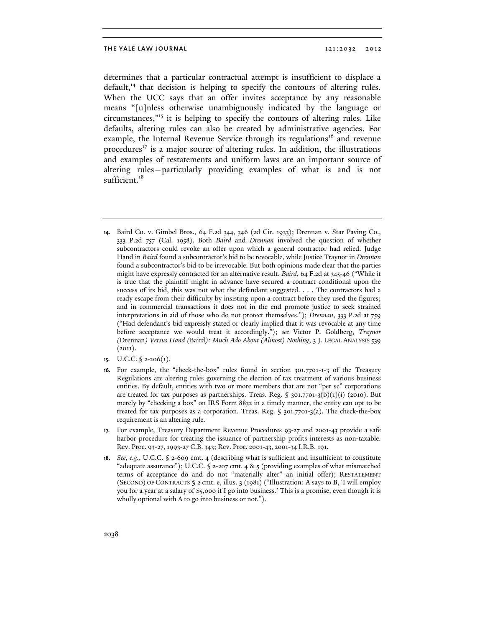determines that a particular contractual attempt is insufficient to displace a default, $14$  that decision is helping to specify the contours of altering rules. When the UCC says that an offer invites acceptance by any reasonable means "[u]nless otherwise unambiguously indicated by the language or circumstances,"15 it is helping to specify the contours of altering rules. Like defaults, altering rules can also be created by administrative agencies. For example, the Internal Revenue Service through its regulations<sup>16</sup> and revenue procedures<sup>17</sup> is a major source of altering rules. In addition, the illustrations and examples of restatements and uniform laws are an important source of altering rules—particularly providing examples of what is and is not sufficient.<sup>18</sup>

- **14.** Baird Co. v. Gimbel Bros., 64 F.2d 344, 346 (2d Cir. 1933); Drennan v. Star Paving Co., 333 P.2d 757 (Cal. 1958). Both *Baird* and *Drennan* involved the question of whether subcontractors could revoke an offer upon which a general contractor had relied. Judge Hand in *Baird* found a subcontractor's bid to be revocable, while Justice Traynor in *Drennan*  found a subcontractor's bid to be irrevocable. But both opinions made clear that the parties might have expressly contracted for an alternative result. *Baird*, 64 F.2d at 345-46 ("While it is true that the plaintiff might in advance have secured a contract conditional upon the success of its bid, this was not what the defendant suggested. . . . The contractors had a ready escape from their difficulty by insisting upon a contract before they used the figures; and in commercial transactions it does not in the end promote justice to seek strained interpretations in aid of those who do not protect themselves."); *Drennan*, 333 P.2d at 759 ("Had defendant's bid expressly stated or clearly implied that it was revocable at any time before acceptance we would treat it accordingly."); *see* Victor P. Goldberg, *Traynor (*Drennan*) Versus Hand (*Baird*): Much Ado About (Almost) Nothing*, 3 J. LEGAL ANALYSIS 539  $(2011).$
- **15.** U.C.C. § 2-206(1).
- **16.** For example, the "check-the-box" rules found in section 301.7701-1-3 of the Treasury Regulations are altering rules governing the election of tax treatment of various business entities. By default, entities with two or more members that are not "per se" corporations are treated for tax purposes as partnerships. Treas. Reg. §  $301.7701-3(b)(1)(i)$  (2010). But merely by "checking a box" on IRS Form 8832 in a timely manner, the entity can opt to be treated for tax purposes as a corporation. Treas. Reg. § 301.7701-3(a). The check-the-box requirement is an altering rule.
- **17.** For example, Treasury Department Revenue Procedures 93-27 and 2001-43 provide a safe harbor procedure for treating the issuance of partnership profits interests as non-taxable. Rev. Proc. 93-27, 1993-27 C.B. 343; Rev. Proc. 2001-43, 2001-34 I.R.B. 191.
- **18.** *See, e.g.*, U.C.C. § 2-609 cmt. 4 (describing what is sufficient and insufficient to constitute "adequate assurance"); U.C.C. § 2-207 cmt. 4 & 5 (providing examples of what mismatched terms of acceptance do and do not "materially alter" an initial offer); RESTATEMENT (SECOND) OF CONTRACTS § 2 cmt. e, illus. 3 (1981) ("Illustration: A says to B, 'I will employ you for a year at a salary of \$5,000 if I go into business.' This is a promise, even though it is wholly optional with A to go into business or not.").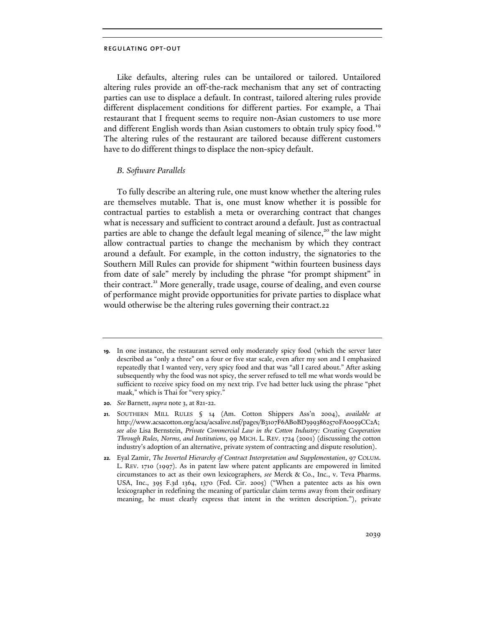Like defaults, altering rules can be untailored or tailored. Untailored altering rules provide an off-the-rack mechanism that any set of contracting parties can use to displace a default. In contrast, tailored altering rules provide different displacement conditions for different parties. For example, a Thai restaurant that I frequent seems to require non-Asian customers to use more and different English words than Asian customers to obtain truly spicy food.<sup>19</sup> The altering rules of the restaurant are tailored because different customers have to do different things to displace the non-spicy default.

## *B. Software Parallels*

To fully describe an altering rule, one must know whether the altering rules are themselves mutable. That is, one must know whether it is possible for contractual parties to establish a meta or overarching contract that changes what is necessary and sufficient to contract around a default. Just as contractual parties are able to change the default legal meaning of silence,<sup>20</sup> the law might allow contractual parties to change the mechanism by which they contract around a default. For example, in the cotton industry, the signatories to the Southern Mill Rules can provide for shipment "within fourteen business days from date of sale" merely by including the phrase "for prompt shipment" in their contract.<sup>21</sup> More generally, trade usage, course of dealing, and even course of performance might provide opportunities for private parties to displace what would otherwise be the altering rules governing their contract.22

**20.** *See* Barnett, *supra* note 3, at 821-22.

**<sup>19.</sup>** In one instance, the restaurant served only moderately spicy food (which the server later described as "only a three" on a four or five star scale, even after my son and I emphasized repeatedly that I wanted very, very spicy food and that was "all I cared about." After asking subsequently why the food was not spicy, the server refused to tell me what words would be sufficient to receive spicy food on my next trip. I've had better luck using the phrase "phet maak," which is Thai for "very spicy."

**<sup>21.</sup>** SOUTHERN MILL RULES § 14 (Am. Cotton Shippers Ass'n 2004), *available at*  http://www.acsacotton.org/acsa/acsalive.nsf/pages/B3107F6AB0BD3993862570FA0059CC2A; *see also* Lisa Bernstein, *Private Commercial Law in the Cotton Industry: Creating Cooperation Through Rules, Norms, and Institutions*, 99 MICH. L. REV. 1724 (2001) (discussing the cotton industry's adoption of an alternative, private system of contracting and dispute resolution).

**<sup>22.</sup>** Eyal Zamir, *The Inverted Hierarchy of Contract Interpretation and Supplementation*, 97 COLUM. L. REV. 1710 (1997). As in patent law where patent applicants are empowered in limited circumstances to act as their own lexicographers, *see* Merck & Co., Inc., v. Teva Pharms. USA, Inc., 395 F.3d 1364, 1370 (Fed. Cir. 2005) ("When a patentee acts as his own lexicographer in redefining the meaning of particular claim terms away from their ordinary meaning, he must clearly express that intent in the written description."), private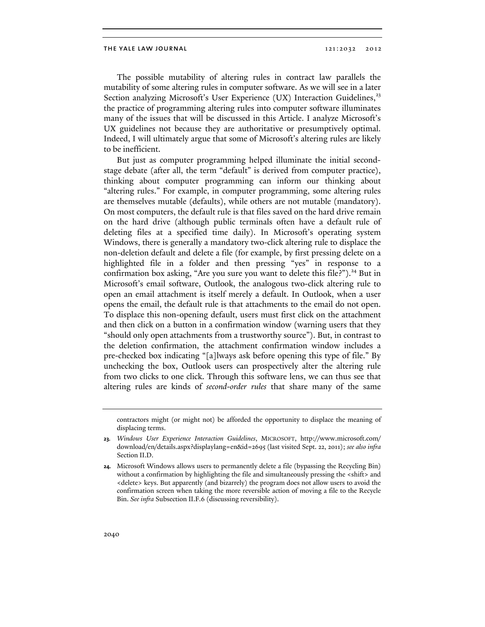The possible mutability of altering rules in contract law parallels the mutability of some altering rules in computer software. As we will see in a later Section analyzing Microsoft's User Experience (UX) Interaction Guidelines,<sup>23</sup> the practice of programming altering rules into computer software illuminates many of the issues that will be discussed in this Article. I analyze Microsoft's UX guidelines not because they are authoritative or presumptively optimal. Indeed, I will ultimately argue that some of Microsoft's altering rules are likely to be inefficient.

But just as computer programming helped illuminate the initial secondstage debate (after all, the term "default" is derived from computer practice), thinking about computer programming can inform our thinking about "altering rules." For example, in computer programming, some altering rules are themselves mutable (defaults), while others are not mutable (mandatory). On most computers, the default rule is that files saved on the hard drive remain on the hard drive (although public terminals often have a default rule of deleting files at a specified time daily). In Microsoft's operating system Windows, there is generally a mandatory two-click altering rule to displace the non-deletion default and delete a file (for example, by first pressing delete on a highlighted file in a folder and then pressing "yes" in response to a confirmation box asking, "Are you sure you want to delete this file?").<sup>24</sup> But in Microsoft's email software, Outlook, the analogous two-click altering rule to open an email attachment is itself merely a default. In Outlook, when a user opens the email, the default rule is that attachments to the email do not open. To displace this non-opening default, users must first click on the attachment and then click on a button in a confirmation window (warning users that they "should only open attachments from a trustworthy source"). But, in contrast to the deletion confirmation, the attachment confirmation window includes a pre-checked box indicating "[a]lways ask before opening this type of file." By unchecking the box, Outlook users can prospectively alter the altering rule from two clicks to one click. Through this software lens, we can thus see that altering rules are kinds of *second-order rules* that share many of the same

contractors might (or might not) be afforded the opportunity to displace the meaning of displacing terms.

**<sup>23.</sup>** *Windows User Experience Interaction Guidelines*, MICROSOFT, http://www.microsoft.com/ download/en/details.aspx?displaylang=en&id=2695 (last visited Sept. 22, 2011); *see also infra*  Section II.D.

**<sup>24.</sup>** Microsoft Windows allows users to permanently delete a file (bypassing the Recycling Bin) without a confirmation by highlighting the file and simultaneously pressing the <shift> and <delete> keys. But apparently (and bizarrely) the program does not allow users to avoid the confirmation screen when taking the more reversible action of moving a file to the Recycle Bin. *See infra* Subsection II.F.6 (discussing reversibility).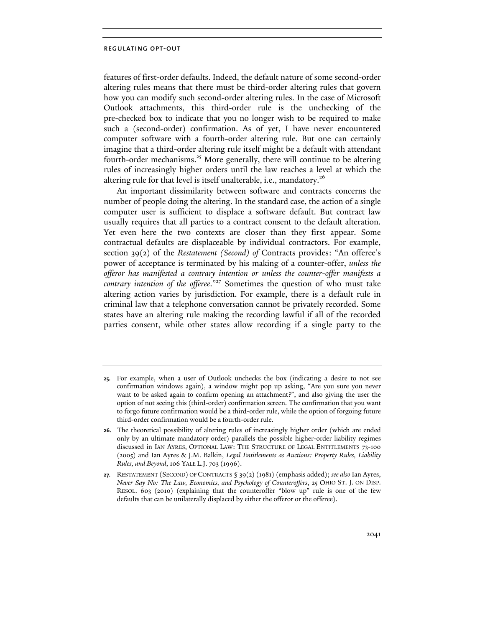features of first-order defaults. Indeed, the default nature of some second-order altering rules means that there must be third-order altering rules that govern how you can modify such second-order altering rules. In the case of Microsoft Outlook attachments, this third-order rule is the unchecking of the pre-checked box to indicate that you no longer wish to be required to make such a (second-order) confirmation. As of yet, I have never encountered computer software with a fourth-order altering rule. But one can certainly imagine that a third-order altering rule itself might be a default with attendant fourth-order mechanisms.<sup>25</sup> More generally, there will continue to be altering rules of increasingly higher orders until the law reaches a level at which the altering rule for that level is itself unalterable, i.e., mandatory.<sup>26</sup>

An important dissimilarity between software and contracts concerns the number of people doing the altering. In the standard case, the action of a single computer user is sufficient to displace a software default. But contract law usually requires that all parties to a contract consent to the default alteration. Yet even here the two contexts are closer than they first appear. Some contractual defaults are displaceable by individual contractors. For example, section 39(2) of the *Restatement (Second) of* Contracts provides: "An offeree's power of acceptance is terminated by his making of a counter-offer, *unless the offeror has manifested a contrary intention or unless the counter-offer manifests a*  contrary intention of the offeree."<sup>27</sup> Sometimes the question of who must take altering action varies by jurisdiction. For example, there is a default rule in criminal law that a telephone conversation cannot be privately recorded. Some states have an altering rule making the recording lawful if all of the recorded parties consent, while other states allow recording if a single party to the

**<sup>25.</sup>** For example, when a user of Outlook unchecks the box (indicating a desire to not see confirmation windows again), a window might pop up asking, "Are you sure you never want to be asked again to confirm opening an attachment?", and also giving the user the option of not seeing this (third-order) confirmation screen. The confirmation that you want to forgo future confirmation would be a third-order rule, while the option of forgoing future third-order confirmation would be a fourth-order rule.

**<sup>26.</sup>** The theoretical possibility of altering rules of increasingly higher order (which are ended only by an ultimate mandatory order) parallels the possible higher-order liability regimes discussed in IAN AYRES, OPTIONAL LAW: THE STRUCTURE OF LEGAL ENTITLEMENTS 73-100 (2005) and Ian Ayres & J.M. Balkin, *Legal Entitlements as Auctions: Property Rules, Liability Rules, and Beyond*, 106 YALE L.J. 703 (1996).

**<sup>27.</sup>** RESTATEMENT (SECOND) OF CONTRACTS § 39(2) (1981) (emphasis added); *see also* Ian Ayres, *Never Say No: The Law, Economics, and Psychology of Counteroffers*, 25 OHIO ST. J. ON DISP. RESOL. 603 (2010) (explaining that the counteroffer "blow up" rule is one of the few defaults that can be unilaterally displaced by either the offeror or the offeree).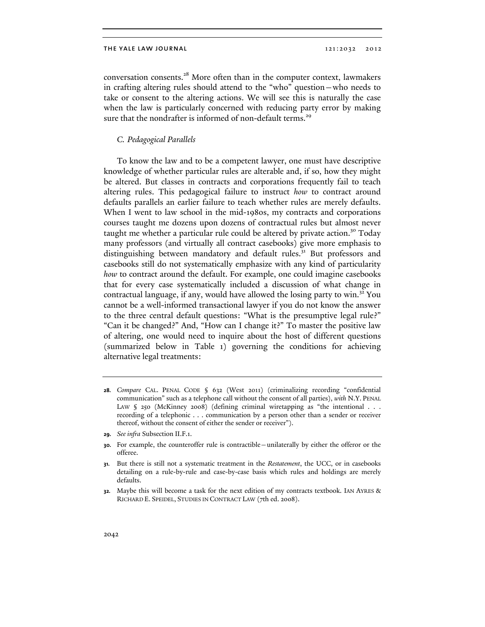conversation consents.<sup>28</sup> More often than in the computer context, lawmakers in crafting altering rules should attend to the "who" question—who needs to take or consent to the altering actions. We will see this is naturally the case when the law is particularly concerned with reducing party error by making sure that the nondrafter is informed of non-default terms.<sup>29</sup>

## *C. Pedagogical Parallels*

To know the law and to be a competent lawyer, one must have descriptive knowledge of whether particular rules are alterable and, if so, how they might be altered. But classes in contracts and corporations frequently fail to teach altering rules. This pedagogical failure to instruct *how* to contract around defaults parallels an earlier failure to teach whether rules are merely defaults. When I went to law school in the mid-1980s, my contracts and corporations courses taught me dozens upon dozens of contractual rules but almost never taught me whether a particular rule could be altered by private action.<sup>30</sup> Today many professors (and virtually all contract casebooks) give more emphasis to distinguishing between mandatory and default rules.<sup>31</sup> But professors and casebooks still do not systematically emphasize with any kind of particularity *how* to contract around the default. For example, one could imagine casebooks that for every case systematically included a discussion of what change in contractual language, if any, would have allowed the losing party to win.<sup>32</sup> You cannot be a well-informed transactional lawyer if you do not know the answer to the three central default questions: "What is the presumptive legal rule?" "Can it be changed?" And, "How can I change it?" To master the positive law of altering, one would need to inquire about the host of different questions (summarized below in Table 1) governing the conditions for achieving alternative legal treatments:

**<sup>28.</sup>** *Compare* CAL. PENAL CODE § 632 (West 2011) (criminalizing recording "confidential communication" such as a telephone call without the consent of all parties), *with* N.Y. PENAL LAW § 250 (McKinney 2008) (defining criminal wiretapping as "the intentional . . . recording of a telephonic . . . communication by a person other than a sender or receiver thereof, without the consent of either the sender or receiver").

**<sup>29.</sup>** *See infra* Subsection II.F.1.

**<sup>30.</sup>** For example, the counteroffer rule is contractible—unilaterally by either the offeror or the offeree.

**<sup>31.</sup>** But there is still not a systematic treatment in the *Restatement*, the UCC, or in casebooks detailing on a rule-by-rule and case-by-case basis which rules and holdings are merely defaults.

**<sup>32.</sup>** Maybe this will become a task for the next edition of my contracts textbook. IAN AYRES & RICHARD E. SPEIDEL, STUDIES IN CONTRACT LAW (7th ed. 2008).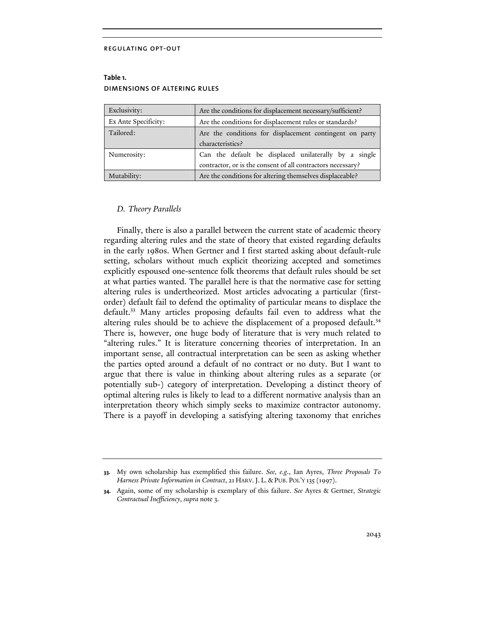## **Table 1.**  dimensions of altering rules

| Exclusivity:         | Are the conditions for displacement necessary/sufficient?                                                            |  |
|----------------------|----------------------------------------------------------------------------------------------------------------------|--|
| Ex Ante Specificity: | Are the conditions for displacement rules or standards?                                                              |  |
| Tailored:            | Are the conditions for displacement contingent on party<br>characteristics?                                          |  |
| Numerosity:          | Can the default be displaced unilaterally by a single<br>contractor, or is the consent of all contractors necessary? |  |
| Mutability:          | Are the conditions for altering themselves displaceable?                                                             |  |

## *D. Theory Parallels*

Finally, there is also a parallel between the current state of academic theory regarding altering rules and the state of theory that existed regarding defaults in the early 1980s. When Gertner and I first started asking about default-rule setting, scholars without much explicit theorizing accepted and sometimes explicitly espoused one-sentence folk theorems that default rules should be set at what parties wanted. The parallel here is that the normative case for setting altering rules is undertheorized. Most articles advocating a particular (firstorder) default fail to defend the optimality of particular means to displace the default.<sup>33</sup> Many articles proposing defaults fail even to address what the altering rules should be to achieve the displacement of a proposed default.<sup>34</sup> There is, however, one huge body of literature that is very much related to "altering rules." It is literature concerning theories of interpretation. In an important sense, all contractual interpretation can be seen as asking whether the parties opted around a default of no contract or no duty. But I want to argue that there is value in thinking about altering rules as a separate (or potentially sub-) category of interpretation. Developing a distinct theory of optimal altering rules is likely to lead to a different normative analysis than an interpretation theory which simply seeks to maximize contractor autonomy. There is a payoff in developing a satisfying altering taxonomy that enriches

**<sup>33.</sup>** My own scholarship has exemplified this failure. *See, e.g*., Ian Ayres, *Three Proposals To Harness Private Information in Contract*, 21 HARV.J. L. & PUB. POL'Y 135 (1997).

**<sup>34.</sup>** Again, some of my scholarship is exemplary of this failure. *See* Ayres & Gertner, *Strategic Contractual Inefficiency*, *supra* note 3.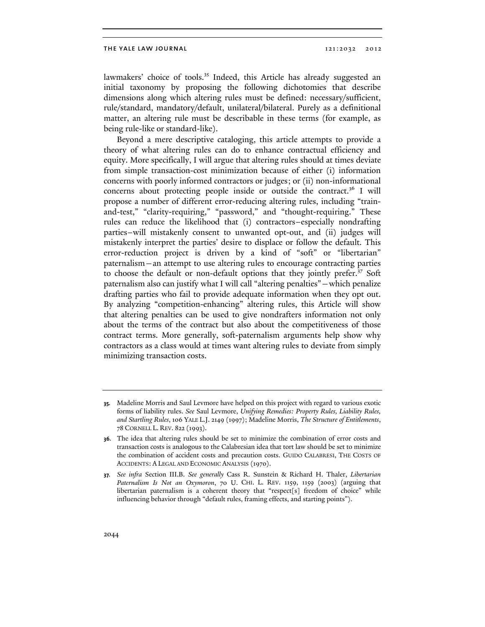lawmakers' choice of tools.<sup>35</sup> Indeed, this Article has already suggested an initial taxonomy by proposing the following dichotomies that describe dimensions along which altering rules must be defined: necessary/sufficient, rule/standard, mandatory/default, unilateral/bilateral. Purely as a definitional matter, an altering rule must be describable in these terms (for example, as being rule-like or standard-like).

Beyond a mere descriptive cataloging, this article attempts to provide a theory of what altering rules can do to enhance contractual efficiency and equity. More specifically, I will argue that altering rules should at times deviate from simple transaction-cost minimization because of either (i) information concerns with poorly informed contractors or judges; or (ii) non-informational concerns about protecting people inside or outside the contract.<sup>36</sup> I will propose a number of different error-reducing altering rules, including "trainand-test," "clarity-requiring," "password," and "thought-requiring." These rules can reduce the likelihood that (i) contractors–especially nondrafting parties–will mistakenly consent to unwanted opt-out, and (ii) judges will mistakenly interpret the parties' desire to displace or follow the default. This error-reduction project is driven by a kind of "soft" or "libertarian" paternalism—an attempt to use altering rules to encourage contracting parties to choose the default or non-default options that they jointly prefer.<sup>37</sup> Soft paternalism also can justify what I will call "altering penalties"—which penalize drafting parties who fail to provide adequate information when they opt out. By analyzing "competition-enhancing" altering rules, this Article will show that altering penalties can be used to give nondrafters information not only about the terms of the contract but also about the competitiveness of those contract terms. More generally, soft-paternalism arguments help show why contractors as a class would at times want altering rules to deviate from simply minimizing transaction costs.

**<sup>35.</sup>** Madeline Morris and Saul Levmore have helped on this project with regard to various exotic forms of liability rules. *See* Saul Levmore, *Unifying Remedies: Property Rules, Liability Rules, and Startling Rules*, 106 YALE L.J. 2149 (1997); Madeline Morris, *The Structure of Entitlements*, 78 CORNELL L. REV. 822 (1993).

**<sup>36.</sup>** The idea that altering rules should be set to minimize the combination of error costs and transaction costs is analogous to the Calabresian idea that tort law should be set to minimize the combination of accident costs and precaution costs. GUIDO CALABRESI, THE COSTS OF ACCIDENTS: A LEGAL AND ECONOMIC ANALYSIS (1970).

**<sup>37.</sup>** *See infra* Section III.B. *See generally* Cass R. Sunstein & Richard H. Thaler, *Libertarian Paternalism Is Not an Oxymoron*, 70 U. CHI. L. REV. 1159, 1159 (2003) (arguing that libertarian paternalism is a coherent theory that "respect[s] freedom of choice" while influencing behavior through "default rules, framing effects, and starting points").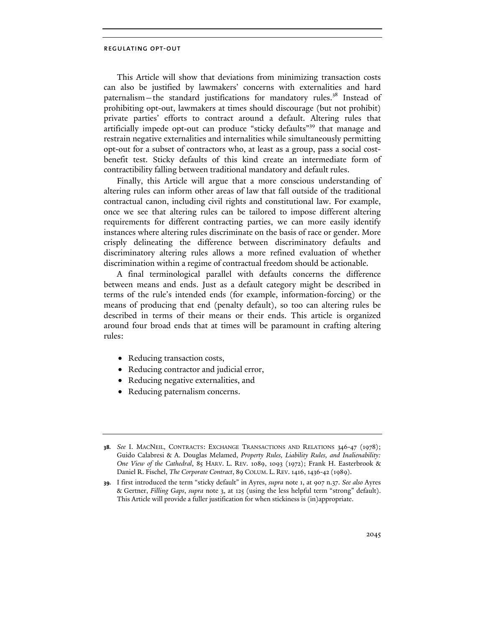This Article will show that deviations from minimizing transaction costs can also be justified by lawmakers' concerns with externalities and hard paternalism—the standard justifications for mandatory rules.<sup>38</sup> Instead of prohibiting opt-out, lawmakers at times should discourage (but not prohibit) private parties' efforts to contract around a default. Altering rules that artificially impede opt-out can produce "sticky defaults"39 that manage and restrain negative externalities and internalities while simultaneously permitting opt-out for a subset of contractors who, at least as a group, pass a social costbenefit test. Sticky defaults of this kind create an intermediate form of contractibility falling between traditional mandatory and default rules.

Finally, this Article will argue that a more conscious understanding of altering rules can inform other areas of law that fall outside of the traditional contractual canon, including civil rights and constitutional law. For example, once we see that altering rules can be tailored to impose different altering requirements for different contracting parties, we can more easily identify instances where altering rules discriminate on the basis of race or gender. More crisply delineating the difference between discriminatory defaults and discriminatory altering rules allows a more refined evaluation of whether discrimination within a regime of contractual freedom should be actionable.

A final terminological parallel with defaults concerns the difference between means and ends. Just as a default category might be described in terms of the rule's intended ends (for example, information-forcing) or the means of producing that end (penalty default), so too can altering rules be described in terms of their means or their ends. This article is organized around four broad ends that at times will be paramount in crafting altering rules:

- Reducing transaction costs,
- Reducing contractor and judicial error,
- Reducing negative externalities, and
- Reducing paternalism concerns.

**<sup>38.</sup>** *See* I. MACNEIL, CONTRACTS: EXCHANGE TRANSACTIONS AND RELATIONS 346-47 (1978); Guido Calabresi & A. Douglas Melamed, *Property Rules, Liability Rules, and Inalienability: One View of the Cathedral*, 85 HARV. L. REV. 1089, 1093 (1972); Frank H. Easterbrook & Daniel R. Fischel, *The Corporate Contract*, 89 COLUM. L. REV. 1416, 1436-42 (1989).

**<sup>39.</sup>** I first introduced the term "sticky default" in Ayres, *supra* note 1, at 907 n.37. *See also* Ayres & Gertner, *Filling Gaps*, *supra* note 3, at 125 (using the less helpful term "strong" default). This Article will provide a fuller justification for when stickiness is (in)appropriate.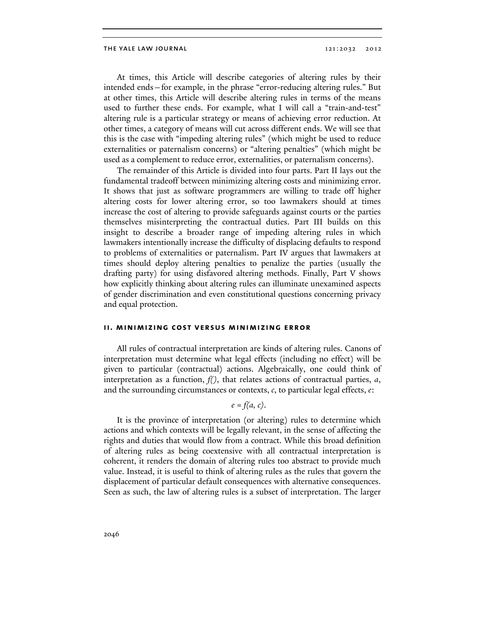At times, this Article will describe categories of altering rules by their intended ends—for example, in the phrase "error-reducing altering rules." But at other times, this Article will describe altering rules in terms of the means used to further these ends. For example, what I will call a "train-and-test" altering rule is a particular strategy or means of achieving error reduction. At other times, a category of means will cut across different ends. We will see that this is the case with "impeding altering rules" (which might be used to reduce externalities or paternalism concerns) or "altering penalties" (which might be used as a complement to reduce error, externalities, or paternalism concerns).

The remainder of this Article is divided into four parts. Part II lays out the fundamental tradeoff between minimizing altering costs and minimizing error. It shows that just as software programmers are willing to trade off higher altering costs for lower altering error, so too lawmakers should at times increase the cost of altering to provide safeguards against courts or the parties themselves misinterpreting the contractual duties. Part III builds on this insight to describe a broader range of impeding altering rules in which lawmakers intentionally increase the difficulty of displacing defaults to respond to problems of externalities or paternalism. Part IV argues that lawmakers at times should deploy altering penalties to penalize the parties (usually the drafting party) for using disfavored altering methods. Finally, Part V shows how explicitly thinking about altering rules can illuminate unexamined aspects of gender discrimination and even constitutional questions concerning privacy and equal protection.

## **ii. minimizing cost versus minimizing error**

All rules of contractual interpretation are kinds of altering rules. Canons of interpretation must determine what legal effects (including no effect) will be given to particular (contractual) actions. Algebraically, one could think of interpretation as a function, *f()*, that relates actions of contractual parties, *a*, and the surrounding circumstances or contexts, *c*, to particular legal effects, *e*:

## *e = f(a, c)*.

It is the province of interpretation (or altering) rules to determine which actions and which contexts will be legally relevant, in the sense of affecting the rights and duties that would flow from a contract. While this broad definition of altering rules as being coextensive with all contractual interpretation is coherent, it renders the domain of altering rules too abstract to provide much value. Instead, it is useful to think of altering rules as the rules that govern the displacement of particular default consequences with alternative consequences. Seen as such, the law of altering rules is a subset of interpretation. The larger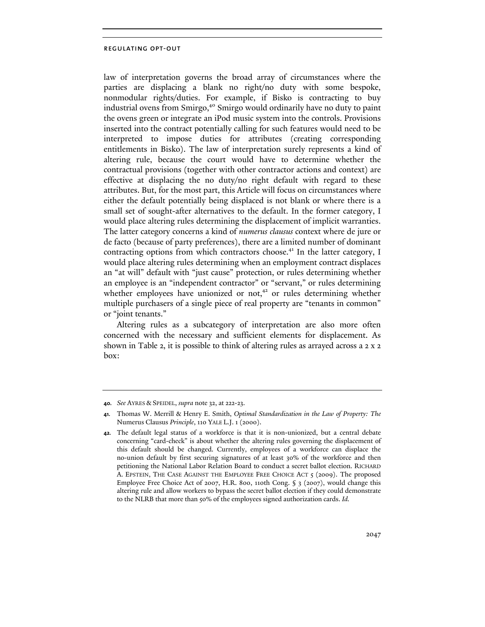law of interpretation governs the broad array of circumstances where the parties are displacing a blank no right/no duty with some bespoke, nonmodular rights/duties. For example, if Bisko is contracting to buy industrial ovens from Smirgo,<sup>40</sup> Smirgo would ordinarily have no duty to paint the ovens green or integrate an iPod music system into the controls. Provisions inserted into the contract potentially calling for such features would need to be interpreted to impose duties for attributes (creating corresponding entitlements in Bisko). The law of interpretation surely represents a kind of altering rule, because the court would have to determine whether the contractual provisions (together with other contractor actions and context) are effective at displacing the no duty/no right default with regard to these attributes. But, for the most part, this Article will focus on circumstances where either the default potentially being displaced is not blank or where there is a small set of sought-after alternatives to the default. In the former category, I would place altering rules determining the displacement of implicit warranties. The latter category concerns a kind of *numerus clausus* context where de jure or de facto (because of party preferences), there are a limited number of dominant contracting options from which contractors choose.<sup>41</sup> In the latter category, I would place altering rules determining when an employment contract displaces an "at will" default with "just cause" protection, or rules determining whether an employee is an "independent contractor" or "servant," or rules determining whether employees have unionized or not, $42$  or rules determining whether multiple purchasers of a single piece of real property are "tenants in common" or "joint tenants."

Altering rules as a subcategory of interpretation are also more often concerned with the necessary and sufficient elements for displacement. As shown in Table 2, it is possible to think of altering rules as arrayed across a 2 x 2 box:

**<sup>40.</sup>** *See* AYRES & SPEIDEL, *supra* note 32, at 222-23.

**<sup>41.</sup>** Thomas W. Merrill & Henry E. Smith, *Optimal Standardization in the Law of Property: The*  Numerus Clausus *Principle*, 110 YALE L.J. 1 (2000).

**<sup>42.</sup>** The default legal status of a workforce is that it is non-unionized, but a central debate concerning "card-check" is about whether the altering rules governing the displacement of this default should be changed. Currently, employees of a workforce can displace the no-union default by first securing signatures of at least 30% of the workforce and then petitioning the National Labor Relation Board to conduct a secret ballot election. RICHARD A. EPSTEIN, THE CASE AGAINST THE EMPLOYEE FREE CHOICE ACT 5 (2009). The proposed Employee Free Choice Act of 2007, H.R. 800, 110th Cong. § 3 (2007), would change this altering rule and allow workers to bypass the secret ballot election if they could demonstrate to the NLRB that more than 50% of the employees signed authorization cards. *Id.*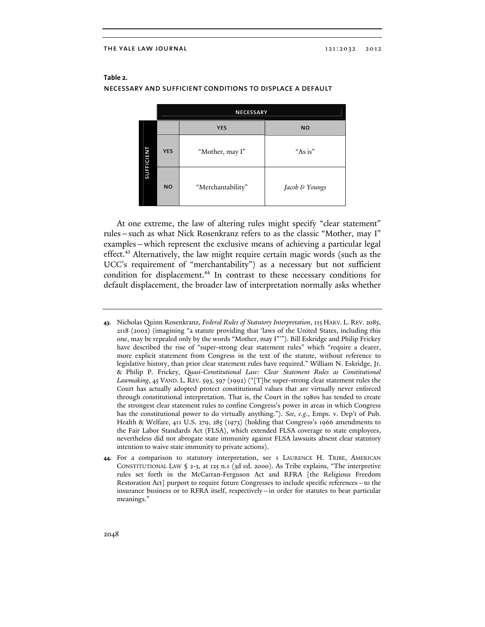|            | <b>NECESSARY</b> |                   |                |  |
|------------|------------------|-------------------|----------------|--|
| SUFFICIENT |                  | <b>YES</b>        | <b>NO</b>      |  |
|            | <b>YES</b>       | "Mother, may I"   | "As is"        |  |
|            | <b>NO</b>        | "Merchantability" | Jacob & Youngs |  |

## **Table 2.**  necessary and sufficient conditions to displace a default

At one extreme, the law of altering rules might specify "clear statement" rules—such as what Nick Rosenkranz refers to as the classic "Mother, may I" examples—which represent the exclusive means of achieving a particular legal effect.43 Alternatively, the law might require certain magic words (such as the UCC's requirement of "merchantability") as a necessary but not sufficient condition for displacement.<sup>44</sup> In contrast to these necessary conditions for default displacement, the broader law of interpretation normally asks whether

- **43.** Nicholas Quinn Rosenkranz, *Federal Rules of Statutory Interpretation*, 115 HARV. L. REV. 2085, 2118 (2002) (imagining "a statute providing that 'laws of the United States, including this one, may be repealed only by the words "Mother, may I"'"). Bill Eskridge and Philip Frickey have described the rise of "super-strong clear statement rules" which "require a clearer, more explicit statement from Congress in the text of the statute, without reference to legislative history, than prior clear statement rules have required." William N. Eskridge, Jr. & Philip P. Frickey, *Quasi-Constitutional Law: Clear Statement Rules as Constitutional Lawmaking*, 45 VAND. L. REV. 593, 597 (1992) ("[T]he super-strong clear statement rules the Court has actually adopted protect constitutional values that are virtually never enforced through constitutional interpretation. That is, the Court in the 1980s has tended to create the strongest clear statement rules to confine Congress's power in areas in which Congress has the constitutional power to do virtually anything."). *See, e.g*., Emps. v. Dep't of Pub. Health & Welfare, 411 U.S. 279, 285 (1973) (holding that Congress's 1966 amendments to the Fair Labor Standards Act (FLSA), which extended FLSA coverage to state employees, nevertheless did not abrogate state immunity against FLSA lawsuits absent clear statutory intention to waive state immunity to private actions).
- **44.** For a comparison to statutory interpretation, see 1 LAURENCE H. TRIBE, AMERICAN CONSTITUTIONAL LAW § 2-3, at 125 n.1 (3d ed. 2000). As Tribe explains, "The interpretive rules set forth in the McCarran-Ferguson Act and RFRA [the Religious Freedom Restoration Act] purport to require future Congresses to include specific references—to the insurance business or to RFRA itself, respectively—in order for statutes to bear particular meanings."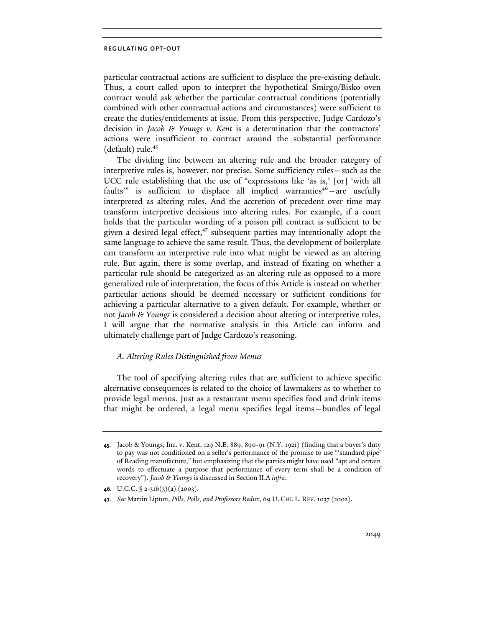particular contractual actions are sufficient to displace the pre-existing default. Thus, a court called upon to interpret the hypothetical Smirgo/Bisko oven contract would ask whether the particular contractual conditions (potentially combined with other contractual actions and circumstances) were sufficient to create the duties/entitlements at issue. From this perspective, Judge Cardozo's decision in *Jacob & Youngs v. Kent* is a determination that the contractors' actions were insufficient to contract around the substantial performance (default) rule. $45$ 

The dividing line between an altering rule and the broader category of interpretive rules is, however, not precise. Some sufficiency rules—such as the UCC rule establishing that the use of "expressions like 'as is,' [or] 'with all faults" is sufficient to displace all implied warranties<sup>46</sup> – are usefully interpreted as altering rules. And the accretion of precedent over time may transform interpretive decisions into altering rules. For example, if a court holds that the particular wording of a poison pill contract is sufficient to be given a desired legal effect, $47$  subsequent parties may intentionally adopt the same language to achieve the same result. Thus, the development of boilerplate can transform an interpretive rule into what might be viewed as an altering rule. But again, there is some overlap, and instead of fixating on whether a particular rule should be categorized as an altering rule as opposed to a more generalized rule of interpretation, the focus of this Article is instead on whether particular actions should be deemed necessary or sufficient conditions for achieving a particular alternative to a given default. For example, whether or not *Jacob & Youngs* is considered a decision about altering or interpretive rules, I will argue that the normative analysis in this Article can inform and ultimately challenge part of Judge Cardozo's reasoning.

## *A. Altering Rules Distinguished from Menus*

The tool of specifying altering rules that are sufficient to achieve specific alternative consequences is related to the choice of lawmakers as to whether to provide legal menus. Just as a restaurant menu specifies food and drink items that might be ordered, a legal menu specifies legal items—bundles of legal

**<sup>45.</sup>** Jacob & Youngs, Inc. v. Kent, 129 N.E. 889, 890-91 (N.Y. 1921) (finding that a buyer's duty to pay was not conditioned on a seller's performance of the promise to use "'standard pipe' of Reading manufacture," but emphasizing that the parties might have used "apt and certain words to effectuate a purpose that performance of every term shall be a condition of recovery"). *Jacob & Youngs* is discussed in Section II.A *infra*.

**<sup>46.</sup>** U.C.C. § 2-316(3)(a) (2003).

**<sup>47.</sup>** *See* Martin Lipton, *Pills, Polls, and Professors Redux*, 69 U. CHI. L. REV. 1037 (2002).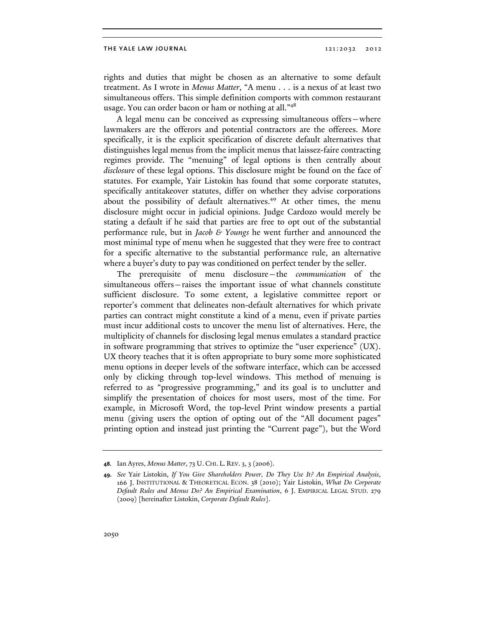rights and duties that might be chosen as an alternative to some default treatment. As I wrote in *Menus Matter*, "A menu . . . is a nexus of at least two simultaneous offers. This simple definition comports with common restaurant usage. You can order bacon or ham or nothing at all."<sup>48</sup>

A legal menu can be conceived as expressing simultaneous offers—where lawmakers are the offerors and potential contractors are the offerees. More specifically, it is the explicit specification of discrete default alternatives that distinguishes legal menus from the implicit menus that laissez-faire contracting regimes provide. The "menuing" of legal options is then centrally about *disclosure* of these legal options. This disclosure might be found on the face of statutes. For example, Yair Listokin has found that some corporate statutes, specifically antitakeover statutes, differ on whether they advise corporations about the possibility of default alternatives.<sup>49</sup> At other times, the menu disclosure might occur in judicial opinions. Judge Cardozo would merely be stating a default if he said that parties are free to opt out of the substantial performance rule, but in *Jacob & Youngs* he went further and announced the most minimal type of menu when he suggested that they were free to contract for a specific alternative to the substantial performance rule, an alternative where a buyer's duty to pay was conditioned on perfect tender by the seller.

The prerequisite of menu disclosure—the *communication* of the simultaneous offers—raises the important issue of what channels constitute sufficient disclosure. To some extent, a legislative committee report or reporter's comment that delineates non-default alternatives for which private parties can contract might constitute a kind of a menu, even if private parties must incur additional costs to uncover the menu list of alternatives. Here, the multiplicity of channels for disclosing legal menus emulates a standard practice in software programming that strives to optimize the "user experience" (UX). UX theory teaches that it is often appropriate to bury some more sophisticated menu options in deeper levels of the software interface, which can be accessed only by clicking through top-level windows. This method of menuing is referred to as "progressive programming," and its goal is to unclutter and simplify the presentation of choices for most users, most of the time. For example, in Microsoft Word, the top-level Print window presents a partial menu (giving users the option of opting out of the "All document pages" printing option and instead just printing the "Current page"), but the Word

**<sup>48.</sup>** Ian Ayres, *Menus Matter*, 73 U. CHI. L. REV. 3, 3 (2006).

**<sup>49.</sup>** *See* Yair Listokin, *If You Give Shareholders Power, Do They Use It? An Empirical Analysis*, 166 J. INSTITUTIONAL & THEORETICAL ECON. 38 (2010); Yair Listokin, *What Do Corporate Default Rules and Menus Do? An Empirical Examination*, 6 J. EMPIRICAL LEGAL STUD. 279 (2009) [hereinafter Listokin, *Corporate Default Rules*].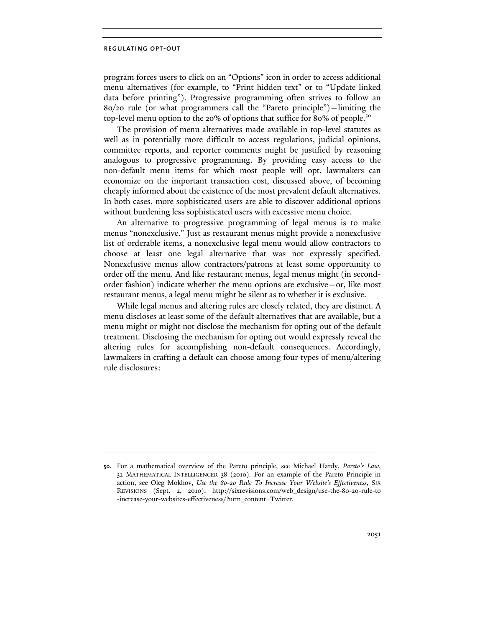program forces users to click on an "Options" icon in order to access additional menu alternatives (for example, to "Print hidden text" or to "Update linked data before printing"). Progressive programming often strives to follow an 80/20 rule (or what programmers call the "Pareto principle")—limiting the top-level menu option to the 20% of options that suffice for 80% of people.<sup>50</sup>

The provision of menu alternatives made available in top-level statutes as well as in potentially more difficult to access regulations, judicial opinions, committee reports, and reporter comments might be justified by reasoning analogous to progressive programming. By providing easy access to the non-default menu items for which most people will opt, lawmakers can economize on the important transaction cost, discussed above, of becoming cheaply informed about the existence of the most prevalent default alternatives. In both cases, more sophisticated users are able to discover additional options without burdening less sophisticated users with excessive menu choice.

An alternative to progressive programming of legal menus is to make menus "nonexclusive." Just as restaurant menus might provide a nonexclusive list of orderable items, a nonexclusive legal menu would allow contractors to choose at least one legal alternative that was not expressly specified. Nonexclusive menus allow contractors/patrons at least some opportunity to order off the menu. And like restaurant menus, legal menus might (in secondorder fashion) indicate whether the menu options are exclusive—or, like most restaurant menus, a legal menu might be silent as to whether it is exclusive.

While legal menus and altering rules are closely related, they are distinct. A menu discloses at least some of the default alternatives that are available, but a menu might or might not disclose the mechanism for opting out of the default treatment. Disclosing the mechanism for opting out would expressly reveal the altering rules for accomplishing non-default consequences. Accordingly, lawmakers in crafting a default can choose among four types of menu/altering rule disclosures:

**<sup>50.</sup>** For a mathematical overview of the Pareto principle, see Michael Hardy, *Pareto's Law*, 32 MATHEMATICAL INTELLIGENCER 38 (2010). For an example of the Pareto Principle in action, see Oleg Mokhov, *Use the 80-20 Rule To Increase Your Website's Effectiveness*, SIX REVISIONS (Sept. 2, 2010), http://sixrevisions.com/web\_design/use-the-80-20-rule-to -increase-your-websites-effectiveness/?utm\_content=Twitter.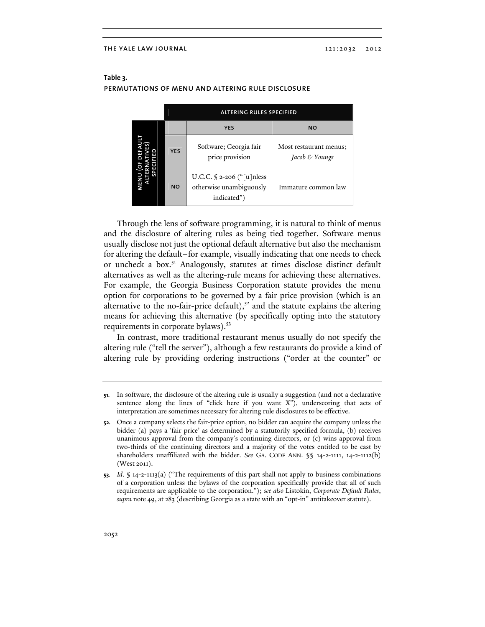|      | <b>ALTERING RULES SPECIFIED</b> |                                                                                |                                          |
|------|---------------------------------|--------------------------------------------------------------------------------|------------------------------------------|
| MENI |                                 | <b>YES</b>                                                                     | <b>NO</b>                                |
|      | <b>YES</b>                      | Software; Georgia fair<br>price provision                                      | Most restaurant menus:<br>Jacob & Youngs |
|      | <b>NO</b>                       | U.C.C. $\frac{2}{2}$ -206 ("[u]nless<br>otherwise unambiguously<br>indicated") | Immature common law                      |

# **Table 3.** permutations of menu and altering rule disclosure

Through the lens of software programming, it is natural to think of menus and the disclosure of altering rules as being tied together. Software menus usually disclose not just the optional default alternative but also the mechanism for altering the default–for example, visually indicating that one needs to check or uncheck a box.<sup>51</sup> Analogously, statutes at times disclose distinct default alternatives as well as the altering-rule means for achieving these alternatives. For example, the Georgia Business Corporation statute provides the menu option for corporations to be governed by a fair price provision (which is an alternative to the no-fair-price default), $5<sup>2</sup>$  and the statute explains the altering means for achieving this alternative (by specifically opting into the statutory requirements in corporate bylaws).<sup>53</sup>

In contrast, more traditional restaurant menus usually do not specify the altering rule ("tell the server"), although a few restaurants do provide a kind of altering rule by providing ordering instructions ("order at the counter" or

**<sup>51.</sup>** In software, the disclosure of the altering rule is usually a suggestion (and not a declarative sentence along the lines of "click here if you want X"), underscoring that acts of interpretation are sometimes necessary for altering rule disclosures to be effective.

**<sup>52.</sup>** Once a company selects the fair-price option, no bidder can acquire the company unless the bidder (a) pays a 'fair price' as determined by a statutorily specified formula, (b) receives unanimous approval from the company's continuing directors, or (c) wins approval from two-thirds of the continuing directors and a majority of the votes entitled to be cast by shareholders unaffiliated with the bidder. *See* GA. CODE ANN. §§ 14-2-1111, 14-2-1112(b) (West 2011).

**<sup>53.</sup>** *Id*. § 14-2-1113(a) ("The requirements of this part shall not apply to business combinations of a corporation unless the bylaws of the corporation specifically provide that all of such requirements are applicable to the corporation."); *see also* Listokin, *Corporate Default Rules*, *supra* note 49, at 283 (describing Georgia as a state with an "opt-in" antitakeover statute).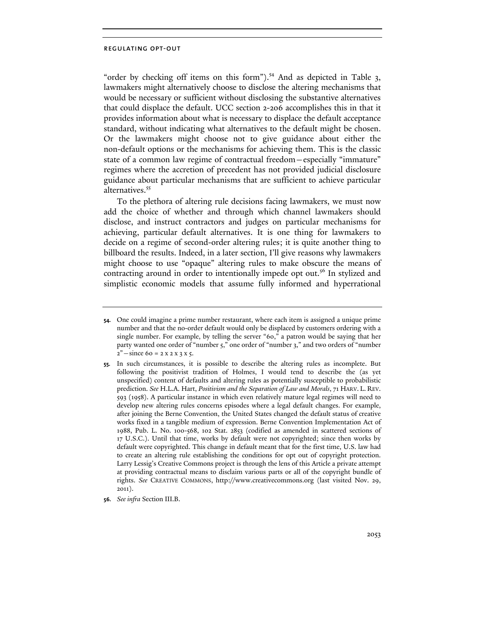"order by checking off items on this form").<sup>54</sup> And as depicted in Table 3, lawmakers might alternatively choose to disclose the altering mechanisms that would be necessary or sufficient without disclosing the substantive alternatives that could displace the default. UCC section 2-206 accomplishes this in that it provides information about what is necessary to displace the default acceptance standard, without indicating what alternatives to the default might be chosen. Or the lawmakers might choose not to give guidance about either the non-default options or the mechanisms for achieving them. This is the classic state of a common law regime of contractual freedom—especially "immature" regimes where the accretion of precedent has not provided judicial disclosure guidance about particular mechanisms that are sufficient to achieve particular alternatives.<sup>55</sup>

To the plethora of altering rule decisions facing lawmakers, we must now add the choice of whether and through which channel lawmakers should disclose, and instruct contractors and judges on particular mechanisms for achieving, particular default alternatives. It is one thing for lawmakers to decide on a regime of second-order altering rules; it is quite another thing to billboard the results. Indeed, in a later section, I'll give reasons why lawmakers might choose to use "opaque" altering rules to make obscure the means of contracting around in order to intentionally impede opt out.<sup>56</sup> In stylized and simplistic economic models that assume fully informed and hyperrational

**56.** *See infra* Section III.B.

**<sup>54.</sup>** One could imagine a prime number restaurant, where each item is assigned a unique prime number and that the no-order default would only be displaced by customers ordering with a single number. For example, by telling the server "60," a patron would be saying that her party wanted one order of "number 5," one order of "number 3," and two orders of "number  $2"$  - since 60 = 2 x 2 x 3 x 5.

**<sup>55.</sup>** In such circumstances, it is possible to describe the altering rules as incomplete. But following the positivist tradition of Holmes, I would tend to describe the (as yet unspecified) content of defaults and altering rules as potentially susceptible to probabilistic prediction. *See* H.L.A. Hart, *Positivism and the Separation of Law and Morals*, 71 HARV. L. REV. 593 (1958). A particular instance in which even relatively mature legal regimes will need to develop new altering rules concerns episodes where a legal default changes. For example, after joining the Berne Convention, the United States changed the default status of creative works fixed in a tangible medium of expression. Berne Convention Implementation Act of 1988, Pub. L. No. 100-568, 102 Stat. 2853 (codified as amended in scattered sections of 17 U.S.C.). Until that time, works by default were not copyrighted; since then works by default were copyrighted. This change in default meant that for the first time, U.S. law had to create an altering rule establishing the conditions for opt out of copyright protection. Larry Lessig's Creative Commons project is through the lens of this Article a private attempt at providing contractual means to disclaim various parts or all of the copyright bundle of rights. *See* CREATIVE COMMONS, http://www.creativecommons.org (last visited Nov. 29, 2011).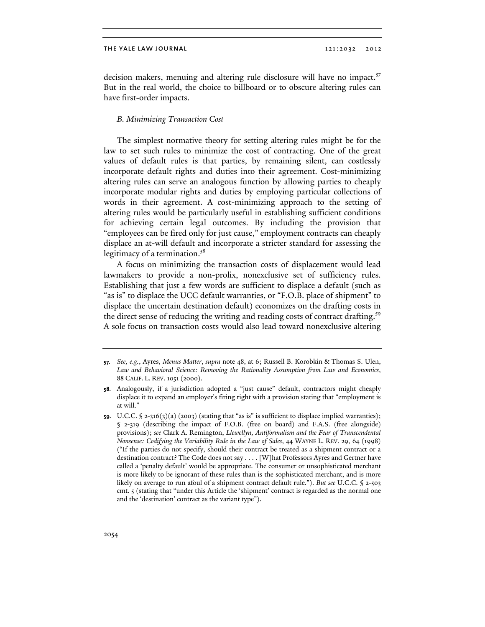decision makers, menuing and altering rule disclosure will have no impact.<sup>57</sup> But in the real world, the choice to billboard or to obscure altering rules can have first-order impacts.

## *B. Minimizing Transaction Cost*

The simplest normative theory for setting altering rules might be for the law to set such rules to minimize the cost of contracting. One of the great values of default rules is that parties, by remaining silent, can costlessly incorporate default rights and duties into their agreement. Cost-minimizing altering rules can serve an analogous function by allowing parties to cheaply incorporate modular rights and duties by employing particular collections of words in their agreement. A cost-minimizing approach to the setting of altering rules would be particularly useful in establishing sufficient conditions for achieving certain legal outcomes. By including the provision that "employees can be fired only for just cause," employment contracts can cheaply displace an at-will default and incorporate a stricter standard for assessing the legitimacy of a termination.<sup>58</sup>

A focus on minimizing the transaction costs of displacement would lead lawmakers to provide a non-prolix, nonexclusive set of sufficiency rules. Establishing that just a few words are sufficient to displace a default (such as "as is" to displace the UCC default warranties, or "F.O.B. place of shipment" to displace the uncertain destination default) economizes on the drafting costs in the direct sense of reducing the writing and reading costs of contract drafting.<sup>59</sup> A sole focus on transaction costs would also lead toward nonexclusive altering

**<sup>57.</sup>** *See, e.g.*, Ayres, *Menus Matter*, *supra* note 48, at 6; Russell B. Korobkin & Thomas S. Ulen, *Law and Behavioral Science: Removing the Rationality Assumption from Law and Economics*, 88 CALIF. L. REV. 1051 (2000).

**<sup>58.</sup>** Analogously, if a jurisdiction adopted a "just cause" default, contractors might cheaply displace it to expand an employer's firing right with a provision stating that "employment is at will."

**<sup>59.</sup>** U.C.C. § 2-316(3)(a) (2003) (stating that "as is" is sufficient to displace implied warranties); § 2-319 (describing the impact of F.O.B. (free on board) and F.A.S. (free alongside) provisions); *see* Clark A. Remington, *Llewellyn, Antiformalism and the Fear of Transcendental Nonsense: Codifying the Variability Rule in the Law of Sales*, 44 WAYNE L. REV. 29, 64 (1998) ("If the parties do not specify, should their contract be treated as a shipment contract or a destination contract? The Code does not say . . . . [W]hat Professors Ayres and Gertner have called a 'penalty default' would be appropriate. The consumer or unsophisticated merchant is more likely to be ignorant of these rules than is the sophisticated merchant, and is more likely on average to run afoul of a shipment contract default rule."). *But see* U.C.C. § 2-503 cmt. 5 (stating that "under this Article the 'shipment' contract is regarded as the normal one and the 'destination' contract as the variant type").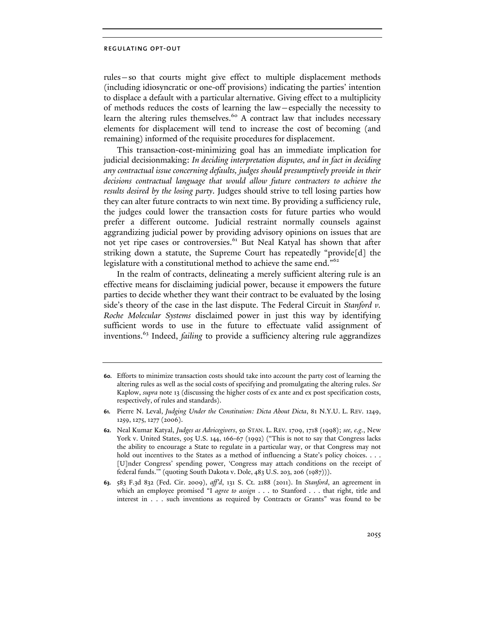rules—so that courts might give effect to multiple displacement methods (including idiosyncratic or one-off provisions) indicating the parties' intention to displace a default with a particular alternative. Giving effect to a multiplicity of methods reduces the costs of learning the law—especially the necessity to learn the altering rules themselves.<sup>60</sup> A contract law that includes necessary elements for displacement will tend to increase the cost of becoming (and remaining) informed of the requisite procedures for displacement.

This transaction-cost-minimizing goal has an immediate implication for judicial decisionmaking: *In deciding interpretation disputes, and in fact in deciding any contractual issue concerning defaults, judges should presumptively provide in their decisions contractual language that would allow future contractors to achieve the results desired by the losing party*. Judges should strive to tell losing parties how they can alter future contracts to win next time. By providing a sufficiency rule, the judges could lower the transaction costs for future parties who would prefer a different outcome. Judicial restraint normally counsels against aggrandizing judicial power by providing advisory opinions on issues that are not yet ripe cases or controversies.<sup>61</sup> But Neal Katyal has shown that after striking down a statute, the Supreme Court has repeatedly "provide[d] the legislature with a constitutional method to achieve the same end."<sup>62</sup>

In the realm of contracts, delineating a merely sufficient altering rule is an effective means for disclaiming judicial power, because it empowers the future parties to decide whether they want their contract to be evaluated by the losing side's theory of the case in the last dispute. The Federal Circuit in *Stanford v. Roche Molecular Systems* disclaimed power in just this way by identifying sufficient words to use in the future to effectuate valid assignment of inventions.63 Indeed, *failing* to provide a sufficiency altering rule aggrandizes

**<sup>60.</sup>** Efforts to minimize transaction costs should take into account the party cost of learning the altering rules as well as the social costs of specifying and promulgating the altering rules. *See* Kaplow, *supra* note 13 (discussing the higher costs of ex ante and ex post specification costs, respectively, of rules and standards).

**<sup>61.</sup>** Pierre N. Leval, *Judging Under the Constitution: Dicta About Dicta*, 81 N.Y.U. L. REV. 1249, 1259, 1275, 1277 (2006).

**<sup>62.</sup>** Neal Kumar Katyal, *Judges as Advicegivers*, 50 STAN. L. REV. 1709, 1718 (1998); *see, e.g.*, New York v. United States, 505 U.S. 144, 166-67 (1992) ("This is not to say that Congress lacks the ability to encourage a State to regulate in a particular way, or that Congress may not hold out incentives to the States as a method of influencing a State's policy choices. . . . [U]nder Congress' spending power, 'Congress may attach conditions on the receipt of federal funds.'" (quoting South Dakota v. Dole, 483 U.S. 203, 206 (1987))).

**<sup>63.</sup>** 583 F.3d 832 (Fed. Cir. 2009), *aff'd*, 131 S. Ct. 2188 (2011). In *Stanford*, an agreement in which an employee promised "I *agree to assign* . . . to Stanford . . . that right, title and interest in . . . such inventions as required by Contracts or Grants" was found to be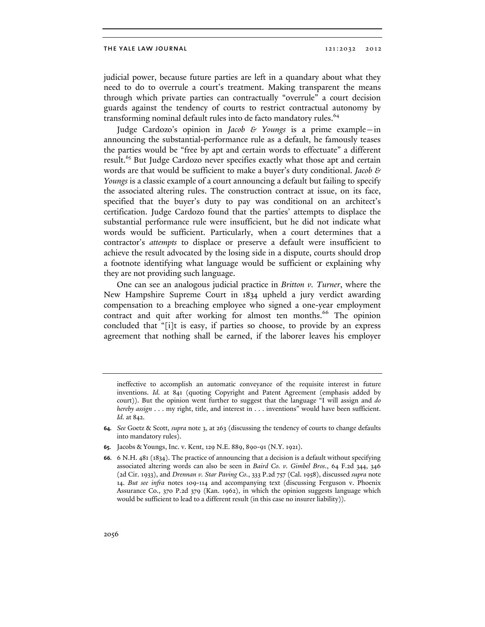judicial power, because future parties are left in a quandary about what they need to do to overrule a court's treatment. Making transparent the means through which private parties can contractually "overrule" a court decision guards against the tendency of courts to restrict contractual autonomy by transforming nominal default rules into de facto mandatory rules.<sup>64</sup>

Judge Cardozo's opinion in *Jacob & Youngs* is a prime example—in announcing the substantial-performance rule as a default, he famously teases the parties would be "free by apt and certain words to effectuate" a different result.<sup>65</sup> But Judge Cardozo never specifies exactly what those apt and certain words are that would be sufficient to make a buyer's duty conditional. *Jacob & Youngs* is a classic example of a court announcing a default but failing to specify the associated altering rules. The construction contract at issue, on its face, specified that the buyer's duty to pay was conditional on an architect's certification. Judge Cardozo found that the parties' attempts to displace the substantial performance rule were insufficient, but he did not indicate what words would be sufficient. Particularly, when a court determines that a contractor's *attempts* to displace or preserve a default were insufficient to achieve the result advocated by the losing side in a dispute, courts should drop a footnote identifying what language would be sufficient or explaining why they are not providing such language.

One can see an analogous judicial practice in *Britton v. Turner*, where the New Hampshire Supreme Court in 1834 upheld a jury verdict awarding compensation to a breaching employee who signed a one-year employment contract and quit after working for almost ten months.<sup>66</sup> The opinion concluded that "[i]t is easy, if parties so choose, to provide by an express agreement that nothing shall be earned, if the laborer leaves his employer

**65.** Jacobs & Youngs, Inc. v. Kent, 129 N.E. 889, 890-91 (N.Y. 1921).

ineffective to accomplish an automatic conveyance of the requisite interest in future inventions. *Id.* at 841 (quoting Copyright and Patent Agreement (emphasis added by court)). But the opinion went further to suggest that the language "I will assign and *do hereby assign* . . . my right, title, and interest in . . . inventions" would have been sufficient. *Id.* at 842.

**<sup>64.</sup>** *See* Goetz & Scott, *supra* note 3, at 263 (discussing the tendency of courts to change defaults into mandatory rules).

**<sup>66.</sup>** 6 N.H. 481 (1834). The practice of announcing that a decision is a default without specifying associated altering words can also be seen in *Baird Co. v. Gimbel Bros.*, 64 F.2d 344, 346 (2d Cir. 1933), and *Drennan v. Star Paving Co.*, 333 P.2d 757 (Cal. 1958), discussed *supra* note 14. *But see infra* notes 109-114 and accompanying text (discussing Ferguson v. Phoenix Assurance Co., 370 P.2d 379 (Kan. 1962), in which the opinion suggests language which would be sufficient to lead to a different result (in this case no insurer liability)).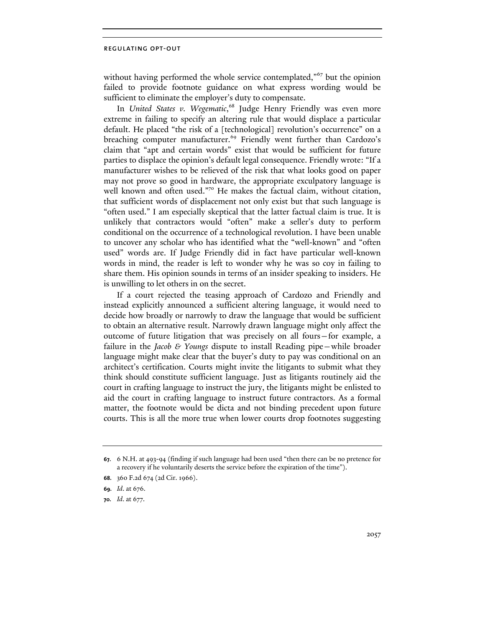without having performed the whole service contemplated,"<sup>67</sup> but the opinion failed to provide footnote guidance on what express wording would be sufficient to eliminate the employer's duty to compensate.

In *United States v. Wegematic*, 68 Judge Henry Friendly was even more extreme in failing to specify an altering rule that would displace a particular default. He placed "the risk of a [technological] revolution's occurrence" on a breaching computer manufacturer.<sup>69</sup> Friendly went further than Cardozo's claim that "apt and certain words" exist that would be sufficient for future parties to displace the opinion's default legal consequence. Friendly wrote: "If a manufacturer wishes to be relieved of the risk that what looks good on paper may not prove so good in hardware, the appropriate exculpatory language is well known and often used."70 He makes the factual claim, without citation, that sufficient words of displacement not only exist but that such language is "often used." I am especially skeptical that the latter factual claim is true. It is unlikely that contractors would "often" make a seller's duty to perform conditional on the occurrence of a technological revolution. I have been unable to uncover any scholar who has identified what the "well-known" and "often used" words are. If Judge Friendly did in fact have particular well-known words in mind, the reader is left to wonder why he was so coy in failing to share them. His opinion sounds in terms of an insider speaking to insiders. He is unwilling to let others in on the secret.

If a court rejected the teasing approach of Cardozo and Friendly and instead explicitly announced a sufficient altering language, it would need to decide how broadly or narrowly to draw the language that would be sufficient to obtain an alternative result. Narrowly drawn language might only affect the outcome of future litigation that was precisely on all fours—for example, a failure in the *Jacob & Youngs* dispute to install Reading pipe—while broader language might make clear that the buyer's duty to pay was conditional on an architect's certification. Courts might invite the litigants to submit what they think should constitute sufficient language. Just as litigants routinely aid the court in crafting language to instruct the jury, the litigants might be enlisted to aid the court in crafting language to instruct future contractors. As a formal matter, the footnote would be dicta and not binding precedent upon future courts. This is all the more true when lower courts drop footnotes suggesting

**<sup>67.</sup>** 6 N.H. at 493-94 (finding if such language had been used "then there can be no pretence for a recovery if he voluntarily deserts the service before the expiration of the time").

**<sup>68.</sup>** 360 F.2d 674 (2d Cir. 1966).

**<sup>69.</sup>** *Id*. at 676.

**<sup>70.</sup>** *Id*. at 677.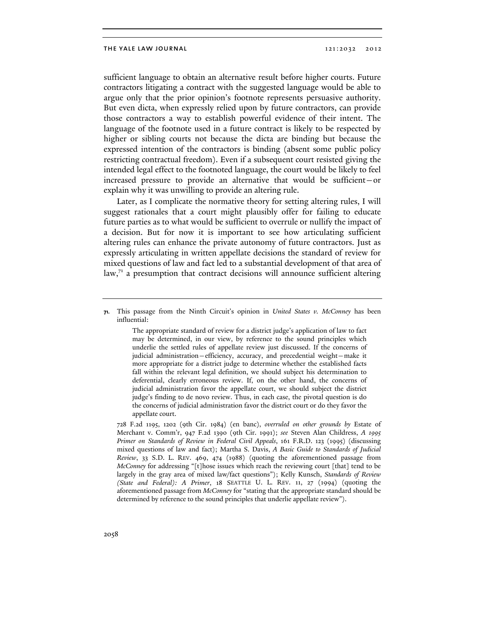sufficient language to obtain an alternative result before higher courts. Future contractors litigating a contract with the suggested language would be able to argue only that the prior opinion's footnote represents persuasive authority. But even dicta, when expressly relied upon by future contractors, can provide those contractors a way to establish powerful evidence of their intent. The language of the footnote used in a future contract is likely to be respected by higher or sibling courts not because the dicta are binding but because the expressed intention of the contractors is binding (absent some public policy restricting contractual freedom). Even if a subsequent court resisted giving the intended legal effect to the footnoted language, the court would be likely to feel increased pressure to provide an alternative that would be sufficient—or explain why it was unwilling to provide an altering rule.

Later, as I complicate the normative theory for setting altering rules, I will suggest rationales that a court might plausibly offer for failing to educate future parties as to what would be sufficient to overrule or nullify the impact of a decision. But for now it is important to see how articulating sufficient altering rules can enhance the private autonomy of future contractors. Just as expressly articulating in written appellate decisions the standard of review for mixed questions of law and fact led to a substantial development of that area of  $\text{law,}^7$  a presumption that contract decisions will announce sufficient altering

The appropriate standard of review for a district judge's application of law to fact may be determined, in our view, by reference to the sound principles which underlie the settled rules of appellate review just discussed. If the concerns of judicial administration—efficiency, accuracy, and precedential weight—make it more appropriate for a district judge to determine whether the established facts fall within the relevant legal definition, we should subject his determination to deferential, clearly erroneous review. If, on the other hand, the concerns of judicial administration favor the appellate court, we should subject the district judge's finding to de novo review. Thus, in each case, the pivotal question is do the concerns of judicial administration favor the district court or do they favor the appellate court.

 728 F.2d 1195, 1202 (9th Cir. 1984) (en banc), *overruled on other grounds by* Estate of Merchant v. Comm'r, 947 F.2d 1390 (9th Cir. 1991); *see* Steven Alan Childress, *A 1995 Primer on Standards of Review in Federal Civil Appeals*, 161 F.R.D. 123 (1995) (discussing mixed questions of law and fact); Martha S. Davis, *A Basic Guide to Standards of Judicial Review*, 33 S.D. L. REV. 469, 474 (1988) (quoting the aforementioned passage from *McConney* for addressing "[t]hose issues which reach the reviewing court [that] tend to be largely in the gray area of mixed law/fact questions"); Kelly Kunsch, *Standards of Review (State and Federal): A Primer*, 18 SEATTLE U. L. REV. 11, 27 (1994) (quoting the aforementioned passage from *McConney* for "stating that the appropriate standard should be determined by reference to the sound principles that underlie appellate review").

**<sup>71.</sup>** This passage from the Ninth Circuit's opinion in *United States v. McConney* has been influential: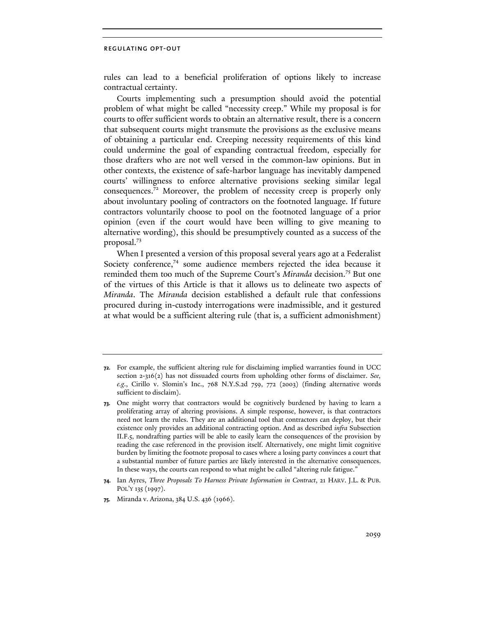rules can lead to a beneficial proliferation of options likely to increase contractual certainty.

Courts implementing such a presumption should avoid the potential problem of what might be called "necessity creep." While my proposal is for courts to offer sufficient words to obtain an alternative result, there is a concern that subsequent courts might transmute the provisions as the exclusive means of obtaining a particular end. Creeping necessity requirements of this kind could undermine the goal of expanding contractual freedom, especially for those drafters who are not well versed in the common-law opinions. But in other contexts, the existence of safe-harbor language has inevitably dampened courts' willingness to enforce alternative provisions seeking similar legal consequences.72 Moreover, the problem of necessity creep is properly only about involuntary pooling of contractors on the footnoted language. If future contractors voluntarily choose to pool on the footnoted language of a prior opinion (even if the court would have been willing to give meaning to alternative wording), this should be presumptively counted as a success of the proposal.<sup>73</sup>

When I presented a version of this proposal several years ago at a Federalist Society conference,74 some audience members rejected the idea because it reminded them too much of the Supreme Court's *Miranda* decision.75 But one of the virtues of this Article is that it allows us to delineate two aspects of *Miranda*. The *Miranda* decision established a default rule that confessions procured during in-custody interrogations were inadmissible, and it gestured at what would be a sufficient altering rule (that is, a sufficient admonishment)

**<sup>72.</sup>** For example, the sufficient altering rule for disclaiming implied warranties found in UCC section 2-316(2) has not dissuaded courts from upholding other forms of disclaimer. *See, e.g.*, Cirillo v. Slomin's Inc., 768 N.Y.S.2d 759, 772 (2003) (finding alternative words sufficient to disclaim).

**<sup>73.</sup>** One might worry that contractors would be cognitively burdened by having to learn a proliferating array of altering provisions. A simple response, however, is that contractors need not learn the rules. They are an additional tool that contractors can deploy, but their existence only provides an additional contracting option. And as described *infra* Subsection II.F.5, nondrafting parties will be able to easily learn the consequences of the provision by reading the case referenced in the provision itself. Alternatively, one might limit cognitive burden by limiting the footnote proposal to cases where a losing party convinces a court that a substantial number of future parties are likely interested in the alternative consequences. In these ways, the courts can respond to what might be called "altering rule fatigue."

**<sup>74.</sup>** Ian Ayres, *Three Proposals To Harness Private Information in Contract*, 21 HARV. J.L. & PUB. POL'Y 135 (1997).

**<sup>75.</sup>** Miranda v. Arizona, 384 U.S. 436 (1966).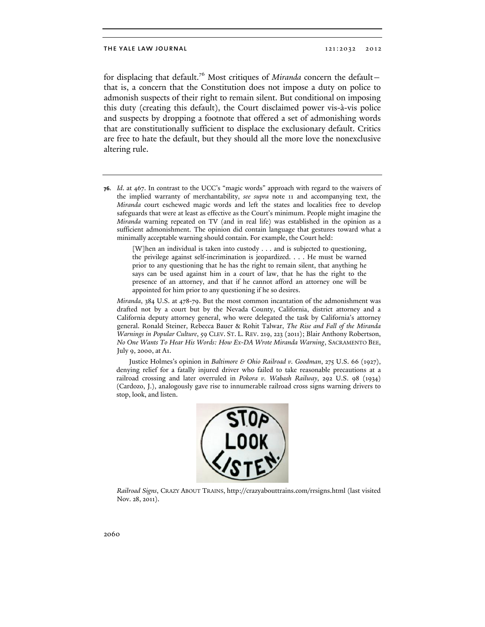for displacing that default.76 Most critiques of *Miranda* concern the default that is, a concern that the Constitution does not impose a duty on police to admonish suspects of their right to remain silent. But conditional on imposing this duty (creating this default), the Court disclaimed power vis-à-vis police and suspects by dropping a footnote that offered a set of admonishing words that are constitutionally sufficient to displace the exclusionary default. Critics are free to hate the default, but they should all the more love the nonexclusive altering rule.

**76.** *Id*. at 467. In contrast to the UCC's "magic words" approach with regard to the waivers of the implied warranty of merchantability, *see supra* note 11 and accompanying text, the *Miranda* court eschewed magic words and left the states and localities free to develop safeguards that were at least as effective as the Court's minimum. People might imagine the *Miranda* warning repeated on TV (and in real life) was established in the opinion as a sufficient admonishment. The opinion did contain language that gestures toward what a minimally acceptable warning should contain. For example, the Court held:

> [W]hen an individual is taken into custody . . . and is subjected to questioning, the privilege against self-incrimination is jeopardized. . . . He must be warned prior to any questioning that he has the right to remain silent, that anything he says can be used against him in a court of law, that he has the right to the presence of an attorney, and that if he cannot afford an attorney one will be appointed for him prior to any questioning if he so desires.

 *Miranda*, 384 U.S. at 478-79. But the most common incantation of the admonishment was drafted not by a court but by the Nevada County, California, district attorney and a California deputy attorney general, who were delegated the task by California's attorney general. Ronald Steiner, Rebecca Bauer & Rohit Talwar, *The Rise and Fall of the Miranda Warnings in Popular Culture*, 59 CLEV. ST. L. REV. 219, 223 (2011); Blair Anthony Robertson, *No One Wants To Hear His Words: How Ex-DA Wrote Miranda Warning*, SACRAMENTO BEE, July 9, 2000, at A1.

Justice Holmes's opinion in *Baltimore & Ohio Railroad v. Goodman*, 275 U.S. 66 (1927), denying relief for a fatally injured driver who failed to take reasonable precautions at a railroad crossing and later overruled in *Pokora v. Wabash Railway*, 292 U.S. 98 (1934) (Cardozo, J.), analogously gave rise to innumerable railroad cross signs warning drivers to stop, look, and listen.



 *Railroad Signs*, CRAZY ABOUT TRAINS, http://crazyabouttrains.com/rrsigns.html (last visited Nov. 28, 2011).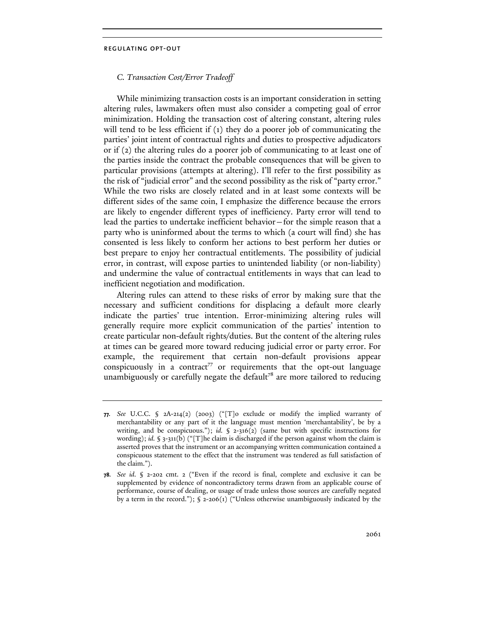## *C. Transaction Cost/Error Tradeoff*

While minimizing transaction costs is an important consideration in setting altering rules, lawmakers often must also consider a competing goal of error minimization. Holding the transaction cost of altering constant, altering rules will tend to be less efficient if (1) they do a poorer job of communicating the parties' joint intent of contractual rights and duties to prospective adjudicators or if (2) the altering rules do a poorer job of communicating to at least one of the parties inside the contract the probable consequences that will be given to particular provisions (attempts at altering). I'll refer to the first possibility as the risk of "judicial error" and the second possibility as the risk of "party error." While the two risks are closely related and in at least some contexts will be different sides of the same coin, I emphasize the difference because the errors are likely to engender different types of inefficiency. Party error will tend to lead the parties to undertake inefficient behavior—for the simple reason that a party who is uninformed about the terms to which (a court will find) she has consented is less likely to conform her actions to best perform her duties or best prepare to enjoy her contractual entitlements. The possibility of judicial error, in contrast, will expose parties to unintended liability (or non-liability) and undermine the value of contractual entitlements in ways that can lead to inefficient negotiation and modification.

Altering rules can attend to these risks of error by making sure that the necessary and sufficient conditions for displacing a default more clearly indicate the parties' true intention. Error-minimizing altering rules will generally require more explicit communication of the parties' intention to create particular non-default rights/duties. But the content of the altering rules at times can be geared more toward reducing judicial error or party error. For example, the requirement that certain non-default provisions appear conspicuously in a contract<sup>77</sup> or requirements that the opt-out language unambiguously or carefully negate the default<sup>78</sup> are more tailored to reducing

**<sup>77.</sup>** *See* U.C.C. § 2A-214(2) (2003) ("[T]o exclude or modify the implied warranty of merchantability or any part of it the language must mention 'merchantability', be by a writing, and be conspicuous."); *id.* § 2-316(2) (same but with specific instructions for wording); *id.* § 3-311(b) ("[T]he claim is discharged if the person against whom the claim is asserted proves that the instrument or an accompanying written communication contained a conspicuous statement to the effect that the instrument was tendered as full satisfaction of the claim.").

**<sup>78.</sup>** *See id*. § 2-202 cmt. 2 ("Even if the record is final, complete and exclusive it can be supplemented by evidence of noncontradictory terms drawn from an applicable course of performance, course of dealing, or usage of trade unless those sources are carefully negated by a term in the record.");  $\oint$  2-206(1) ("Unless otherwise unambiguously indicated by the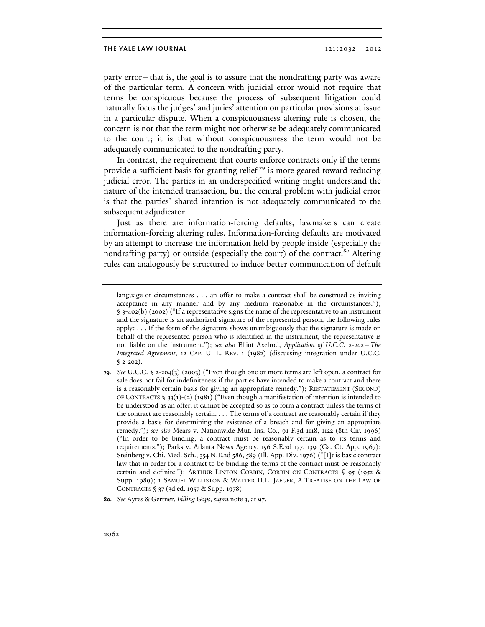party error—that is, the goal is to assure that the nondrafting party was aware of the particular term. A concern with judicial error would not require that terms be conspicuous because the process of subsequent litigation could naturally focus the judges' and juries' attention on particular provisions at issue in a particular dispute. When a conspicuousness altering rule is chosen, the concern is not that the term might not otherwise be adequately communicated to the court; it is that without conspicuousness the term would not be adequately communicated to the nondrafting party.

In contrast, the requirement that courts enforce contracts only if the terms provide a sufficient basis for granting relief<sup>79</sup> is more geared toward reducing judicial error. The parties in an underspecified writing might understand the nature of the intended transaction, but the central problem with judicial error is that the parties' shared intention is not adequately communicated to the subsequent adjudicator.

Just as there are information-forcing defaults, lawmakers can create information-forcing altering rules. Information-forcing defaults are motivated by an attempt to increase the information held by people inside (especially the nondrafting party) or outside (especially the court) of the contract.<sup>80</sup> Altering rules can analogously be structured to induce better communication of default

language or circumstances . . . an offer to make a contract shall be construed as inviting acceptance in any manner and by any medium reasonable in the circumstances."); § 3-402(b) (2002) ("If a representative signs the name of the representative to an instrument and the signature is an authorized signature of the represented person, the following rules apply: . . . If the form of the signature shows unambiguously that the signature is made on behalf of the represented person who is identified in the instrument, the representative is not liable on the instrument."); *see also* Elliot Axelrod, *Application of U.C.C. 2-202—The Integrated Agreement*, 12 CAP. U. L. REV. 1 (1982) (discussing integration under U.C.C.  $$2-202$ ).

**<sup>79.</sup>** *See* U.C.C. § 2-204(3) (2003) ("Even though one or more terms are left open, a contract for sale does not fail for indefiniteness if the parties have intended to make a contract and there is a reasonably certain basis for giving an appropriate remedy."); RESTATEMENT (SECOND) OF CONTRACTS § 33(1)-(2) (1981) ("Even though a manifestation of intention is intended to be understood as an offer, it cannot be accepted so as to form a contract unless the terms of the contract are reasonably certain. . . . The terms of a contract are reasonably certain if they provide a basis for determining the existence of a breach and for giving an appropriate remedy."); *see also* Mears v. Nationwide Mut. Ins. Co., 91 F.3d 1118, 1122 (8th Cir. 1996) ("In order to be binding, a contract must be reasonably certain as to its terms and requirements."); Parks v. Atlanta News Agency, 156 S.E.2d 137, 139 (Ga. Ct. App. 1967); Steinberg v. Chi. Med. Sch., 354 N.E.2d 586, 589 (Ill. App. Div. 1976) ("[I]t is basic contract law that in order for a contract to be binding the terms of the contract must be reasonably certain and definite."); ARTHUR LINTON CORBIN, CORBIN ON CONTRACTS § 95 (1952 & Supp. 1989); 1 SAMUEL WILLISTON & WALTER H.E. JAEGER, A TREATISE ON THE LAW OF CONTRACTS § 37 (3d ed. 1957 & Supp. 1978).

**<sup>80.</sup>** *See* Ayres & Gertner, *Filling Gaps*, *supra* note 3, at 97.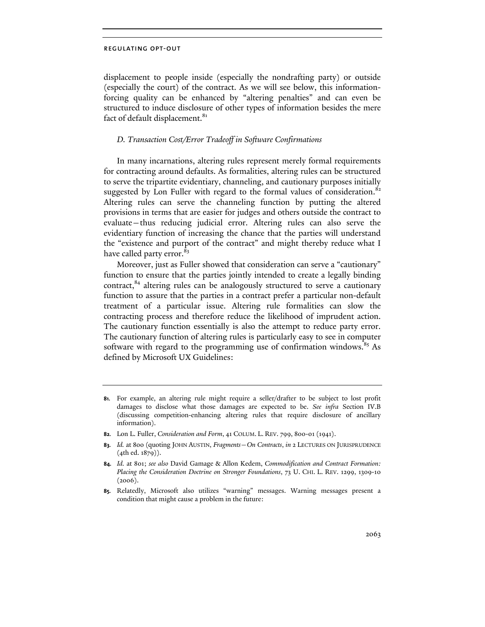displacement to people inside (especially the nondrafting party) or outside (especially the court) of the contract. As we will see below, this informationforcing quality can be enhanced by "altering penalties" and can even be structured to induce disclosure of other types of information besides the mere fact of default displacement.<sup>81</sup>

## *D. Transaction Cost/Error Tradeoff in Software Confirmations*

In many incarnations, altering rules represent merely formal requirements for contracting around defaults. As formalities, altering rules can be structured to serve the tripartite evidentiary, channeling, and cautionary purposes initially suggested by Lon Fuller with regard to the formal values of consideration.<sup>8</sup> Altering rules can serve the channeling function by putting the altered provisions in terms that are easier for judges and others outside the contract to evaluate—thus reducing judicial error. Altering rules can also serve the evidentiary function of increasing the chance that the parties will understand the "existence and purport of the contract" and might thereby reduce what I have called party error.<sup>83</sup>

Moreover, just as Fuller showed that consideration can serve a "cautionary" function to ensure that the parties jointly intended to create a legally binding contract,<sup>84</sup> altering rules can be analogously structured to serve a cautionary function to assure that the parties in a contract prefer a particular non-default treatment of a particular issue. Altering rule formalities can slow the contracting process and therefore reduce the likelihood of imprudent action. The cautionary function essentially is also the attempt to reduce party error. The cautionary function of altering rules is particularly easy to see in computer software with regard to the programming use of confirmation windows.<sup>85</sup> As defined by Microsoft UX Guidelines:

- **82.** Lon L. Fuller, *Consideration and Form*, 41 COLUM. L. REV. 799, 800-01 (1941).
- **83.** *Id.* at 800 (quoting JOHN AUSTIN, *Fragments*—*On Contracts*, *in* 2 LECTURES ON JURISPRUDENCE (4th ed. 1879)).

**85.** Relatedly, Microsoft also utilizes "warning" messages. Warning messages present a condition that might cause a problem in the future:

**<sup>81.</sup>** For example, an altering rule might require a seller/drafter to be subject to lost profit damages to disclose what those damages are expected to be. *See infra* Section IV.B (discussing competition-enhancing altering rules that require disclosure of ancillary information).

**<sup>84.</sup>** *Id.* at 801; *see also* David Gamage & Allon Kedem, *Commodification and Contract Formation: Placing the Consideration Doctrine on Stronger Foundations*, 73 U. CHI. L. REV. 1299, 1309-10  $(2006).$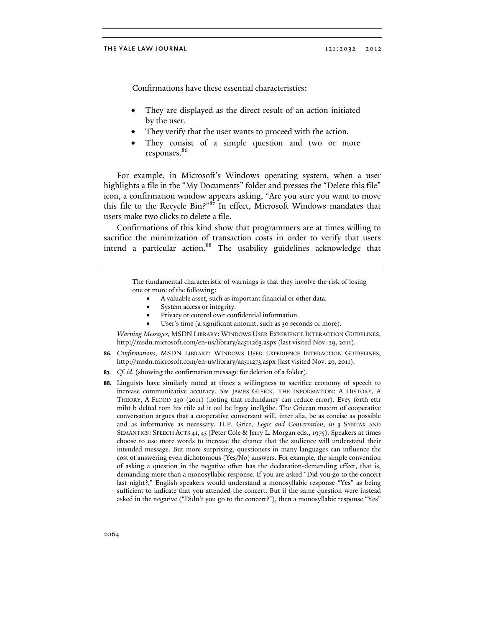Confirmations have these essential characteristics:

- They are displayed as the direct result of an action initiated by the user.
- They verify that the user wants to proceed with the action.
- They consist of a simple question and two or more responses.<sup>86</sup>

For example, in Microsoft's Windows operating system, when a user highlights a file in the "My Documents" folder and presses the "Delete this file" icon, a confirmation window appears asking, "Are you sure you want to move this file to the Recycle Bin?"87 In effect, Microsoft Windows mandates that users make two clicks to delete a file.

Confirmations of this kind show that programmers are at times willing to sacrifice the minimization of transaction costs in order to verify that users intend a particular action.<sup>88</sup> The usability guidelines acknowledge that

> The fundamental characteristic of warnings is that they involve the risk of losing one or more of the following:

- A valuable asset, such as important financial or other data.
- System access or integrity.
- Privacy or control over confidential information.
- User's time (a significant amount, such as 30 seconds or more).

 *Warning Messages*, MSDN LIBRARY: WINDOWS USER EXPERIENCE INTERACTION GUIDELINES, http://msdn.microsoft.com/en-us/library/aa511263.aspx (last visited Nov. 29, 2011).

- **86.** *Confirmations*, MSDN LIBRARY: WINDOWS USER EXPERIENCE INTERACTION GUIDELINES, http://msdn.microsoft.com/en-us/library/aa511273.aspx (last visited Nov. 29, 2011).
- **87.** *Cf. id*. (showing the confirmation message for deletion of a folder).
- **88.** Linguists have similarly noted at times a willingness to sacrifice economy of speech to increase communicative accuracy. *See* JAMES GLEICK, THE INFORMATION: A HISTORY, A THEORY, A FLOOD 230 (2011) (noting that redundancy can reduce error). Evey forth ettr miht b delted rom his rtile ad it oul be lrgey inellgibe. The Gricean maxim of cooperative conversation argues that a cooperative conversant will, inter alia, be as concise as possible and as informative as necessary. H.P. Grice, *Logic and Conversation*, *in* 3 SYNTAX AND SEMANTICS: SPEECH ACTS 41, 45 (Peter Cole & Jerry L. Morgan eds., 1975). Speakers at times choose to use more words to increase the chance that the audience will understand their intended message. But more surprising, questioners in many languages can influence the cost of answering even dichotomous (Yes/No) answers. For example, the simple convention of asking a question in the negative often has the declaration-demanding effect, that is, demanding more than a monosyllabic response. If you are asked "Did you go to the concert last night?," English speakers would understand a monosyllabic response "Yes" as being sufficient to indicate that you attended the concert. But if the same question were instead asked in the negative ("Didn't you go to the concert?"), then a monosyllabic response "Yes"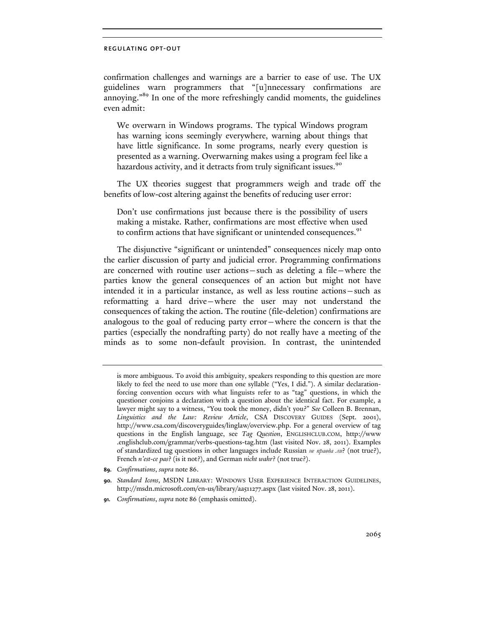confirmation challenges and warnings are a barrier to ease of use. The UX guidelines warn programmers that "[u]nnecessary confirmations are annoying."89 In one of the more refreshingly candid moments, the guidelines even admit:

We overwarn in Windows programs. The typical Windows program has warning icons seemingly everywhere, warning about things that have little significance. In some programs, nearly every question is presented as a warning. Overwarning makes using a program feel like a hazardous activity, and it detracts from truly significant issues.<sup>90</sup>

The UX theories suggest that programmers weigh and trade off the benefits of low-cost altering against the benefits of reducing user error:

Don't use confirmations just because there is the possibility of users making a mistake. Rather, confirmations are most effective when used to confirm actions that have significant or unintended consequences.<sup>91</sup>

The disjunctive "significant or unintended" consequences nicely map onto the earlier discussion of party and judicial error. Programming confirmations are concerned with routine user actions—such as deleting a file—where the parties know the general consequences of an action but might not have intended it in a particular instance, as well as less routine actions—such as reformatting a hard drive—where the user may not understand the consequences of taking the action. The routine (file-deletion) confirmations are analogous to the goal of reducing party error—where the concern is that the parties (especially the nondrafting party) do not really have a meeting of the minds as to some non-default provision. In contrast, the unintended

- **89.** *Confirmations*, *supra* note 86.
- **90.** *Standard Icons*, MSDN LIBRARY: WINDOWS USER EXPERIENCE INTERACTION GUIDELINES, http://msdn.microsoft.com/en-us/library/aa511277.aspx (last visited Nov. 28, 2011).
- **91.** *Confirmations*, *supra* note 86 (emphasis omitted).

is more ambiguous. To avoid this ambiguity, speakers responding to this question are more likely to feel the need to use more than one syllable ("Yes, I did."). A similar declarationforcing convention occurs with what linguists refer to as "tag" questions, in which the questioner conjoins a declaration with a question about the identical fact. For example, a lawyer might say to a witness, "You took the money, didn't you?" *See* Colleen B. Brennan, *Linguistics and the Law: Review Article*, CSA DISCOVERY GUIDES (Sept. 2001), http://www.csa.com/discoveryguides/linglaw/overview.php. For a general overview of tag questions in the English language, see *Tag Question*, ENGLISHCLUB.COM, http://www .englishclub.com/grammar/verbs-questions-tag.htm (last visited Nov. 28, 2011). Examples of standardized tag questions in other languages include Russian *не правда ли*? (not true?), French *n'est-ce pas*? (is it not?), and German *nicht wahr*? (not true?).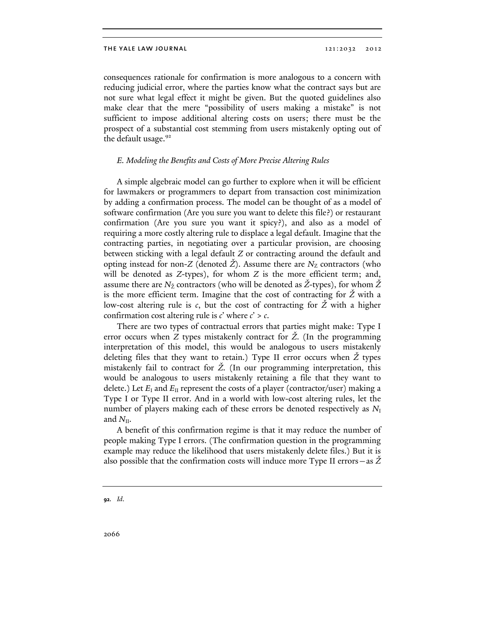consequences rationale for confirmation is more analogous to a concern with reducing judicial error, where the parties know what the contract says but are not sure what legal effect it might be given. But the quoted guidelines also make clear that the mere "possibility of users making a mistake" is not sufficient to impose additional altering costs on users; there must be the prospect of a substantial cost stemming from users mistakenly opting out of the default usage.<sup>92</sup>

## *E. Modeling the Benefits and Costs of More Precise Altering Rules*

A simple algebraic model can go further to explore when it will be efficient for lawmakers or programmers to depart from transaction cost minimization by adding a confirmation process. The model can be thought of as a model of software confirmation (Are you sure you want to delete this file?) or restaurant confirmation (Are you sure you want it spicy?), and also as a model of requiring a more costly altering rule to displace a legal default. Imagine that the contracting parties, in negotiating over a particular provision, are choosing between sticking with a legal default *Z* or contracting around the default and opting instead for non-*Z* (denoted  $\dot{Z}$ ). Assume there are  $N_Z$  contractors (who will be denoted as *Z*-types), for whom *Z* is the more efficient term; and, assume there are  $N_{\rm Z}$  contractors (who will be denoted as  $\rm Z$ -types), for whom  $\rm Z$ is the more efficient term. Imagine that the cost of contracting for *Ž* with a low-cost altering rule is *c*, but the cost of contracting for *Ž* with a higher confirmation cost altering rule is *c*' where *c*' > *c*.

There are two types of contractual errors that parties might make: Type I error occurs when *Z* types mistakenly contract for *Ž*. (In the programming interpretation of this model, this would be analogous to users mistakenly deleting files that they want to retain.) Type II error occurs when *Ž* types mistakenly fail to contract for *Ž*. (In our programming interpretation, this would be analogous to users mistakenly retaining a file that they want to delete.) Let  $E_1$  and  $E_{II}$  represent the costs of a player (contractor/user) making a Type I or Type II error. And in a world with low-cost altering rules, let the number of players making each of these errors be denoted respectively as  $N_I$ and  $N_{\text{II}}$ .

A benefit of this confirmation regime is that it may reduce the number of people making Type I errors. (The confirmation question in the programming example may reduce the likelihood that users mistakenly delete files.) But it is also possible that the confirmation costs will induce more Type II errors—as *Ž*

**<sup>92.</sup>** *Id*.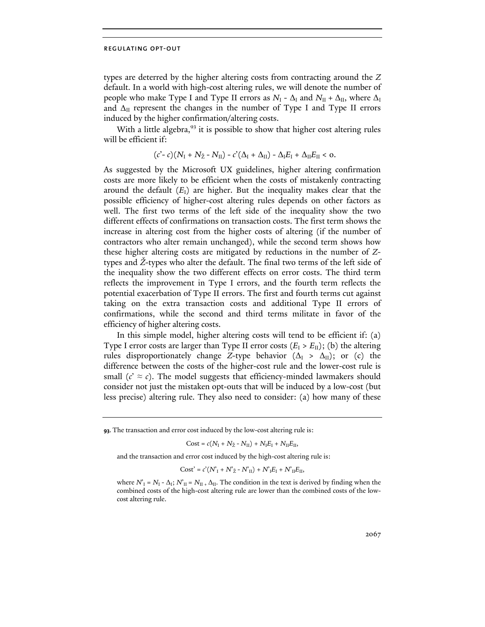types are deterred by the higher altering costs from contracting around the *Z* default. In a world with high-cost altering rules, we will denote the number of people who make Type I and Type II errors as  $N_{\rm I}$  -  $\Delta_{\rm I}$  and  $N_{\rm II}$  +  $\Delta_{\rm II}$ , where  $\Delta_{\rm I}$ and  $\Delta_{II}$  represent the changes in the number of Type I and Type II errors induced by the higher confirmation/altering costs.

With a little algebra,<sup>93</sup> it is possible to show that higher cost altering rules will be efficient if:

$$
(c'-c)(N_{\mathrm{I}}+N_{\mathrm{Z}}-N_{\mathrm{II}})-c'(\Delta_{\mathrm{I}}+\Delta_{\mathrm{II}})-\Delta_{\mathrm{I}}E_{\mathrm{I}}+\Delta_{\mathrm{II}}E_{\mathrm{II}}<0.
$$

As suggested by the Microsoft UX guidelines, higher altering confirmation costs are more likely to be efficient when the costs of mistakenly contracting around the default  $(E<sub>I</sub>)$  are higher. But the inequality makes clear that the possible efficiency of higher-cost altering rules depends on other factors as well. The first two terms of the left side of the inequality show the two different effects of confirmations on transaction costs. The first term shows the increase in altering cost from the higher costs of altering (if the number of contractors who alter remain unchanged), while the second term shows how these higher altering costs are mitigated by reductions in the number of *Z*types and *Ž*-types who alter the default. The final two terms of the left side of the inequality show the two different effects on error costs. The third term reflects the improvement in Type I errors, and the fourth term reflects the potential exacerbation of Type II errors. The first and fourth terms cut against taking on the extra transaction costs and additional Type II errors of confirmations, while the second and third terms militate in favor of the efficiency of higher altering costs.

In this simple model, higher altering costs will tend to be efficient if: (a) Type I error costs are larger than Type II error costs  $(E_1 > E_{II})$ ; (b) the altering rules disproportionately change *Z*-type behavior  $(\Delta_{\text{I}} > \Delta_{\text{II}})$ ; or (c) the difference between the costs of the higher-cost rule and the lower-cost rule is small  $(c' \approx c)$ . The model suggests that efficiency-minded lawmakers should consider not just the mistaken opt-outs that will be induced by a low-cost (but less precise) altering rule. They also need to consider: (a) how many of these

**93.** The transaction and error cost induced by the low-cost altering rule is:

 $Cost = c(N_I + N_{\rm Z} - N_{\rm II}) + N_I E_I + N_{\rm II} E_{\rm II},$ 

and the transaction and error cost induced by the high-cost altering rule is:

 $Cost' = c'(N_I + N_{\check{Z}} - N_{II}) + N_I E_I + N_{II} E_{II},$ 

where  $N_I = N_I - \Delta_I$ ;  $N_{II} = N_{II} + \Delta_{II}$ . The condition in the text is derived by finding when the combined costs of the high-cost altering rule are lower than the combined costs of the lowcost altering rule.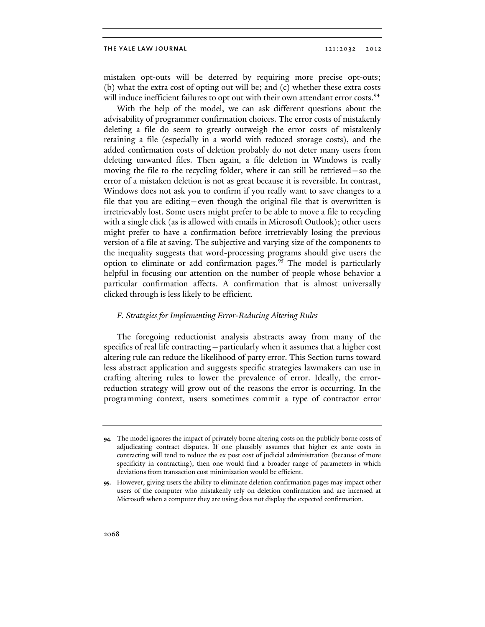mistaken opt-outs will be deterred by requiring more precise opt-outs; (b) what the extra cost of opting out will be; and (c) whether these extra costs will induce inefficient failures to opt out with their own attendant error costs.<sup>94</sup>

With the help of the model, we can ask different questions about the advisability of programmer confirmation choices. The error costs of mistakenly deleting a file do seem to greatly outweigh the error costs of mistakenly retaining a file (especially in a world with reduced storage costs), and the added confirmation costs of deletion probably do not deter many users from deleting unwanted files. Then again, a file deletion in Windows is really moving the file to the recycling folder, where it can still be retrieved—so the error of a mistaken deletion is not as great because it is reversible. In contrast, Windows does not ask you to confirm if you really want to save changes to a file that you are editing—even though the original file that is overwritten is irretrievably lost. Some users might prefer to be able to move a file to recycling with a single click (as is allowed with emails in Microsoft Outlook); other users might prefer to have a confirmation before irretrievably losing the previous version of a file at saving. The subjective and varying size of the components to the inequality suggests that word-processing programs should give users the option to eliminate or add confirmation pages.<sup>95</sup> The model is particularly helpful in focusing our attention on the number of people whose behavior a particular confirmation affects. A confirmation that is almost universally clicked through is less likely to be efficient.

# *F. Strategies for Implementing Error-Reducing Altering Rules*

The foregoing reductionist analysis abstracts away from many of the specifics of real life contracting—particularly when it assumes that a higher cost altering rule can reduce the likelihood of party error. This Section turns toward less abstract application and suggests specific strategies lawmakers can use in crafting altering rules to lower the prevalence of error. Ideally, the errorreduction strategy will grow out of the reasons the error is occurring. In the programming context, users sometimes commit a type of contractor error

**<sup>94.</sup>** The model ignores the impact of privately borne altering costs on the publicly borne costs of adjudicating contract disputes. If one plausibly assumes that higher ex ante costs in contracting will tend to reduce the ex post cost of judicial administration (because of more specificity in contracting), then one would find a broader range of parameters in which deviations from transaction cost minimization would be efficient.

**<sup>95.</sup>** However, giving users the ability to eliminate deletion confirmation pages may impact other users of the computer who mistakenly rely on deletion confirmation and are incensed at Microsoft when a computer they are using does not display the expected confirmation.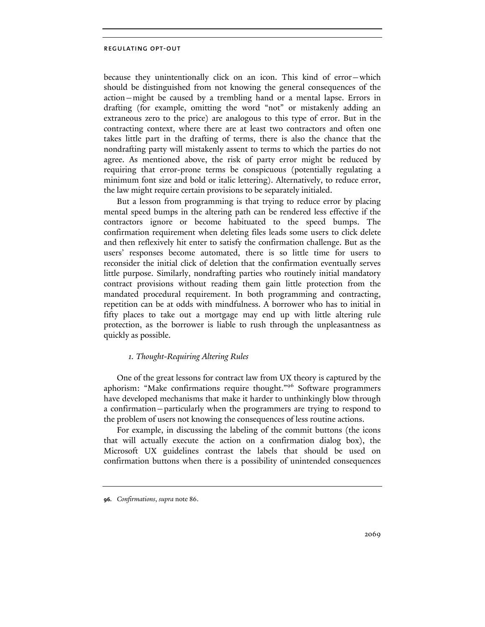because they unintentionally click on an icon. This kind of error—which should be distinguished from not knowing the general consequences of the action—might be caused by a trembling hand or a mental lapse. Errors in drafting (for example, omitting the word "not" or mistakenly adding an extraneous zero to the price) are analogous to this type of error. But in the contracting context, where there are at least two contractors and often one takes little part in the drafting of terms, there is also the chance that the nondrafting party will mistakenly assent to terms to which the parties do not agree. As mentioned above, the risk of party error might be reduced by requiring that error-prone terms be conspicuous (potentially regulating a minimum font size and bold or italic lettering). Alternatively, to reduce error, the law might require certain provisions to be separately initialed.

But a lesson from programming is that trying to reduce error by placing mental speed bumps in the altering path can be rendered less effective if the contractors ignore or become habituated to the speed bumps. The confirmation requirement when deleting files leads some users to click delete and then reflexively hit enter to satisfy the confirmation challenge. But as the users' responses become automated, there is so little time for users to reconsider the initial click of deletion that the confirmation eventually serves little purpose. Similarly, nondrafting parties who routinely initial mandatory contract provisions without reading them gain little protection from the mandated procedural requirement. In both programming and contracting, repetition can be at odds with mindfulness. A borrower who has to initial in fifty places to take out a mortgage may end up with little altering rule protection, as the borrower is liable to rush through the unpleasantness as quickly as possible.

## *1. Thought-Requiring Altering Rules*

One of the great lessons for contract law from UX theory is captured by the aphorism: "Make confirmations require thought."96 Software programmers have developed mechanisms that make it harder to unthinkingly blow through a confirmation—particularly when the programmers are trying to respond to the problem of users not knowing the consequences of less routine actions.

For example, in discussing the labeling of the commit buttons (the icons that will actually execute the action on a confirmation dialog box), the Microsoft UX guidelines contrast the labels that should be used on confirmation buttons when there is a possibility of unintended consequences

**<sup>96.</sup>** *Confirmations*, *supra* note 86.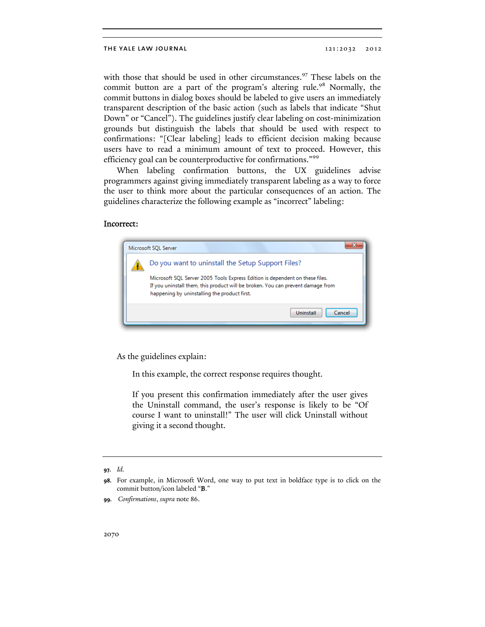with those that should be used in other circumstances.<sup>97</sup> These labels on the commit button are a part of the program's altering rule.<sup>98</sup> Normally, the commit buttons in dialog boxes should be labeled to give users an immediately transparent description of the basic action (such as labels that indicate "Shut Down" or "Cancel"). The guidelines justify clear labeling on cost-minimization grounds but distinguish the labels that should be used with respect to confirmations: "[Clear labeling] leads to efficient decision making because users have to read a minimum amount of text to proceed. However, this efficiency goal can be counterproductive for confirmations."<sup>99</sup>

When labeling confirmation buttons, the UX guidelines advise programmers against giving immediately transparent labeling as a way to force the user to think more about the particular consequences of an action. The guidelines characterize the following example as "incorrect" labeling:

# Incorrect:



As the guidelines explain:

In this example, the correct response requires thought.

If you present this confirmation immediately after the user gives the Uninstall command, the user's response is likely to be "Of course I want to uninstall!" The user will click Uninstall without giving it a second thought.

**<sup>97.</sup>** *Id.*

**<sup>98.</sup>** For example, in Microsoft Word, one way to put text in boldface type is to click on the commit button/icon labeled "B."

**<sup>99.</sup>** *Confirmations*, *supra* note 86.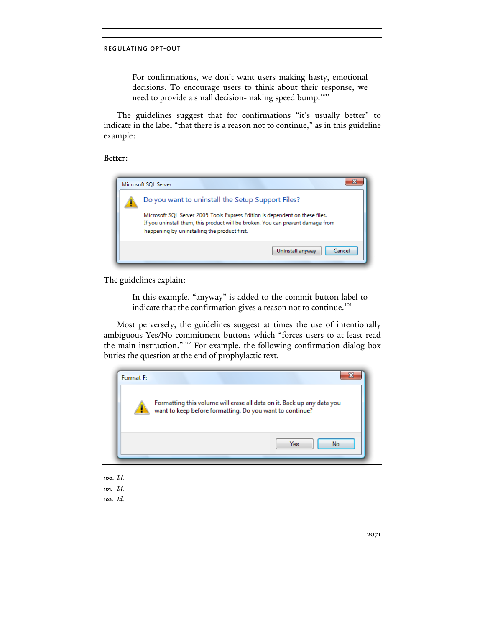For confirmations, we don't want users making hasty, emotional decisions. To encourage users to think about their response, we need to provide a small decision-making speed bump.<sup>100</sup>

The guidelines suggest that for confirmations "it's usually better" to indicate in the label "that there is a reason not to continue," as in this guideline example:

# Better:



The guidelines explain:

In this example, "anyway" is added to the commit button label to indicate that the confirmation gives a reason not to continue.<sup>101</sup>

Most perversely, the guidelines suggest at times the use of intentionally ambiguous Yes/No commitment buttons which "forces users to at least read the main instruction."102 For example, the following confirmation dialog box buries the question at the end of prophylactic text.



- **100.** *Id.* **101.** *Id.*
- **102.** *Id.*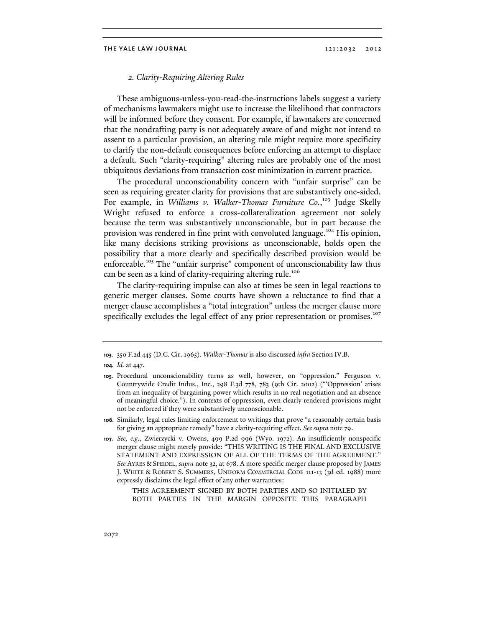# *2. Clarity-Requiring Altering Rules*

These ambiguous-unless-you-read-the-instructions labels suggest a variety of mechanisms lawmakers might use to increase the likelihood that contractors will be informed before they consent. For example, if lawmakers are concerned that the nondrafting party is not adequately aware of and might not intend to assent to a particular provision, an altering rule might require more specificity to clarify the non-default consequences before enforcing an attempt to displace a default. Such "clarity-requiring" altering rules are probably one of the most ubiquitous deviations from transaction cost minimization in current practice.

The procedural unconscionability concern with "unfair surprise" can be seen as requiring greater clarity for provisions that are substantively one-sided. For example, in *Williams v. Walker-Thomas Furniture Co.*,<sup>103</sup> Judge Skelly Wright refused to enforce a cross-collateralization agreement not solely because the term was substantively unconscionable, but in part because the provision was rendered in fine print with convoluted language.<sup>104</sup> His opinion, like many decisions striking provisions as unconscionable, holds open the possibility that a more clearly and specifically described provision would be enforceable.<sup>105</sup> The "unfair surprise" component of unconscionability law thus can be seen as a kind of clarity-requiring altering rule.<sup>106</sup>

The clarity-requiring impulse can also at times be seen in legal reactions to generic merger clauses. Some courts have shown a reluctance to find that a merger clause accomplishes a "total integration" unless the merger clause more specifically excludes the legal effect of any prior representation or promises.<sup>107</sup>

THIS AGREEMENT SIGNED BY BOTH PARTIES AND SO INITIALED BY BOTH PARTIES IN THE MARGIN OPPOSITE THIS PARAGRAPH

**<sup>103.</sup>** 350 F.2d 445 (D.C. Cir. 1965). *Walker-Thomas* is also discussed *infra* Section IV.B.

**<sup>104.</sup>** *Id.* at 447.

**<sup>105.</sup>** Procedural unconscionability turns as well, however, on "oppression." Ferguson v. Countrywide Credit Indus., Inc., 298 F.3d 778, 783 (9th Cir. 2002) ("'Oppression' arises from an inequality of bargaining power which results in no real negotiation and an absence of meaningful choice."). In contexts of oppression, even clearly rendered provisions might not be enforced if they were substantively unconscionable.

**<sup>106.</sup>** Similarly, legal rules limiting enforcement to writings that prove "a reasonably certain basis for giving an appropriate remedy" have a clarity-requiring effect. *See supra* note 79.

**<sup>107.</sup>** *See, e.g.*, Zwierzycki v. Owens, 499 P.2d 996 (Wyo. 1972). An insufficiently nonspecific merger clause might merely provide: "THIS WRITING IS THE FINAL AND EXCLUSIVE STATEMENT AND EXPRESSION OF ALL OF THE TERMS OF THE AGREEMENT." *See* AYRES & SPEIDEL, *supra* note 32, at 678. A more specific merger clause proposed by JAMES J. WHITE & ROBERT S. SUMMERS, UNIFORM COMMERCIAL CODE 111-13 (3d ed. 1988) more expressly disclaims the legal effect of any other warranties: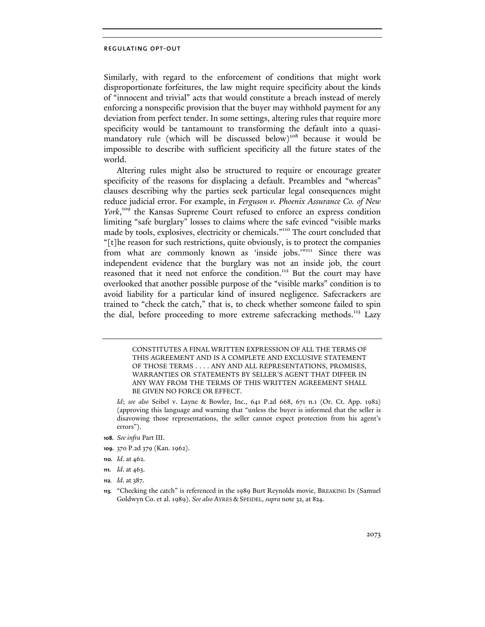Similarly, with regard to the enforcement of conditions that might work disproportionate forfeitures, the law might require specificity about the kinds of "innocent and trivial" acts that would constitute a breach instead of merely enforcing a nonspecific provision that the buyer may withhold payment for any deviation from perfect tender. In some settings, altering rules that require more specificity would be tantamount to transforming the default into a quasimandatory rule (which will be discussed below)<sup>108</sup> because it would be impossible to describe with sufficient specificity all the future states of the world.

Altering rules might also be structured to require or encourage greater specificity of the reasons for displacing a default. Preambles and "whereas" clauses describing why the parties seek particular legal consequences might reduce judicial error. For example, in *Ferguson v. Phoenix Assurance Co. of New*  York,<sup>109</sup> the Kansas Supreme Court refused to enforce an express condition limiting "safe burglary" losses to claims where the safe evinced "visible marks made by tools, explosives, electricity or chemicals."110 The court concluded that "[t]he reason for such restrictions, quite obviously, is to protect the companies from what are commonly known as 'inside jobs."<sup>111</sup> Since there was independent evidence that the burglary was not an inside job, the court reasoned that it need not enforce the condition.<sup>112</sup> But the court may have overlooked that another possible purpose of the "visible marks" condition is to avoid liability for a particular kind of insured negligence. Safecrackers are trained to "check the catch," that is, to check whether someone failed to spin the dial, before proceeding to more extreme safecracking methods.<sup>113</sup> Lazy

> CONSTITUTES A FINAL WRITTEN EXPRESSION OF ALL THE TERMS OF THIS AGREEMENT AND IS A COMPLETE AND EXCLUSIVE STATEMENT OF THOSE TERMS . . . . ANY AND ALL REPRESENTATIONS, PROMISES, WARRANTIES OR STATEMENTS BY SELLER'S AGENT THAT DIFFER IN ANY WAY FROM THE TERMS OF THIS WRITTEN AGREEMENT SHALL BE GIVEN NO FORCE OR EFFECT.

 *Id*; *see also* Seibel v. Layne & Bowler, Inc., 641 P.2d 668, 671 n.1 (Or. Ct. App. 1982) (approving this language and warning that "unless the buyer is informed that the seller is disavowing those representations, the seller cannot expect protection from his agent's errors").

- **108.** *See infra* Part III.
- **109.** 370 P.2d 379 (Kan. 1962).
- **110.** *Id*. at 462.
- **111.** *Id*. at 463.
- **112.** *Id*. at 387.

**<sup>113.</sup>** "Checking the catch" is referenced in the 1989 Burt Reynolds movie, BREAKING IN (Samuel Goldwyn Co. et al. 1989). *See also* AYRES & SPEIDEL, *supra* note 32, at 824.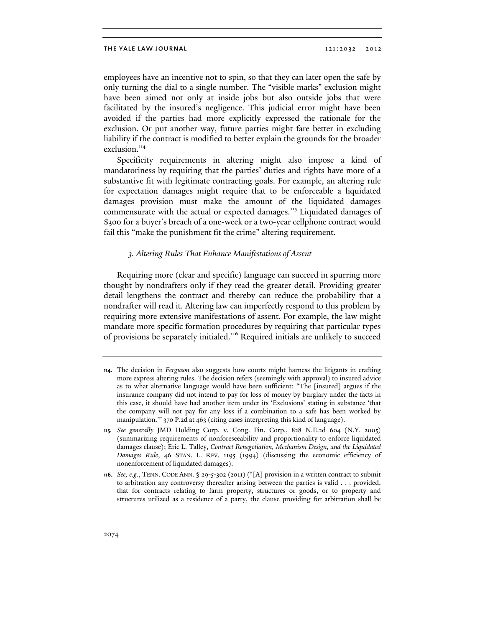employees have an incentive not to spin, so that they can later open the safe by only turning the dial to a single number. The "visible marks" exclusion might have been aimed not only at inside jobs but also outside jobs that were facilitated by the insured's negligence. This judicial error might have been avoided if the parties had more explicitly expressed the rationale for the exclusion. Or put another way, future parties might fare better in excluding liability if the contract is modified to better explain the grounds for the broader exclusion.<sup>114</sup>

Specificity requirements in altering might also impose a kind of mandatoriness by requiring that the parties' duties and rights have more of a substantive fit with legitimate contracting goals. For example, an altering rule for expectation damages might require that to be enforceable a liquidated damages provision must make the amount of the liquidated damages commensurate with the actual or expected damages.<sup>115</sup> Liquidated damages of \$300 for a buyer's breach of a one-week or a two-year cellphone contract would fail this "make the punishment fit the crime" altering requirement.

### *3. Altering Rules That Enhance Manifestations of Assent*

Requiring more (clear and specific) language can succeed in spurring more thought by nondrafters only if they read the greater detail. Providing greater detail lengthens the contract and thereby can reduce the probability that a nondrafter will read it. Altering law can imperfectly respond to this problem by requiring more extensive manifestations of assent. For example, the law might mandate more specific formation procedures by requiring that particular types of provisions be separately initialed.116 Required initials are unlikely to succeed

**<sup>114.</sup>** The decision in *Ferguson* also suggests how courts might harness the litigants in crafting more express altering rules. The decision refers (seemingly with approval) to insured advice as to what alternative language would have been sufficient: "The [insured] argues if the insurance company did not intend to pay for loss of money by burglary under the facts in this case, it should have had another item under its 'Exclusions' stating in substance 'that the company will not pay for any loss if a combination to a safe has been worked by manipulation.'" 370 P.2d at 463 (citing cases interpreting this kind of language).

**<sup>115.</sup>** *See generally* JMD Holding Corp. v. Cong. Fin. Corp., 828 N.E.2d 604 (N.Y. 2005) (summarizing requirements of nonforeseeability and proportionality to enforce liquidated damages clause); Eric L. Talley, *Contract Renegotiation, Mechanism Design, and the Liquidated Damages Rule*, 46 STAN. L. REV. 1195 (1994) (discussing the economic efficiency of nonenforcement of liquidated damages).

**<sup>116.</sup>** *See, e.g.*, TENN. CODE ANN. § 29-5-302 (2011) ("[A] provision in a written contract to submit to arbitration any controversy thereafter arising between the parties is valid . . . provided, that for contracts relating to farm property, structures or goods, or to property and structures utilized as a residence of a party, the clause providing for arbitration shall be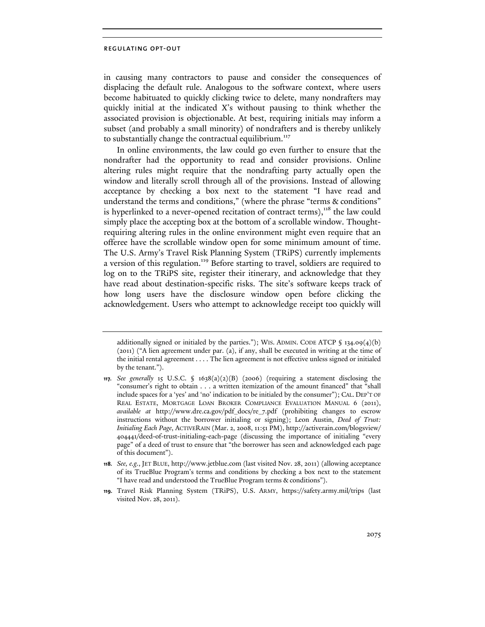in causing many contractors to pause and consider the consequences of displacing the default rule. Analogous to the software context, where users become habituated to quickly clicking twice to delete, many nondrafters may quickly initial at the indicated X's without pausing to think whether the associated provision is objectionable. At best, requiring initials may inform a subset (and probably a small minority) of nondrafters and is thereby unlikely to substantially change the contractual equilibrium.<sup>117</sup>

In online environments, the law could go even further to ensure that the nondrafter had the opportunity to read and consider provisions. Online altering rules might require that the nondrafting party actually open the window and literally scroll through all of the provisions. Instead of allowing acceptance by checking a box next to the statement "I have read and understand the terms and conditions," (where the phrase "terms & conditions" is hyperlinked to a never-opened recitation of contract terms),<sup>118</sup> the law could simply place the accepting box at the bottom of a scrollable window. Thoughtrequiring altering rules in the online environment might even require that an offeree have the scrollable window open for some minimum amount of time. The U.S. Army's Travel Risk Planning System (TRiPS) currently implements a version of this regulation.<sup>119</sup> Before starting to travel, soldiers are required to log on to the TRiPS site, register their itinerary, and acknowledge that they have read about destination-specific risks. The site's software keeps track of how long users have the disclosure window open before clicking the acknowledgement. Users who attempt to acknowledge receipt too quickly will

additionally signed or initialed by the parties."); WIS. ADMIN. CODE ATCP  $\int$  134.09(4)(b) (2011) ("A lien agreement under par. (a), if any, shall be executed in writing at the time of the initial rental agreement . . . . The lien agreement is not effective unless signed or initialed by the tenant.").

**<sup>117.</sup>** *See generally* 15 U.S.C. § 1638(a)(2)(B) (2006) (requiring a statement disclosing the "consumer's right to obtain . . . a written itemization of the amount financed" that "shall include spaces for a 'yes' and 'no' indication to be initialed by the consumer"); CAL. DEP'T OF REAL ESTATE, MORTGAGE LOAN BROKER COMPLIANCE EVALUATION MANUAL 6 (2011), *available at* http://www.dre.ca.gov/pdf\_docs/re\_7.pdf (prohibiting changes to escrow instructions without the borrower initialing or signing); Leon Austin, *Deed of Trust: Initialing Each Page*, ACTIVERAIN (Mar. 2, 2008, 11:51 PM), http://activerain.com/blogsview/ 404441/deed-of-trust-initialing-each-page (discussing the importance of initialing "every page" of a deed of trust to ensure that "the borrower has seen and acknowledged each page of this document").

**<sup>118.</sup>** *See, e.g.*, JET BLUE, http://www.jetblue.com (last visited Nov. 28, 2011) (allowing acceptance of its TrueBlue Program's terms and conditions by checking a box next to the statement "I have read and understood the TrueBlue Program terms & conditions").

**<sup>119.</sup>** Travel Risk Planning System (TRiPS), U.S. ARMY, https://safety.army.mil/trips (last visited Nov. 28, 2011).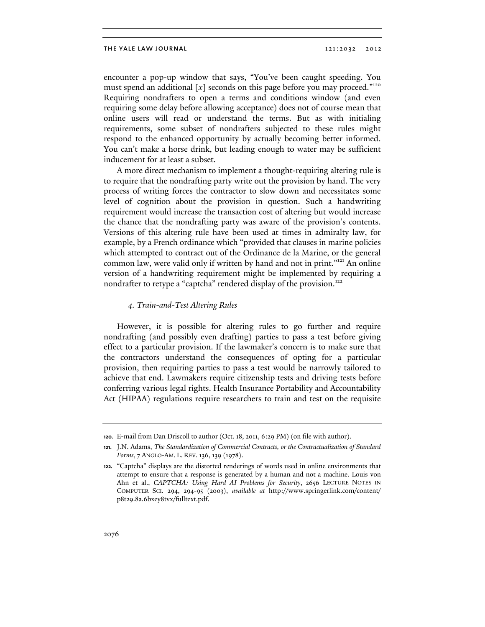encounter a pop-up window that says, "You've been caught speeding. You must spend an additional [x] seconds on this page before you may proceed."<sup>120</sup> Requiring nondrafters to open a terms and conditions window (and even requiring some delay before allowing acceptance) does not of course mean that online users will read or understand the terms. But as with initialing requirements, some subset of nondrafters subjected to these rules might respond to the enhanced opportunity by actually becoming better informed. You can't make a horse drink, but leading enough to water may be sufficient inducement for at least a subset.

A more direct mechanism to implement a thought-requiring altering rule is to require that the nondrafting party write out the provision by hand. The very process of writing forces the contractor to slow down and necessitates some level of cognition about the provision in question. Such a handwriting requirement would increase the transaction cost of altering but would increase the chance that the nondrafting party was aware of the provision's contents. Versions of this altering rule have been used at times in admiralty law, for example, by a French ordinance which "provided that clauses in marine policies which attempted to contract out of the Ordinance de la Marine, or the general common law, were valid only if written by hand and not in print."<sup>121</sup> An online version of a handwriting requirement might be implemented by requiring a nondrafter to retype a "captcha" rendered display of the provision.<sup>122</sup>

### *4. Train-and-Test Altering Rules*

However, it is possible for altering rules to go further and require nondrafting (and possibly even drafting) parties to pass a test before giving effect to a particular provision. If the lawmaker's concern is to make sure that the contractors understand the consequences of opting for a particular provision, then requiring parties to pass a test would be narrowly tailored to achieve that end. Lawmakers require citizenship tests and driving tests before conferring various legal rights. Health Insurance Portability and Accountability Act (HIPAA) regulations require researchers to train and test on the requisite

**<sup>120.</sup>** E-mail from Dan Driscoll to author (Oct. 18, 2011, 6:29 PM) (on file with author).

**<sup>121.</sup>** J.N. Adams, *The Standardization of Commercial Contracts, or the Contractualization of Standard Forms*, 7 ANGLO-AM. L. REV. 136, 139 (1978).

**<sup>122.</sup>** "Captcha" displays are the distorted renderings of words used in online environments that attempt to ensure that a response is generated by a human and not a machine. Louis von Ahn et al., *CAPTCHA: Using Hard AI Problems for Security*, 2656 LECTURE NOTES IN COMPUTER SCI. 294, 294-95 (2003), *available at* http://www.springerlink.com/content/ p8t29.8a.6bxey8tvx/fulltext.pdf.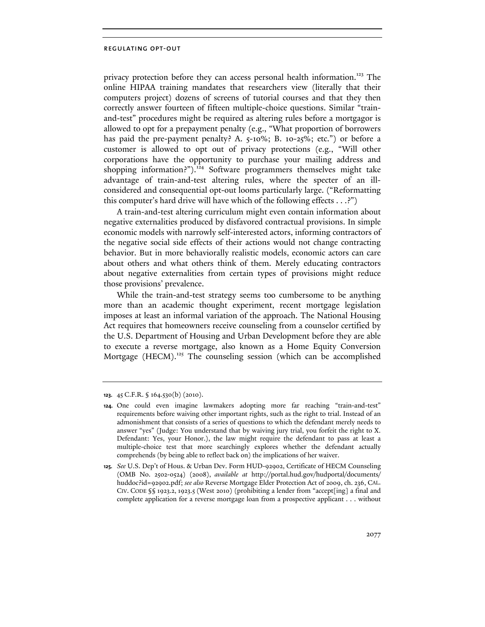privacy protection before they can access personal health information.<sup>123</sup> The online HIPAA training mandates that researchers view (literally that their computers project) dozens of screens of tutorial courses and that they then correctly answer fourteen of fifteen multiple-choice questions. Similar "trainand-test" procedures might be required as altering rules before a mortgagor is allowed to opt for a prepayment penalty (e.g., "What proportion of borrowers has paid the pre-payment penalty? A. 5-10%; B. 10-25%; etc.") or before a customer is allowed to opt out of privacy protections (e.g., "Will other corporations have the opportunity to purchase your mailing address and shopping information?").<sup>124</sup> Software programmers themselves might take advantage of train-and-test altering rules, where the specter of an illconsidered and consequential opt-out looms particularly large. ("Reformatting this computer's hard drive will have which of the following effects . . .?")

A train-and-test altering curriculum might even contain information about negative externalities produced by disfavored contractual provisions. In simple economic models with narrowly self-interested actors, informing contractors of the negative social side effects of their actions would not change contracting behavior. But in more behaviorally realistic models, economic actors can care about others and what others think of them. Merely educating contractors about negative externalities from certain types of provisions might reduce those provisions' prevalence.

While the train-and-test strategy seems too cumbersome to be anything more than an academic thought experiment, recent mortgage legislation imposes at least an informal variation of the approach. The National Housing Act requires that homeowners receive counseling from a counselor certified by the U.S. Department of Housing and Urban Development before they are able to execute a reverse mortgage, also known as a Home Equity Conversion Mortgage (HECM).<sup>125</sup> The counseling session (which can be accomplished

**<sup>123.</sup>** 45 C.F.R. § 164.530(b) (2010).

**<sup>124.</sup>** One could even imagine lawmakers adopting more far reaching "train-and-test" requirements before waiving other important rights, such as the right to trial. Instead of an admonishment that consists of a series of questions to which the defendant merely needs to answer "yes" (Judge: You understand that by waiving jury trial, you forfeit the right to X. Defendant: Yes, your Honor.), the law might require the defendant to pass at least a multiple-choice test that more searchingly explores whether the defendant actually comprehends (by being able to reflect back on) the implications of her waiver.

**<sup>125.</sup>** *See* U.S. Dep't of Hous. & Urban Dev. Form HUD-92902, Certificate of HECM Counseling (OMB No. 2502-0524) (2008), *available at* http://portal.hud.gov/hudportal/documents/ huddoc?id=92902.pdf; *see also* Reverse Mortgage Elder Protection Act of 2009, ch. 236, CAL. CIV. CODE §§ 1923.2, 1923.5 (West 2010) (prohibiting a lender from "accept[ing] a final and complete application for a reverse mortgage loan from a prospective applicant . . . without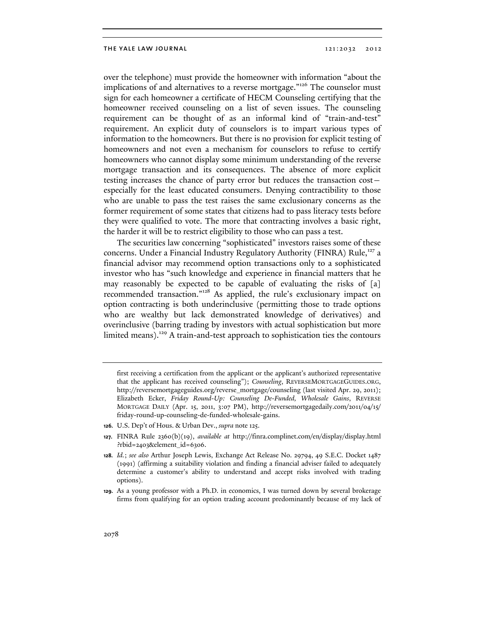over the telephone) must provide the homeowner with information "about the implications of and alternatives to a reverse mortgage."<sup>126</sup> The counselor must sign for each homeowner a certificate of HECM Counseling certifying that the homeowner received counseling on a list of seven issues. The counseling requirement can be thought of as an informal kind of "train-and-test" requirement. An explicit duty of counselors is to impart various types of information to the homeowners. But there is no provision for explicit testing of homeowners and not even a mechanism for counselors to refuse to certify homeowners who cannot display some minimum understanding of the reverse mortgage transaction and its consequences. The absence of more explicit testing increases the chance of party error but reduces the transaction cost especially for the least educated consumers. Denying contractibility to those who are unable to pass the test raises the same exclusionary concerns as the former requirement of some states that citizens had to pass literacy tests before they were qualified to vote. The more that contracting involves a basic right, the harder it will be to restrict eligibility to those who can pass a test.

The securities law concerning "sophisticated" investors raises some of these concerns. Under a Financial Industry Regulatory Authority (FINRA) Rule,<sup>127</sup> a financial advisor may recommend option transactions only to a sophisticated investor who has "such knowledge and experience in financial matters that he may reasonably be expected to be capable of evaluating the risks of [a] recommended transaction."128 As applied, the rule's exclusionary impact on option contracting is both underinclusive (permitting those to trade options who are wealthy but lack demonstrated knowledge of derivatives) and overinclusive (barring trading by investors with actual sophistication but more limited means).<sup>129</sup> A train-and-test approach to sophistication ties the contours

- **126.** U.S. Dep't of Hous. & Urban Dev., *supra* note 125.
- **127.** FINRA Rule 2360(b)(19), *available at* http://finra.complinet.com/en/display/display.html ?rbid=2403&element\_id=6306.

first receiving a certification from the applicant or the applicant's authorized representative that the applicant has received counseling"); *Counseling*, REVERSEMORTGAGEGUIDES.ORG, http://reversemortgageguides.org/reverse\_mortgage/counseling (last visited Apr. 29, 2011); Elizabeth Ecker, *Friday Round-Up: Counseling De-Funded, Wholesale Gains*, REVERSE MORTGAGE DAILY (Apr. 15, 2011, 3:07 PM), http://reversemortgagedaily.com/2011/04/15/ friday-round-up-counseling-de-funded-wholesale-gains.

**<sup>128.</sup>** *Id.*; *see also* Arthur Joseph Lewis, Exchange Act Release No. 29794, 49 S.E.C. Docket 1487 (1991) (affirming a suitability violation and finding a financial adviser failed to adequately determine a customer's ability to understand and accept risks involved with trading options).

**<sup>129.</sup>** As a young professor with a Ph.D. in economics, I was turned down by several brokerage firms from qualifying for an option trading account predominantly because of my lack of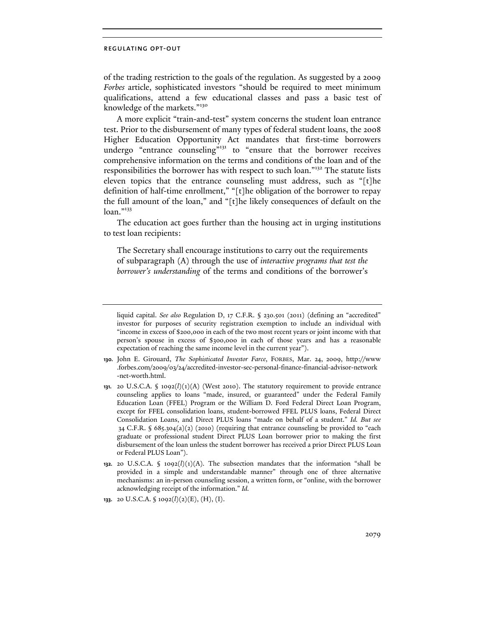of the trading restriction to the goals of the regulation. As suggested by a 2009 *Forbes* article, sophisticated investors "should be required to meet minimum qualifications, attend a few educational classes and pass a basic test of knowledge of the markets."<sup>130</sup>

A more explicit "train-and-test" system concerns the student loan entrance test. Prior to the disbursement of many types of federal student loans, the 2008 Higher Education Opportunity Act mandates that first-time borrowers undergo "entrance counseling"<sup>131</sup> to "ensure that the borrower receives comprehensive information on the terms and conditions of the loan and of the responsibilities the borrower has with respect to such loan."132 The statute lists eleven topics that the entrance counseling must address, such as "[t]he definition of half-time enrollment," "[t]he obligation of the borrower to repay the full amount of the loan," and "[t]he likely consequences of default on the  $loan.$ "<sup>133</sup>

The education act goes further than the housing act in urging institutions to test loan recipients:

The Secretary shall encourage institutions to carry out the requirements of subparagraph (A) through the use of *interactive programs that test the borrower's understanding* of the terms and conditions of the borrower's

- **130.** John E. Girouard, *The Sophisticated Investor Farce*, FORBES, Mar. 24, 2009, http://www .forbes.com/2009/03/24/accredited-investor-sec-personal-finance-financial-advisor-network -net-worth.html.
- **131.** 20 U.S.C.A. § 1092(*l*)(1)(A) (West 2010). The statutory requirement to provide entrance counseling applies to loans "made, insured, or guaranteed" under the Federal Family Education Loan (FFEL) Program or the William D. Ford Federal Direct Loan Program, except for FFEL consolidation loans, student-borrowed FFEL PLUS loans, Federal Direct Consolidation Loans, and Direct PLUS loans "made on behalf of a student." *Id. But see*  34 C.F.R. § 685.304(a)(2) (2010) (requiring that entrance counseling be provided to "each graduate or professional student Direct PLUS Loan borrower prior to making the first disbursement of the loan unless the student borrower has received a prior Direct PLUS Loan or Federal PLUS Loan").
- **132.** 20 U.S.C.A.  $\oint$  1092( $l$ )(1)(A). The subsection mandates that the information "shall be provided in a simple and understandable manner" through one of three alternative mechanisms: an in-person counseling session, a written form, or "online, with the borrower acknowledging receipt of the information." *Id.*

liquid capital. *See also* Regulation D, 17 C.F.R. § 230.501 (2011) (defining an "accredited" investor for purposes of security registration exemption to include an individual with "income in excess of \$200,000 in each of the two most recent years or joint income with that person's spouse in excess of \$300,000 in each of those years and has a reasonable expectation of reaching the same income level in the current year").

**<sup>133.</sup>** 20 U.S.C.A. § 1092(*l*)(2)(E), (H), (I).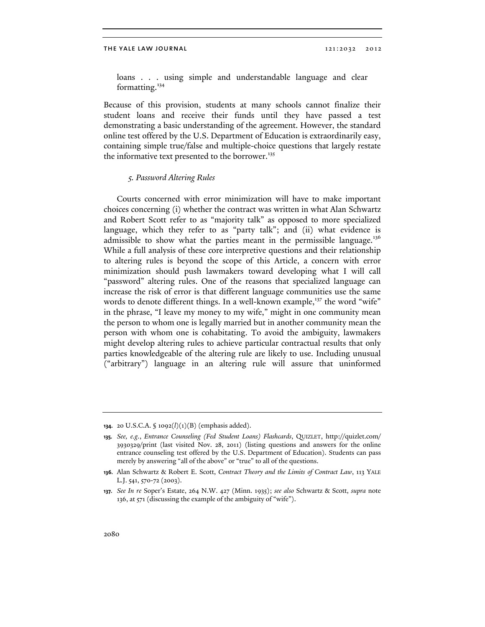loans . . . using simple and understandable language and clear formatting. $134$ 

Because of this provision, students at many schools cannot finalize their student loans and receive their funds until they have passed a test demonstrating a basic understanding of the agreement. However, the standard online test offered by the U.S. Department of Education is extraordinarily easy, containing simple true/false and multiple-choice questions that largely restate the informative text presented to the borrower.<sup>135</sup>

# *5. Password Altering Rules*

Courts concerned with error minimization will have to make important choices concerning (i) whether the contract was written in what Alan Schwartz and Robert Scott refer to as "majority talk" as opposed to more specialized language, which they refer to as "party talk"; and (ii) what evidence is admissible to show what the parties meant in the permissible language.<sup>136</sup> While a full analysis of these core interpretive questions and their relationship to altering rules is beyond the scope of this Article, a concern with error minimization should push lawmakers toward developing what I will call "password" altering rules. One of the reasons that specialized language can increase the risk of error is that different language communities use the same words to denote different things. In a well-known example,<sup>137</sup> the word "wife" in the phrase, "I leave my money to my wife," might in one community mean the person to whom one is legally married but in another community mean the person with whom one is cohabitating. To avoid the ambiguity, lawmakers might develop altering rules to achieve particular contractual results that only parties knowledgeable of the altering rule are likely to use. Including unusual ("arbitrary") language in an altering rule will assure that uninformed

**<sup>134.</sup>** 20 U.S.C.A. § 1092(*l*)(1)(B) (emphasis added).

**<sup>135.</sup>** *See, e.g.*, *Entrance Counseling (Fed Student Loans) Flashcards*, QUIZLET, http://quizlet.com/ 3930329/print (last visited Nov. 28, 2011) (listing questions and answers for the online entrance counseling test offered by the U.S. Department of Education). Students can pass merely by answering "all of the above" or "true" to all of the questions.

**<sup>136.</sup>** Alan Schwartz & Robert E. Scott, *Contract Theory and the Limits of Contract Law*, 113 YALE L.J. 541, 570-72 (2003).

**<sup>137.</sup>** *See In re* Soper's Estate, 264 N.W. 427 (Minn. 1935); *see also* Schwartz & Scott, *supra* note 136, at 571 (discussing the example of the ambiguity of "wife").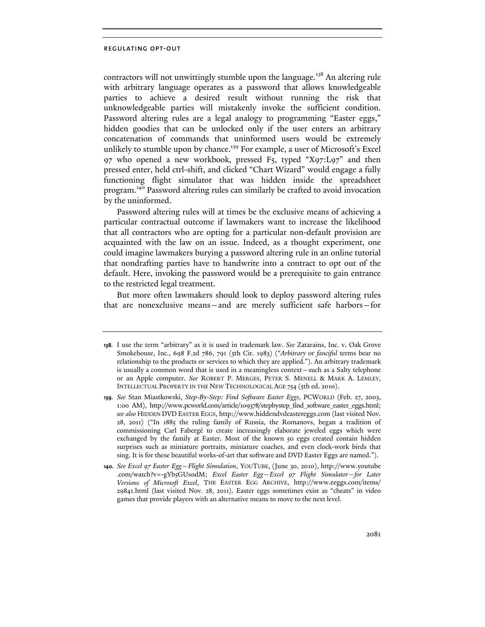contractors will not unwittingly stumble upon the language.<sup>138</sup> An altering rule with arbitrary language operates as a password that allows knowledgeable parties to achieve a desired result without running the risk that unknowledgeable parties will mistakenly invoke the sufficient condition. Password altering rules are a legal analogy to programming "Easter eggs," hidden goodies that can be unlocked only if the user enters an arbitrary concatenation of commands that uninformed users would be extremely unlikely to stumble upon by chance.<sup>139</sup> For example, a user of Microsoft's Excel 97 who opened a new workbook, pressed F5, typed "X97:L97" and then pressed enter, held ctrl-shift, and clicked "Chart Wizard" would engage a fully functioning flight simulator that was hidden inside the spreadsheet program.140 Password altering rules can similarly be crafted to avoid invocation by the uninformed.

Password altering rules will at times be the exclusive means of achieving a particular contractual outcome if lawmakers want to increase the likelihood that all contractors who are opting for a particular non-default provision are acquainted with the law on an issue. Indeed, as a thought experiment, one could imagine lawmakers burying a password altering rule in an online tutorial that nondrafting parties have to handwrite into a contract to opt out of the default. Here, invoking the password would be a prerequisite to gain entrance to the restricted legal treatment.

But more often lawmakers should look to deploy password altering rules that are nonexclusive means—and are merely sufficient safe harbors—for

**<sup>138.</sup>** I use the term "arbitrary" as it is used in trademark law. *See* Zatarains, Inc. v. Oak Grove Smokehouse, Inc., 698 F.2d 786, 791 (5th Cir. 1983) ("*Arbitrary* or *fanciful* terms bear no relationship to the products or services to which they are applied."). An arbitrary trademark is usually a common word that is used in a meaningless context—such as a Salty telephone or an Apple computer. *See* ROBERT P. MERGES, PETER S. MENELL & MARK A. LEMLEY, INTELLECTUAL PROPERTY IN THE NEW TECHNOLOGICAL AGE 754 (5th ed. 2010).

**<sup>139.</sup>** *See* Stan Miastkowski, *Step-By-Step: Find Software Easter Eggs*, PCWORLD (Feb. 27, 2003, 1:00 AM), http://www.pcworld.com/article/109378/stepbystep\_find\_software\_easter\_eggs.html; *see also* HIDDEN DVD EASTER EGGS, http://www.hiddendvdeastereggs.com (last visited Nov. 28, 2011) ("In 1885 the ruling family of Russia, the Romanovs, began a tradition of commissioning Carl Fabergé to create increasingly elaborate jeweled eggs which were exchanged by the family at Easter. Most of the known 50 eggs created contain hidden surprises such as miniature portraits, miniature coaches, and even clock-work birds that sing. It is for these beautiful works-of-art that software and DVD Easter Eggs are named.").

**<sup>140.</sup>** *See Excel 97 Easter Egg—Flight Simulation*, YOUTUBE, (June 30, 2010), http://www.youtube .com/watch?v=-gYb5GUs0dM; *Excel Easter Egg—Excel 97 Flight Simulator—for Later Versions of Microsoft Excel*, THE EASTER EGG ARCHIVE, http://www.eeggs.com/items/ 29841.html (last visited Nov. 28, 2011). Easter eggs sometimes exist as "cheats" in video games that provide players with an alternative means to move to the next level.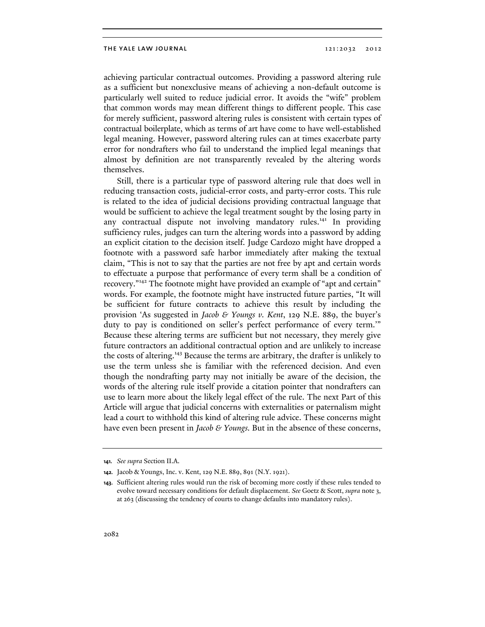achieving particular contractual outcomes. Providing a password altering rule as a sufficient but nonexclusive means of achieving a non-default outcome is particularly well suited to reduce judicial error. It avoids the "wife" problem that common words may mean different things to different people. This case for merely sufficient, password altering rules is consistent with certain types of contractual boilerplate, which as terms of art have come to have well-established legal meaning. However, password altering rules can at times exacerbate party error for nondrafters who fail to understand the implied legal meanings that almost by definition are not transparently revealed by the altering words themselves.

Still, there is a particular type of password altering rule that does well in reducing transaction costs, judicial-error costs, and party-error costs. This rule is related to the idea of judicial decisions providing contractual language that would be sufficient to achieve the legal treatment sought by the losing party in any contractual dispute not involving mandatory rules.<sup>141</sup> In providing sufficiency rules, judges can turn the altering words into a password by adding an explicit citation to the decision itself. Judge Cardozo might have dropped a footnote with a password safe harbor immediately after making the textual claim, "This is not to say that the parties are not free by apt and certain words to effectuate a purpose that performance of every term shall be a condition of recovery."142 The footnote might have provided an example of "apt and certain" words. For example, the footnote might have instructed future parties, "It will be sufficient for future contracts to achieve this result by including the provision 'As suggested in *Jacob & Youngs v. Kent*, 129 N.E. 889, the buyer's duty to pay is conditioned on seller's perfect performance of every term.'" Because these altering terms are sufficient but not necessary, they merely give future contractors an additional contractual option and are unlikely to increase the costs of altering.<sup>143</sup> Because the terms are arbitrary, the drafter is unlikely to use the term unless she is familiar with the referenced decision. And even though the nondrafting party may not initially be aware of the decision, the words of the altering rule itself provide a citation pointer that nondrafters can use to learn more about the likely legal effect of the rule. The next Part of this Article will argue that judicial concerns with externalities or paternalism might lead a court to withhold this kind of altering rule advice. These concerns might have even been present in *Jacob & Youngs.* But in the absence of these concerns,

**<sup>141.</sup>** *See supra* Section II.A.

**<sup>142.</sup>** Jacob & Youngs, Inc. v. Kent, 129 N.E. 889, 891 (N.Y. 1921).

**<sup>143.</sup>** Sufficient altering rules would run the risk of becoming more costly if these rules tended to evolve toward necessary conditions for default displacement. *See* Goetz & Scott, *supra* note 3, at 263 (discussing the tendency of courts to change defaults into mandatory rules).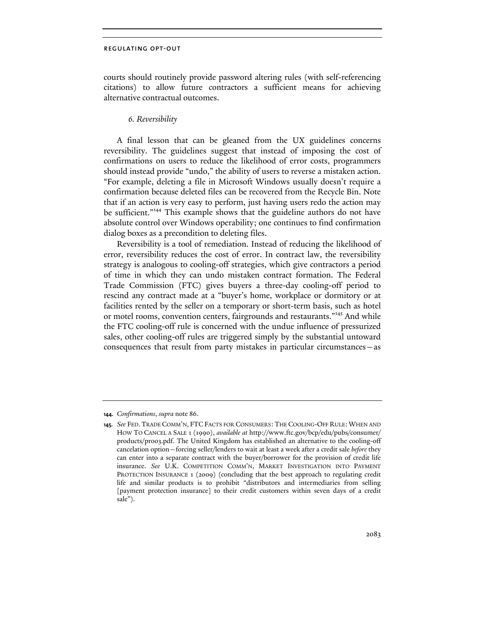courts should routinely provide password altering rules (with self-referencing citations) to allow future contractors a sufficient means for achieving alternative contractual outcomes.

## *6. Reversibility*

A final lesson that can be gleaned from the UX guidelines concerns reversibility. The guidelines suggest that instead of imposing the cost of confirmations on users to reduce the likelihood of error costs, programmers should instead provide "undo," the ability of users to reverse a mistaken action. "For example, deleting a file in Microsoft Windows usually doesn't require a confirmation because deleted files can be recovered from the Recycle Bin. Note that if an action is very easy to perform, just having users redo the action may be sufficient."<sup>144</sup> This example shows that the guideline authors do not have absolute control over Windows operability; one continues to find confirmation dialog boxes as a precondition to deleting files.

Reversibility is a tool of remediation. Instead of reducing the likelihood of error, reversibility reduces the cost of error. In contract law, the reversibility strategy is analogous to cooling-off strategies, which give contractors a period of time in which they can undo mistaken contract formation. The Federal Trade Commission (FTC) gives buyers a three-day cooling-off period to rescind any contract made at a "buyer's home, workplace or dormitory or at facilities rented by the seller on a temporary or short-term basis, such as hotel or motel rooms, convention centers, fairgrounds and restaurants."145 And while the FTC cooling-off rule is concerned with the undue influence of pressurized sales, other cooling-off rules are triggered simply by the substantial untoward consequences that result from party mistakes in particular circumstances—as

**<sup>144.</sup>** *Confirmations*, *supra* note 86.

**<sup>145.</sup>** *See* FED. TRADE COMM'N, FTC FACTS FOR CONSUMERS: THE COOLING-OFF RULE: WHEN AND HOW TO CANCEL A SALE 1 (1990), *available at* http://www.ftc.gov/bcp/edu/pubs/consumer/ products/pro03.pdf. The United Kingdom has established an alternative to the cooling-off cancelation option—forcing seller/lenders to wait at least a week after a credit sale *before* they can enter into a separate contract with the buyer/borrower for the provision of credit life insurance. *See* U.K. COMPETITION COMM'N, MARKET INVESTIGATION INTO PAYMENT PROTECTION INSURANCE 1 (2009) (concluding that the best approach to regulating credit life and similar products is to prohibit "distributors and intermediaries from selling [payment protection insurance] to their credit customers within seven days of a credit sale").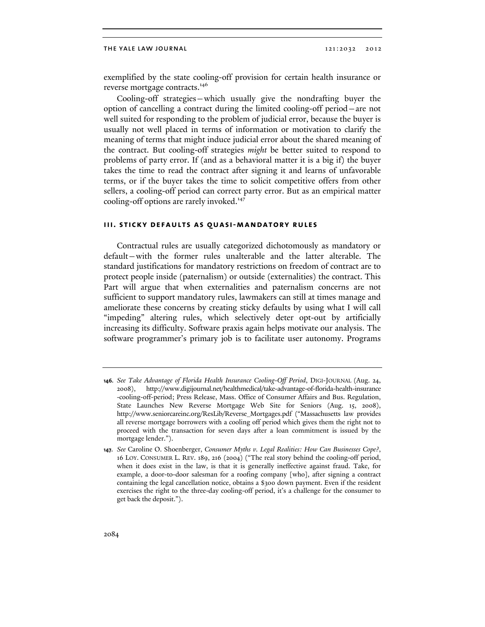exemplified by the state cooling-off provision for certain health insurance or reverse mortgage contracts.<sup>146</sup>

Cooling-off strategies—which usually give the nondrafting buyer the option of cancelling a contract during the limited cooling-off period—are not well suited for responding to the problem of judicial error, because the buyer is usually not well placed in terms of information or motivation to clarify the meaning of terms that might induce judicial error about the shared meaning of the contract. But cooling-off strategies *might* be better suited to respond to problems of party error. If (and as a behavioral matter it is a big if) the buyer takes the time to read the contract after signing it and learns of unfavorable terms, or if the buyer takes the time to solicit competitive offers from other sellers, a cooling-off period can correct party error. But as an empirical matter cooling-off options are rarely invoked.<sup>147</sup>

### **iii. sticky defaults as quasi-mandatory rules**

Contractual rules are usually categorized dichotomously as mandatory or default—with the former rules unalterable and the latter alterable. The standard justifications for mandatory restrictions on freedom of contract are to protect people inside (paternalism) or outside (externalities) the contract. This Part will argue that when externalities and paternalism concerns are not sufficient to support mandatory rules, lawmakers can still at times manage and ameliorate these concerns by creating sticky defaults by using what I will call "impeding" altering rules, which selectively deter opt-out by artificially increasing its difficulty. Software praxis again helps motivate our analysis. The software programmer's primary job is to facilitate user autonomy. Programs

**<sup>146.</sup>** *See Take Advantage of Florida Health Insurance Cooling-Off Period*, DIGI-JOURNAL (Aug. 24, 2008), http://www.digijournal.net/healthmedical/take-advantage-of-florida-health-insurance -cooling-off-period; Press Release, Mass. Office of Consumer Affairs and Bus. Regulation, State Launches New Reverse Mortgage Web Site for Seniors (Aug. 15, 2008), http://www.seniorcareinc.org/ResLib/Reverse\_Mortgages.pdf ("Massachusetts law provides all reverse mortgage borrowers with a cooling off period which gives them the right not to proceed with the transaction for seven days after a loan commitment is issued by the mortgage lender.").

**<sup>147.</sup>** *See* Caroline O. Shoenberger, *Consumer Myths v. Legal Realities: How Can Businesses Cope?*, 16 LOY. CONSUMER L. REV. 189, 216 (2004) ("The real story behind the cooling-off period, when it does exist in the law, is that it is generally ineffective against fraud. Take, for example, a door-to-door salesman for a roofing company [who], after signing a contract containing the legal cancellation notice, obtains a \$300 down payment. Even if the resident exercises the right to the three-day cooling-off period, it's a challenge for the consumer to get back the deposit.").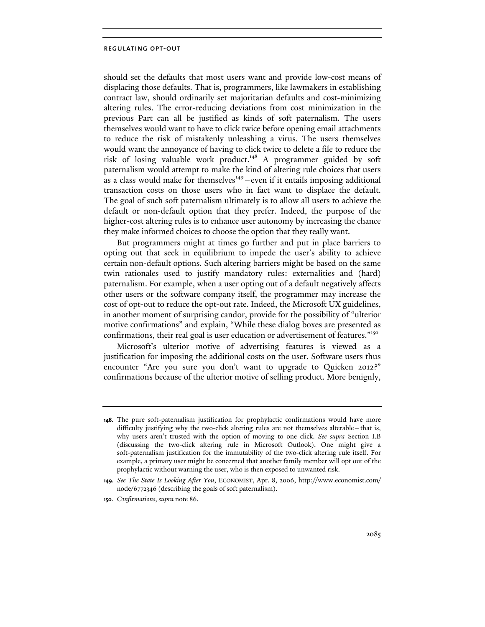should set the defaults that most users want and provide low-cost means of displacing those defaults. That is, programmers, like lawmakers in establishing contract law, should ordinarily set majoritarian defaults and cost-minimizing altering rules. The error-reducing deviations from cost minimization in the previous Part can all be justified as kinds of soft paternalism. The users themselves would want to have to click twice before opening email attachments to reduce the risk of mistakenly unleashing a virus. The users themselves would want the annoyance of having to click twice to delete a file to reduce the risk of losing valuable work product.<sup>148</sup> A programmer guided by soft paternalism would attempt to make the kind of altering rule choices that users as a class would make for themselves $149$  – even if it entails imposing additional transaction costs on those users who in fact want to displace the default. The goal of such soft paternalism ultimately is to allow all users to achieve the default or non-default option that they prefer. Indeed, the purpose of the higher-cost altering rules is to enhance user autonomy by increasing the chance they make informed choices to choose the option that they really want.

But programmers might at times go further and put in place barriers to opting out that seek in equilibrium to impede the user's ability to achieve certain non-default options. Such altering barriers might be based on the same twin rationales used to justify mandatory rules: externalities and (hard) paternalism. For example, when a user opting out of a default negatively affects other users or the software company itself, the programmer may increase the cost of opt-out to reduce the opt-out rate. Indeed, the Microsoft UX guidelines, in another moment of surprising candor, provide for the possibility of "ulterior motive confirmations" and explain, "While these dialog boxes are presented as confirmations, their real goal is user education or advertisement of features."<sup>150</sup>

Microsoft's ulterior motive of advertising features is viewed as a justification for imposing the additional costs on the user. Software users thus encounter "Are you sure you don't want to upgrade to Quicken 2012?" confirmations because of the ulterior motive of selling product. More benignly,

**<sup>148.</sup>** The pure soft-paternalism justification for prophylactic confirmations would have more difficulty justifying why the two-click altering rules are not themselves alterable—that is, why users aren't trusted with the option of moving to one click. *See supra* Section I.B (discussing the two-click altering rule in Microsoft Outlook). One might give a soft-paternalism justification for the immutability of the two-click altering rule itself. For example, a primary user might be concerned that another family member will opt out of the prophylactic without warning the user, who is then exposed to unwanted risk.

**<sup>149.</sup>** *See The State Is Looking After You*, ECONOMIST, Apr. 8, 2006, http://www.economist.com/ node/6772346 (describing the goals of soft paternalism).

**<sup>150.</sup>** *Confirmations*, *supra* note 86.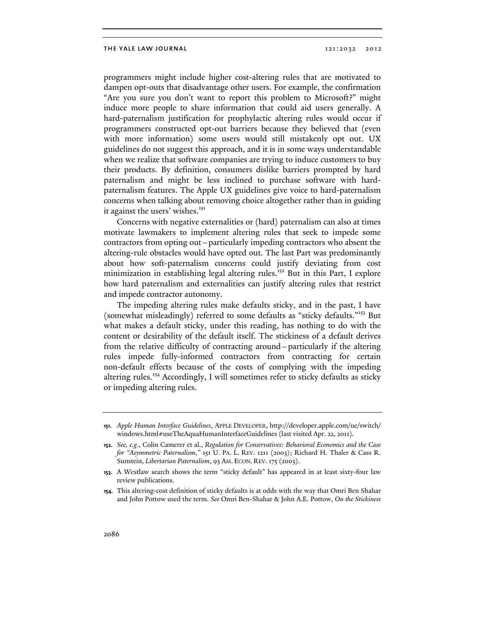programmers might include higher cost-altering rules that are motivated to dampen opt-outs that disadvantage other users. For example, the confirmation "Are you sure you don't want to report this problem to Microsoft?" might induce more people to share information that could aid users generally. A hard-paternalism justification for prophylactic altering rules would occur if programmers constructed opt-out barriers because they believed that (even with more information) some users would still mistakenly opt out. UX guidelines do not suggest this approach, and it is in some ways understandable when we realize that software companies are trying to induce customers to buy their products. By definition, consumers dislike barriers prompted by hard paternalism and might be less inclined to purchase software with hardpaternalism features. The Apple UX guidelines give voice to hard-paternalism concerns when talking about removing choice altogether rather than in guiding it against the users' wishes.<sup>151</sup>

Concerns with negative externalities or (hard) paternalism can also at times motivate lawmakers to implement altering rules that seek to impede some contractors from opting out—particularly impeding contractors who absent the altering-rule obstacles would have opted out. The last Part was predominantly about how soft-paternalism concerns could justify deviating from cost minimization in establishing legal altering rules.<sup>152</sup> But in this Part, I explore how hard paternalism and externalities can justify altering rules that restrict and impede contractor autonomy.

The impeding altering rules make defaults sticky, and in the past, I have (somewhat misleadingly) referred to some defaults as "sticky defaults."<sup>153</sup> But what makes a default sticky, under this reading, has nothing to do with the content or desirability of the default itself. The stickiness of a default derives from the relative difficulty of contracting around—particularly if the altering rules impede fully-informed contractors from contracting for certain non-default effects because of the costs of complying with the impeding altering rules.<sup>154</sup> Accordingly, I will sometimes refer to sticky defaults as sticky or impeding altering rules.

**<sup>151.</sup>** *Apple Human Interface Guidelines*, APPLE DEVELOPER, http://developer.apple.com/ue/switch/ windows.html#useTheAquaHumanInterfaceGuidelines (last visited Apr. 22, 2011).

**<sup>152.</sup>** *See, e.g.*, Colin Camerer et al., *Regulation for Conservatives: Behavioral Economics and the Case for "Asymmetric Paternalism*,*"* 151 U. PA. L. REV. 1211 (2003); Richard H. Thaler & Cass R. Sunstein, *Libertarian Paternalism*, 93 AM. ECON. REV. 175 (2003).

**<sup>153.</sup>** A Westlaw search shows the term "sticky default" has appeared in at least sixty-four law review publications.

**<sup>154.</sup>** This altering-cost definition of sticky defaults is at odds with the way that Omri Ben Shahar and John Pottow used the term. *See* Omri Ben-Shahar & John A.E. Pottow, *On the Stickiness*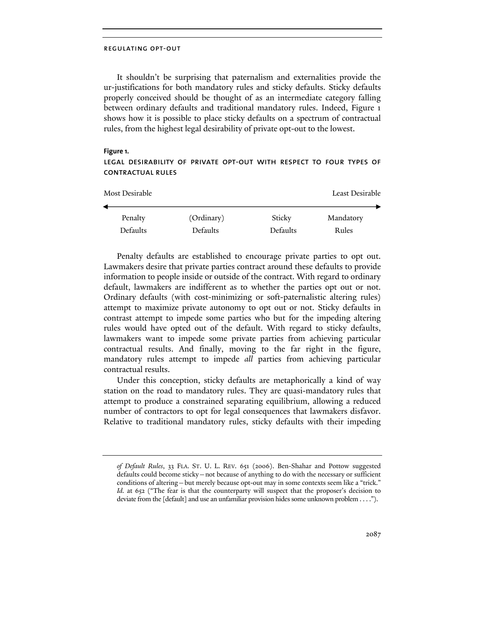It shouldn't be surprising that paternalism and externalities provide the ur-justifications for both mandatory rules and sticky defaults. Sticky defaults properly conceived should be thought of as an intermediate category falling between ordinary defaults and traditional mandatory rules. Indeed, Figure 1 shows how it is possible to place sticky defaults on a spectrum of contractual rules, from the highest legal desirability of private opt-out to the lowest.

## **Figure 1.**

# legal desirability of private opt-out with respect to four types of contractual rules

| Most Desirable  |                 |          | Least Desirable |  |
|-----------------|-----------------|----------|-----------------|--|
| Penalty         | (Ordinary)      | Sticky   | Mandatory       |  |
| <b>Defaults</b> | <b>Defaults</b> | Defaults | Rules           |  |

Penalty defaults are established to encourage private parties to opt out. Lawmakers desire that private parties contract around these defaults to provide information to people inside or outside of the contract. With regard to ordinary default, lawmakers are indifferent as to whether the parties opt out or not. Ordinary defaults (with cost-minimizing or soft-paternalistic altering rules) attempt to maximize private autonomy to opt out or not. Sticky defaults in contrast attempt to impede some parties who but for the impeding altering rules would have opted out of the default. With regard to sticky defaults, lawmakers want to impede some private parties from achieving particular contractual results. And finally, moving to the far right in the figure, mandatory rules attempt to impede *all* parties from achieving particular contractual results.

Under this conception, sticky defaults are metaphorically a kind of way station on the road to mandatory rules. They are quasi-mandatory rules that attempt to produce a constrained separating equilibrium, allowing a reduced number of contractors to opt for legal consequences that lawmakers disfavor. Relative to traditional mandatory rules, sticky defaults with their impeding

*of Default Rules*, 33 FLA. ST. U. L. REV. 651 (2006). Ben-Shahar and Pottow suggested defaults could become sticky—not because of anything to do with the necessary or sufficient conditions of altering—but merely because opt-out may in some contexts seem like a "trick." *Id.* at 652 ("The fear is that the counterparty will suspect that the proposer's decision to deviate from the [default] and use an unfamiliar provision hides some unknown problem . . . .").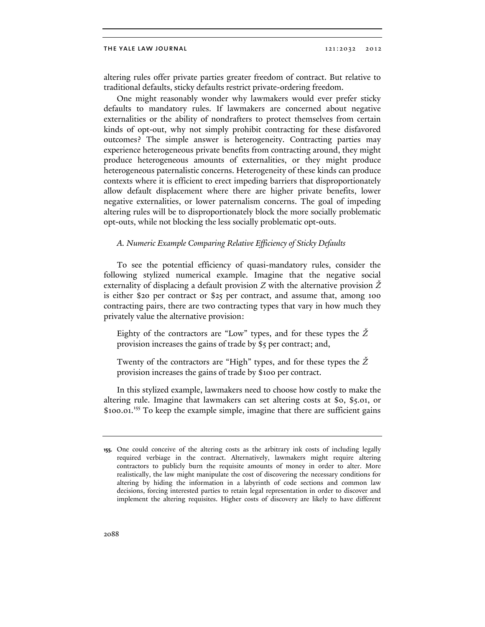altering rules offer private parties greater freedom of contract. But relative to traditional defaults, sticky defaults restrict private-ordering freedom.

One might reasonably wonder why lawmakers would ever prefer sticky defaults to mandatory rules. If lawmakers are concerned about negative externalities or the ability of nondrafters to protect themselves from certain kinds of opt-out, why not simply prohibit contracting for these disfavored outcomes? The simple answer is heterogeneity. Contracting parties may experience heterogeneous private benefits from contracting around, they might produce heterogeneous amounts of externalities, or they might produce heterogeneous paternalistic concerns. Heterogeneity of these kinds can produce contexts where it is efficient to erect impeding barriers that disproportionately allow default displacement where there are higher private benefits, lower negative externalities, or lower paternalism concerns. The goal of impeding altering rules will be to disproportionately block the more socially problematic opt-outs, while not blocking the less socially problematic opt-outs.

### *A. Numeric Example Comparing Relative Efficiency of Sticky Defaults*

To see the potential efficiency of quasi-mandatory rules, consider the following stylized numerical example. Imagine that the negative social externality of displacing a default provision *Z* with the alternative provision *Ž* is either \$20 per contract or \$25 per contract, and assume that, among 100 contracting pairs, there are two contracting types that vary in how much they privately value the alternative provision:

Eighty of the contractors are "Low" types, and for these types the *Ž* provision increases the gains of trade by \$5 per contract; and,

Twenty of the contractors are "High" types, and for these types the *Ž* provision increases the gains of trade by \$100 per contract.

In this stylized example, lawmakers need to choose how costly to make the altering rule. Imagine that lawmakers can set altering costs at \$0, \$5.01, or \$100.01.<sup>155</sup> To keep the example simple, imagine that there are sufficient gains

**<sup>155.</sup>** One could conceive of the altering costs as the arbitrary ink costs of including legally required verbiage in the contract. Alternatively, lawmakers might require altering contractors to publicly burn the requisite amounts of money in order to alter. More realistically, the law might manipulate the cost of discovering the necessary conditions for altering by hiding the information in a labyrinth of code sections and common law decisions, forcing interested parties to retain legal representation in order to discover and implement the altering requisites. Higher costs of discovery are likely to have different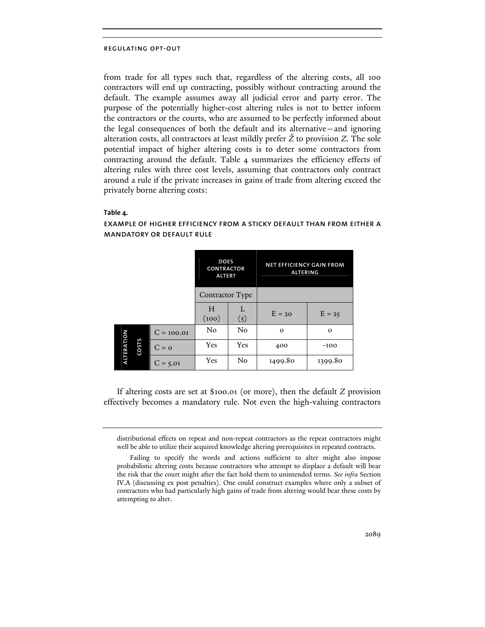from trade for all types such that, regardless of the altering costs, all 100 contractors will end up contracting, possibly without contracting around the default. The example assumes away all judicial error and party error. The purpose of the potentially higher-cost altering rules is not to better inform the contractors or the courts, who are assumed to be perfectly informed about the legal consequences of both the default and its alternative—and ignoring alteration costs, all contractors at least mildly prefer *Ž* to provision *Z*. The sole potential impact of higher altering costs is to deter some contractors from contracting around the default. Table 4 summarizes the efficiency effects of altering rules with three cost levels, assuming that contractors only contract around a rule if the private increases in gains of trade from altering exceed the privately borne altering costs:

# **Table 4.**

### does net efficiency gain from **CONTRACTOR** altering alter? Contractor Type H L  $(\frac{L}{5})$  E = 20 E = 25  $(100)$  $C = 100.01$  No No 0 0 alteration ALTERATIOI costs  $C = 0$  Yes Yes 400 -100  $C = 5.01$  Yes No 1499.80 1399.80

# example of higher efficiency from a sticky default than from either a mandatory or default rule

If altering costs are set at \$100.01 (or more), then the default *Z* provision effectively becomes a mandatory rule. Not even the high-valuing contractors

distributional effects on repeat and non-repeat contractors as the repeat contractors might well be able to utilize their acquired knowledge altering prerequisites in repeated contracts.

Failing to specify the words and actions sufficient to alter might also impose probabilistic altering costs because contractors who attempt to displace a default will bear the risk that the court might after the fact hold them to unintended terms. *See infra* Section IV.A (discussing ex post penalties). One could construct examples where only a subset of contractors who had particularly high gains of trade from altering would bear these costs by attempting to alter.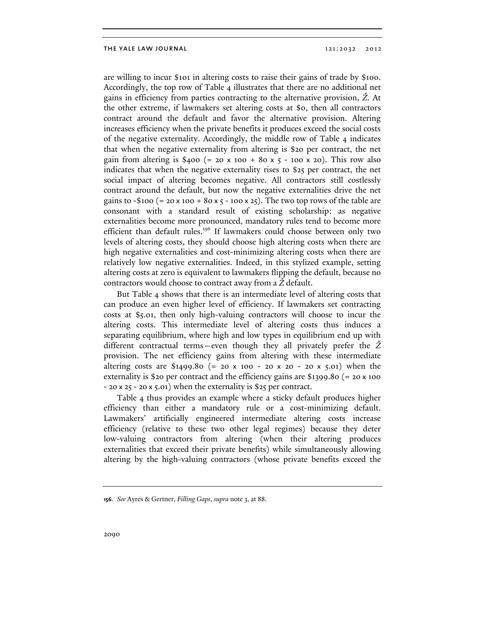are willing to incur \$101 in altering costs to raise their gains of trade by \$100. Accordingly, the top row of Table 4 illustrates that there are no additional net gains in efficiency from parties contracting to the alternative provision, *Ž*. At the other extreme, if lawmakers set altering costs at \$0, then all contractors contract around the default and favor the alternative provision. Altering increases efficiency when the private benefits it produces exceed the social costs of the negative externality. Accordingly, the middle row of Table 4 indicates that when the negative externality from altering is \$20 per contract, the net gain from altering is \$400 (= 20 x 100 + 80 x  $5 - 100$  x 20). This row also indicates that when the negative externality rises to \$25 per contract, the net social impact of altering becomes negative. All contractors still costlessly contract around the default, but now the negative externalities drive the net gains to  $-$ \$100 (= 20 x 100 + 80 x  $5 - 100$  x 25). The two top rows of the table are consonant with a standard result of existing scholarship: as negative externalities become more pronounced, mandatory rules tend to become more efficient than default rules.<sup>156</sup> If lawmakers could choose between only two levels of altering costs, they should choose high altering costs when there are high negative externalities and cost-minimizing altering costs when there are relatively low negative externalities. Indeed, in this stylized example, setting altering costs at zero is equivalent to lawmakers flipping the default, because no contractors would choose to contract away from a *Ž* default.

But Table 4 shows that there is an intermediate level of altering costs that can produce an even higher level of efficiency. If lawmakers set contracting costs at \$5.01, then only high-valuing contractors will choose to incur the altering costs. This intermediate level of altering costs thus induces a separating equilibrium, where high and low types in equilibrium end up with different contractual terms—even though they all privately prefer the *Ž* provision. The net efficiency gains from altering with these intermediate altering costs are \$1499.80 (= 20 x 100 - 20 x 20 - 20 x 5.01) when the externality is \$20 per contract and the efficiency gains are \$1399.80 (= 20 x 100 - 20 x 25 - 20 x 5.01) when the externality is \$25 per contract.

Table 4 thus provides an example where a sticky default produces higher efficiency than either a mandatory rule or a cost-minimizing default. Lawmakers' artificially engineered intermediate altering costs increase efficiency (relative to these two other legal regimes) because they deter low-valuing contractors from altering (when their altering produces externalities that exceed their private benefits) while simultaneously allowing altering by the high-valuing contractors (whose private benefits exceed the

**<sup>156.</sup>** *See* Ayres & Gertner, *Filling Gaps*, *supra* note 3, at 88.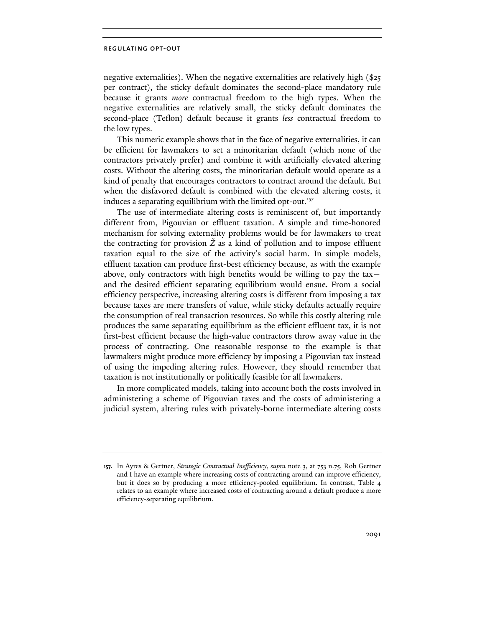negative externalities). When the negative externalities are relatively high (\$25 per contract), the sticky default dominates the second-place mandatory rule because it grants *more* contractual freedom to the high types. When the negative externalities are relatively small, the sticky default dominates the second-place (Teflon) default because it grants *less* contractual freedom to the low types.

This numeric example shows that in the face of negative externalities, it can be efficient for lawmakers to set a minoritarian default (which none of the contractors privately prefer) and combine it with artificially elevated altering costs. Without the altering costs, the minoritarian default would operate as a kind of penalty that encourages contractors to contract around the default. But when the disfavored default is combined with the elevated altering costs, it induces a separating equilibrium with the limited opt-out.<sup>157</sup>

The use of intermediate altering costs is reminiscent of, but importantly different from, Pigouvian or effluent taxation. A simple and time-honored mechanism for solving externality problems would be for lawmakers to treat the contracting for provision *Ž* as a kind of pollution and to impose effluent taxation equal to the size of the activity's social harm. In simple models, effluent taxation can produce first-best efficiency because, as with the example above, only contractors with high benefits would be willing to pay the taxand the desired efficient separating equilibrium would ensue. From a social efficiency perspective, increasing altering costs is different from imposing a tax because taxes are mere transfers of value, while sticky defaults actually require the consumption of real transaction resources. So while this costly altering rule produces the same separating equilibrium as the efficient effluent tax, it is not first-best efficient because the high-value contractors throw away value in the process of contracting. One reasonable response to the example is that lawmakers might produce more efficiency by imposing a Pigouvian tax instead of using the impeding altering rules. However, they should remember that taxation is not institutionally or politically feasible for all lawmakers.

In more complicated models, taking into account both the costs involved in administering a scheme of Pigouvian taxes and the costs of administering a judicial system, altering rules with privately-borne intermediate altering costs

**<sup>157.</sup>** In Ayres & Gertner, *Strategic Contractual Inefficiency*, *supra* note 3, at 753 n.75, Rob Gertner and I have an example where increasing costs of contracting around can improve efficiency, but it does so by producing a more efficiency-pooled equilibrium. In contrast, Table 4 relates to an example where increased costs of contracting around a default produce a more efficiency-separating equilibrium.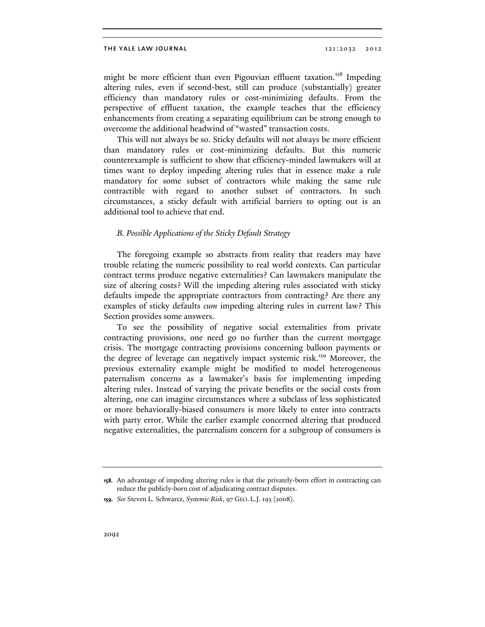might be more efficient than even Pigouvian effluent taxation.<sup>158</sup> Impeding altering rules, even if second-best, still can produce (substantially) greater efficiency than mandatory rules or cost-minimizing defaults. From the perspective of effluent taxation, the example teaches that the efficiency enhancements from creating a separating equilibrium can be strong enough to overcome the additional headwind of "wasted" transaction costs.

This will not always be so. Sticky defaults will not always be more efficient than mandatory rules or cost-minimizing defaults. But this numeric counterexample is sufficient to show that efficiency-minded lawmakers will at times want to deploy impeding altering rules that in essence make a rule mandatory for some subset of contractors while making the same rule contractible with regard to another subset of contractors. In such circumstances, a sticky default with artificial barriers to opting out is an additional tool to achieve that end.

### *B. Possible Applications of the Sticky Default Strategy*

The foregoing example so abstracts from reality that readers may have trouble relating the numeric possibility to real world contexts. Can particular contract terms produce negative externalities? Can lawmakers manipulate the size of altering costs? Will the impeding altering rules associated with sticky defaults impede the appropriate contractors from contracting? Are there any examples of sticky defaults *cum* impeding altering rules in current law? This Section provides some answers.

To see the possibility of negative social externalities from private contracting provisions, one need go no further than the current mortgage crisis. The mortgage contracting provisions concerning balloon payments or the degree of leverage can negatively impact systemic risk.<sup>159</sup> Moreover, the previous externality example might be modified to model heterogeneous paternalism concerns as a lawmaker's basis for implementing impeding altering rules. Instead of varying the private benefits or the social costs from altering, one can imagine circumstances where a subclass of less sophisticated or more behaviorally-biased consumers is more likely to enter into contracts with party error. While the earlier example concerned altering that produced negative externalities, the paternalism concern for a subgroup of consumers is

**<sup>158.</sup>** An advantage of impeding altering rules is that the privately-born effort in contracting can reduce the publicly-born cost of adjudicating contract disputes.

**<sup>159.</sup>** *See* Steven L. Schwarcz, *Systemic Risk*, 97 GEO. L.J. 193 (2008).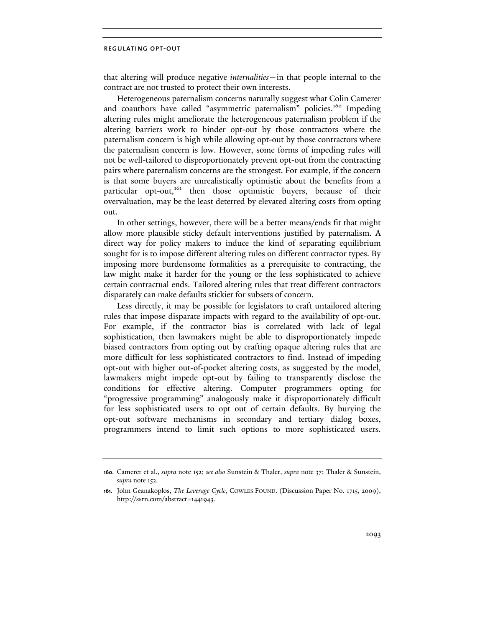that altering will produce negative *internalities*—in that people internal to the contract are not trusted to protect their own interests.

Heterogeneous paternalism concerns naturally suggest what Colin Camerer and coauthors have called "asymmetric paternalism" policies.<sup>160</sup> Impeding altering rules might ameliorate the heterogeneous paternalism problem if the altering barriers work to hinder opt-out by those contractors where the paternalism concern is high while allowing opt-out by those contractors where the paternalism concern is low. However, some forms of impeding rules will not be well-tailored to disproportionately prevent opt-out from the contracting pairs where paternalism concerns are the strongest. For example, if the concern is that some buyers are unrealistically optimistic about the benefits from a particular opt-out,<sup>161</sup> then those optimistic buyers, because of their overvaluation, may be the least deterred by elevated altering costs from opting out.

In other settings, however, there will be a better means/ends fit that might allow more plausible sticky default interventions justified by paternalism. A direct way for policy makers to induce the kind of separating equilibrium sought for is to impose different altering rules on different contractor types. By imposing more burdensome formalities as a prerequisite to contracting, the law might make it harder for the young or the less sophisticated to achieve certain contractual ends. Tailored altering rules that treat different contractors disparately can make defaults stickier for subsets of concern.

Less directly, it may be possible for legislators to craft untailored altering rules that impose disparate impacts with regard to the availability of opt-out. For example, if the contractor bias is correlated with lack of legal sophistication, then lawmakers might be able to disproportionately impede biased contractors from opting out by crafting opaque altering rules that are more difficult for less sophisticated contractors to find. Instead of impeding opt-out with higher out-of-pocket altering costs, as suggested by the model, lawmakers might impede opt-out by failing to transparently disclose the conditions for effective altering. Computer programmers opting for "progressive programming" analogously make it disproportionately difficult for less sophisticated users to opt out of certain defaults. By burying the opt-out software mechanisms in secondary and tertiary dialog boxes, programmers intend to limit such options to more sophisticated users.

**<sup>160.</sup>** Camerer et al., *supra* note 152; *see also* Sunstein & Thaler, *supra* note 37; Thaler & Sunstein, *supra* note 152.

**<sup>161.</sup>** John Geanakoplos, *The Leverage Cycle*, COWLES FOUND. (Discussion Paper No. 1715, 2009), http://ssrn.com/abstract=1441943.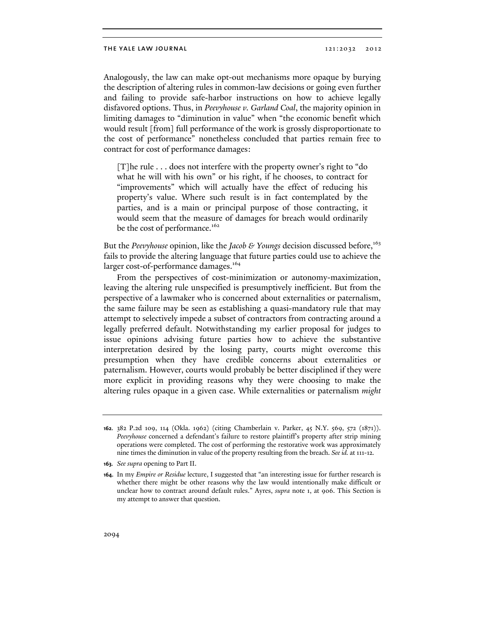Analogously, the law can make opt-out mechanisms more opaque by burying the description of altering rules in common-law decisions or going even further and failing to provide safe-harbor instructions on how to achieve legally disfavored options. Thus, in *Peevyhouse v. Garland Coal*, the majority opinion in limiting damages to "diminution in value" when "the economic benefit which would result [from] full performance of the work is grossly disproportionate to the cost of performance" nonetheless concluded that parties remain free to contract for cost of performance damages:

[T]he rule . . . does not interfere with the property owner's right to "do what he will with his own" or his right, if he chooses, to contract for "improvements" which will actually have the effect of reducing his property's value. Where such result is in fact contemplated by the parties, and is a main or principal purpose of those contracting, it would seem that the measure of damages for breach would ordinarily be the cost of performance.<sup>162</sup>

But the *Peevyhouse* opinion, like the *Jacob & Youngs* decision discussed before,<sup>163</sup> fails to provide the altering language that future parties could use to achieve the larger cost-of-performance damages.<sup>164</sup>

From the perspectives of cost-minimization or autonomy-maximization, leaving the altering rule unspecified is presumptively inefficient. But from the perspective of a lawmaker who is concerned about externalities or paternalism, the same failure may be seen as establishing a quasi-mandatory rule that may attempt to selectively impede a subset of contractors from contracting around a legally preferred default. Notwithstanding my earlier proposal for judges to issue opinions advising future parties how to achieve the substantive interpretation desired by the losing party, courts might overcome this presumption when they have credible concerns about externalities or paternalism. However, courts would probably be better disciplined if they were more explicit in providing reasons why they were choosing to make the altering rules opaque in a given case. While externalities or paternalism *might*

**<sup>162.</sup>** 382 P.2d 109, 114 (Okla. 1962) (citing Chamberlain v. Parker, 45 N.Y. 569, 572 (1871)). *Peevyhouse* concerned a defendant's failure to restore plaintiff's property after strip mining operations were completed. The cost of performing the restorative work was approximately nine times the diminution in value of the property resulting from the breach. *See id.* at 111-12.

**<sup>163.</sup>** *See supra* opening to Part II.

**<sup>164.</sup>** In my *Empire or Residue* lecture, I suggested that "an interesting issue for further research is whether there might be other reasons why the law would intentionally make difficult or unclear how to contract around default rules." Ayres, *supra* note 1, at 906. This Section is my attempt to answer that question.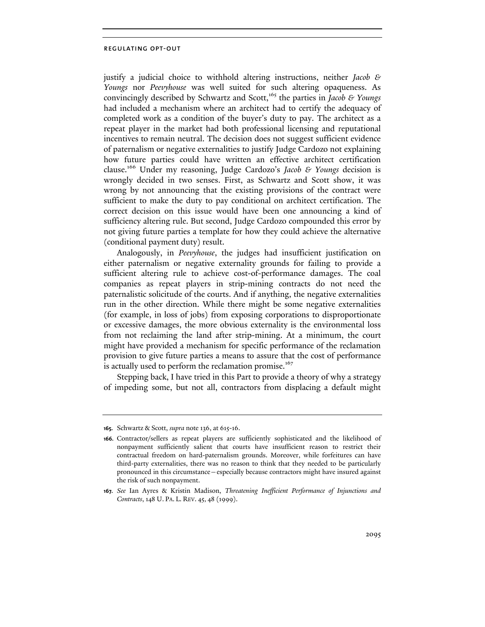justify a judicial choice to withhold altering instructions, neither *Jacob & Youngs* nor *Peevyhouse* was well suited for such altering opaqueness. As convincingly described by Schwartz and Scott,<sup>165</sup> the parties in *Jacob & Youngs* had included a mechanism where an architect had to certify the adequacy of completed work as a condition of the buyer's duty to pay. The architect as a repeat player in the market had both professional licensing and reputational incentives to remain neutral. The decision does not suggest sufficient evidence of paternalism or negative externalities to justify Judge Cardozo not explaining how future parties could have written an effective architect certification clause.166 Under my reasoning, Judge Cardozo's *Jacob & Youngs* decision is wrongly decided in two senses. First, as Schwartz and Scott show, it was wrong by not announcing that the existing provisions of the contract were sufficient to make the duty to pay conditional on architect certification. The correct decision on this issue would have been one announcing a kind of sufficiency altering rule. But second, Judge Cardozo compounded this error by not giving future parties a template for how they could achieve the alternative (conditional payment duty) result.

Analogously, in *Peevyhouse*, the judges had insufficient justification on either paternalism or negative externality grounds for failing to provide a sufficient altering rule to achieve cost-of-performance damages. The coal companies as repeat players in strip-mining contracts do not need the paternalistic solicitude of the courts. And if anything, the negative externalities run in the other direction. While there might be some negative externalities (for example, in loss of jobs) from exposing corporations to disproportionate or excessive damages, the more obvious externality is the environmental loss from not reclaiming the land after strip-mining. At a minimum, the court might have provided a mechanism for specific performance of the reclamation provision to give future parties a means to assure that the cost of performance is actually used to perform the reclamation promise.<sup>167</sup>

Stepping back, I have tried in this Part to provide a theory of why a strategy of impeding some, but not all, contractors from displacing a default might

**<sup>165.</sup>** Schwartz & Scott, *supra* note 136, at 615-16.

**<sup>166.</sup>** Contractor/sellers as repeat players are sufficiently sophisticated and the likelihood of nonpayment sufficiently salient that courts have insufficient reason to restrict their contractual freedom on hard-paternalism grounds. Moreover, while forfeitures can have third-party externalities, there was no reason to think that they needed to be particularly pronounced in this circumstance—especially because contractors might have insured against the risk of such nonpayment.

**<sup>167.</sup>** *See* Ian Ayres & Kristin Madison, *Threatening Inefficient Performance of Injunctions and Contracts*, 148 U. PA. L. REV. 45, 48 (1999).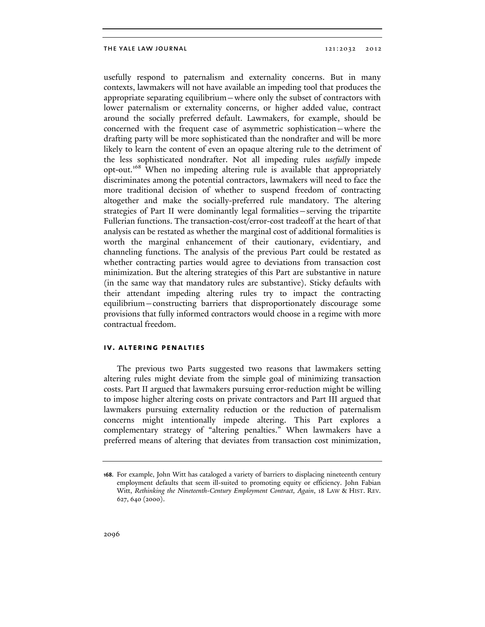usefully respond to paternalism and externality concerns. But in many contexts, lawmakers will not have available an impeding tool that produces the appropriate separating equilibrium—where only the subset of contractors with lower paternalism or externality concerns, or higher added value, contract around the socially preferred default. Lawmakers, for example, should be concerned with the frequent case of asymmetric sophistication—where the drafting party will be more sophisticated than the nondrafter and will be more likely to learn the content of even an opaque altering rule to the detriment of the less sophisticated nondrafter. Not all impeding rules *usefully* impede opt-out.168 When no impeding altering rule is available that appropriately discriminates among the potential contractors, lawmakers will need to face the more traditional decision of whether to suspend freedom of contracting altogether and make the socially-preferred rule mandatory. The altering strategies of Part II were dominantly legal formalities—serving the tripartite Fullerian functions. The transaction-cost/error-cost tradeoff at the heart of that analysis can be restated as whether the marginal cost of additional formalities is worth the marginal enhancement of their cautionary, evidentiary, and channeling functions. The analysis of the previous Part could be restated as whether contracting parties would agree to deviations from transaction cost minimization. But the altering strategies of this Part are substantive in nature (in the same way that mandatory rules are substantive). Sticky defaults with their attendant impeding altering rules try to impact the contracting equilibrium—constructing barriers that disproportionately discourage some provisions that fully informed contractors would choose in a regime with more contractual freedom.

# **iv. altering penalties**

The previous two Parts suggested two reasons that lawmakers setting altering rules might deviate from the simple goal of minimizing transaction costs. Part II argued that lawmakers pursuing error-reduction might be willing to impose higher altering costs on private contractors and Part III argued that lawmakers pursuing externality reduction or the reduction of paternalism concerns might intentionally impede altering. This Part explores a complementary strategy of "altering penalties." When lawmakers have a preferred means of altering that deviates from transaction cost minimization,

**<sup>168.</sup>** For example, John Witt has cataloged a variety of barriers to displacing nineteenth century employment defaults that seem ill-suited to promoting equity or efficiency. John Fabian Witt, *Rethinking the Nineteenth-Century Employment Contract, Again*, 18 LAW & HIST. REV. 627, 640 (2000).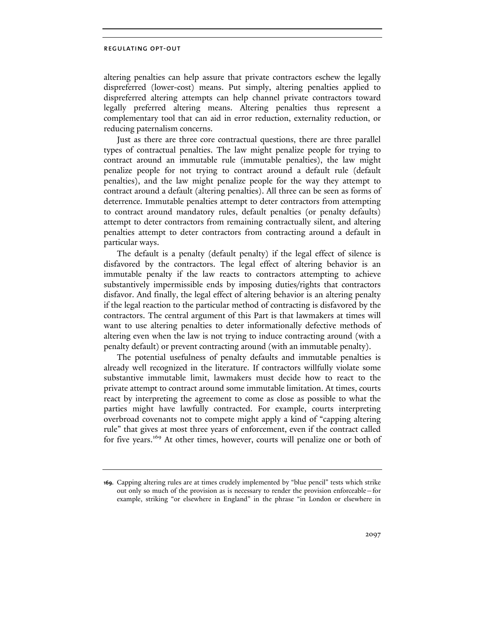altering penalties can help assure that private contractors eschew the legally dispreferred (lower-cost) means. Put simply, altering penalties applied to dispreferred altering attempts can help channel private contractors toward legally preferred altering means. Altering penalties thus represent a complementary tool that can aid in error reduction, externality reduction, or reducing paternalism concerns.

Just as there are three core contractual questions, there are three parallel types of contractual penalties. The law might penalize people for trying to contract around an immutable rule (immutable penalties), the law might penalize people for not trying to contract around a default rule (default penalties), and the law might penalize people for the way they attempt to contract around a default (altering penalties). All three can be seen as forms of deterrence. Immutable penalties attempt to deter contractors from attempting to contract around mandatory rules, default penalties (or penalty defaults) attempt to deter contractors from remaining contractually silent, and altering penalties attempt to deter contractors from contracting around a default in particular ways.

The default is a penalty (default penalty) if the legal effect of silence is disfavored by the contractors. The legal effect of altering behavior is an immutable penalty if the law reacts to contractors attempting to achieve substantively impermissible ends by imposing duties/rights that contractors disfavor. And finally, the legal effect of altering behavior is an altering penalty if the legal reaction to the particular method of contracting is disfavored by the contractors. The central argument of this Part is that lawmakers at times will want to use altering penalties to deter informationally defective methods of altering even when the law is not trying to induce contracting around (with a penalty default) or prevent contracting around (with an immutable penalty).

The potential usefulness of penalty defaults and immutable penalties is already well recognized in the literature. If contractors willfully violate some substantive immutable limit, lawmakers must decide how to react to the private attempt to contract around some immutable limitation. At times, courts react by interpreting the agreement to come as close as possible to what the parties might have lawfully contracted. For example, courts interpreting overbroad covenants not to compete might apply a kind of "capping altering rule" that gives at most three years of enforcement, even if the contract called for five years.<sup>169</sup> At other times, however, courts will penalize one or both of

**<sup>169.</sup>** Capping altering rules are at times crudely implemented by "blue pencil" tests which strike out only so much of the provision as is necessary to render the provision enforceable—for example, striking "or elsewhere in England" in the phrase "in London or elsewhere in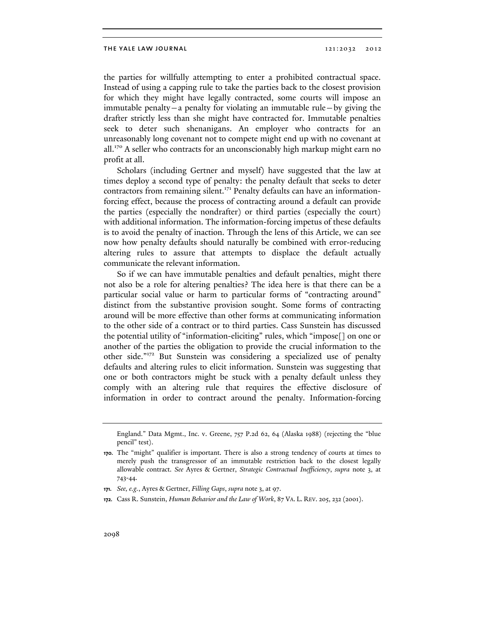the parties for willfully attempting to enter a prohibited contractual space. Instead of using a capping rule to take the parties back to the closest provision for which they might have legally contracted, some courts will impose an immutable penalty—a penalty for violating an immutable rule—by giving the drafter strictly less than she might have contracted for. Immutable penalties seek to deter such shenanigans. An employer who contracts for an unreasonably long covenant not to compete might end up with no covenant at all.<sup>170</sup> A seller who contracts for an unconscionably high markup might earn no profit at all.

Scholars (including Gertner and myself) have suggested that the law at times deploy a second type of penalty: the penalty default that seeks to deter contractors from remaining silent.<sup>171</sup> Penalty defaults can have an informationforcing effect, because the process of contracting around a default can provide the parties (especially the nondrafter) or third parties (especially the court) with additional information. The information-forcing impetus of these defaults is to avoid the penalty of inaction. Through the lens of this Article, we can see now how penalty defaults should naturally be combined with error-reducing altering rules to assure that attempts to displace the default actually communicate the relevant information.

So if we can have immutable penalties and default penalties, might there not also be a role for altering penalties? The idea here is that there can be a particular social value or harm to particular forms of "contracting around" distinct from the substantive provision sought. Some forms of contracting around will be more effective than other forms at communicating information to the other side of a contract or to third parties. Cass Sunstein has discussed the potential utility of "information-eliciting" rules, which "impose[] on one or another of the parties the obligation to provide the crucial information to the other side."172 But Sunstein was considering a specialized use of penalty defaults and altering rules to elicit information. Sunstein was suggesting that one or both contractors might be stuck with a penalty default unless they comply with an altering rule that requires the effective disclosure of information in order to contract around the penalty. Information-forcing

**172.** Cass R. Sunstein, *Human Behavior and the Law of Work*, 87 VA. L. REV. 205, 232 (2001).

England." Data Mgmt., Inc. v. Greene, 757 P.2d 62, 64 (Alaska 1988) (rejecting the "blue pencil" test).

**<sup>170.</sup>** The "might" qualifier is important. There is also a strong tendency of courts at times to merely push the transgressor of an immutable restriction back to the closest legally allowable contract. *See* Ayres & Gertner, *Strategic Contractual Inefficiency*, *supra* note 3, at 743-44.

**<sup>171.</sup>** *See, e.g.*, Ayres & Gertner, *Filling Gaps*, *supra* note 3, at 97.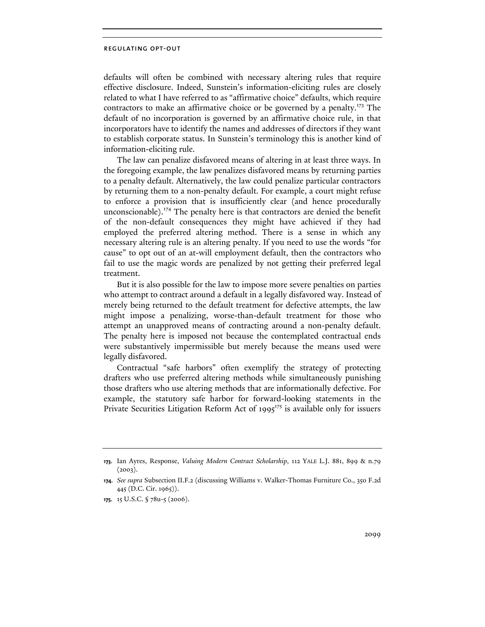defaults will often be combined with necessary altering rules that require effective disclosure. Indeed, Sunstein's information-eliciting rules are closely related to what I have referred to as "affirmative choice" defaults, which require contractors to make an affirmative choice or be governed by a penalty.<sup>173</sup> The default of no incorporation is governed by an affirmative choice rule, in that incorporators have to identify the names and addresses of directors if they want to establish corporate status. In Sunstein's terminology this is another kind of information-eliciting rule.

The law can penalize disfavored means of altering in at least three ways. In the foregoing example, the law penalizes disfavored means by returning parties to a penalty default. Alternatively, the law could penalize particular contractors by returning them to a non-penalty default. For example, a court might refuse to enforce a provision that is insufficiently clear (and hence procedurally unconscionable).<sup>174</sup> The penalty here is that contractors are denied the benefit of the non-default consequences they might have achieved if they had employed the preferred altering method. There is a sense in which any necessary altering rule is an altering penalty. If you need to use the words "for cause" to opt out of an at-will employment default, then the contractors who fail to use the magic words are penalized by not getting their preferred legal treatment.

But it is also possible for the law to impose more severe penalties on parties who attempt to contract around a default in a legally disfavored way. Instead of merely being returned to the default treatment for defective attempts, the law might impose a penalizing, worse-than-default treatment for those who attempt an unapproved means of contracting around a non-penalty default. The penalty here is imposed not because the contemplated contractual ends were substantively impermissible but merely because the means used were legally disfavored.

Contractual "safe harbors" often exemplify the strategy of protecting drafters who use preferred altering methods while simultaneously punishing those drafters who use altering methods that are informationally defective. For example, the statutory safe harbor for forward-looking statements in the Private Securities Litigation Reform Act of  $1995^{175}$  is available only for issuers

**<sup>173.</sup>** Ian Ayres, Response, *Valuing Modern Contract Scholarship*, 112 YALE L.J. 881, 899 & n.79  $(2003).$ 

**<sup>174.</sup>** *See supra* Subsection II.F.2 (discussing Williams v. Walker-Thomas Furniture Co., 350 F.2d 445 (D.C. Cir. 1965)).

**<sup>175.</sup>** 15 U.S.C. § 78u-5 (2006).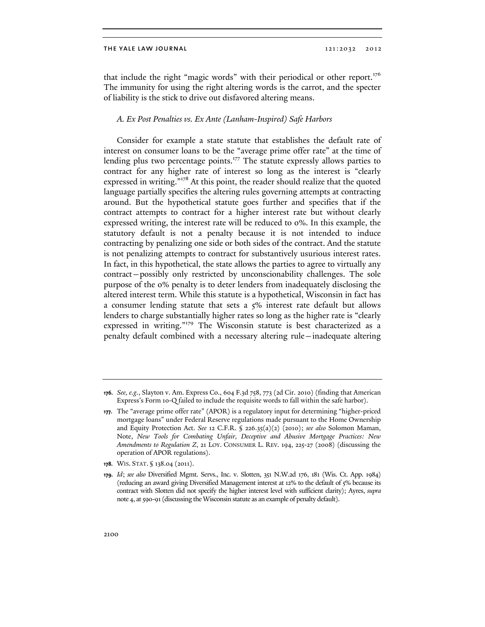that include the right "magic words" with their periodical or other report.<sup>176</sup> The immunity for using the right altering words is the carrot, and the specter of liability is the stick to drive out disfavored altering means.

# *A. Ex Post Penalties vs. Ex Ante (Lanham-Inspired) Safe Harbors*

Consider for example a state statute that establishes the default rate of interest on consumer loans to be the "average prime offer rate" at the time of lending plus two percentage points.<sup>177</sup> The statute expressly allows parties to contract for any higher rate of interest so long as the interest is "clearly expressed in writing."<sup>178</sup> At this point, the reader should realize that the quoted language partially specifies the altering rules governing attempts at contracting around. But the hypothetical statute goes further and specifies that if the contract attempts to contract for a higher interest rate but without clearly expressed writing, the interest rate will be reduced to 0%. In this example, the statutory default is not a penalty because it is not intended to induce contracting by penalizing one side or both sides of the contract. And the statute is not penalizing attempts to contract for substantively usurious interest rates. In fact, in this hypothetical, the state allows the parties to agree to virtually any contract—possibly only restricted by unconscionability challenges. The sole purpose of the 0% penalty is to deter lenders from inadequately disclosing the altered interest term. While this statute is a hypothetical, Wisconsin in fact has a consumer lending statute that sets a 5% interest rate default but allows lenders to charge substantially higher rates so long as the higher rate is "clearly expressed in writing."<sup>179</sup> The Wisconsin statute is best characterized as a penalty default combined with a necessary altering rule—inadequate altering

**178.** WIS. STAT. § 138.04 (2011).

**<sup>176.</sup>** *See, e.g.*, Slayton v. Am. Express Co., 604 F.3d 758, 773 (2d Cir. 2010) (finding that American Express's Form 10-Q failed to include the requisite words to fall within the safe harbor).

**<sup>177.</sup>** The "average prime offer rate" (APOR) is a regulatory input for determining "higher-priced mortgage loans" under Federal Reserve regulations made pursuant to the Home Ownership and Equity Protection Act. *See* 12 C.F.R. § 226.35(a)(2) (2010); *see also* Solomon Maman, Note, *New Tools for Combating Unfair, Deceptive and Abusive Mortgage Practices: New Amendments to Regulation Z*, 21 LOY. CONSUMER L. REV. 194, 225-27 (2008) (discussing the operation of APOR regulations).

**<sup>179.</sup>** *Id*; *see also* Diversified Mgmt. Servs., Inc. v. Slotten, 351 N.W.2d 176, 181 (Wis. Ct. App. 1984) (reducing an award giving Diversified Management interest at 12% to the default of 5% because its contract with Slotten did not specify the higher interest level with sufficient clarity); Ayres, *supra*  note 4, at 590-91 (discussing the Wisconsin statute as an example of penalty default).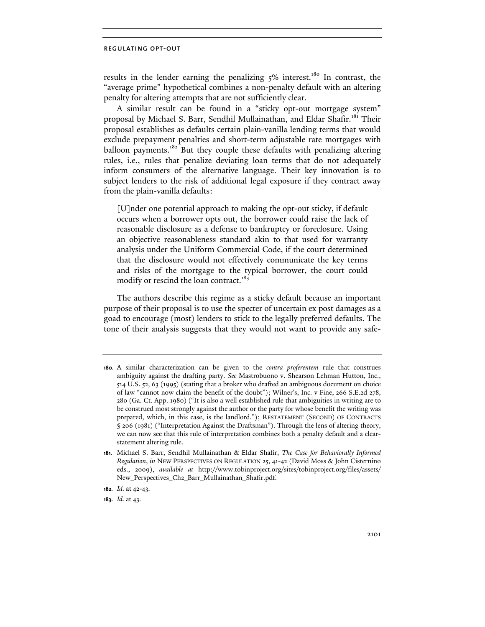results in the lender earning the penalizing  $5\%$  interest.<sup>180</sup> In contrast, the "average prime" hypothetical combines a non-penalty default with an altering penalty for altering attempts that are not sufficiently clear.

A similar result can be found in a "sticky opt-out mortgage system" proposal by Michael S. Barr, Sendhil Mullainathan, and Eldar Shafir.181 Their proposal establishes as defaults certain plain-vanilla lending terms that would exclude prepayment penalties and short-term adjustable rate mortgages with balloon payments.<sup>182</sup> But they couple these defaults with penalizing altering rules, i.e., rules that penalize deviating loan terms that do not adequately inform consumers of the alternative language. Their key innovation is to subject lenders to the risk of additional legal exposure if they contract away from the plain-vanilla defaults:

[U]nder one potential approach to making the opt-out sticky, if default occurs when a borrower opts out, the borrower could raise the lack of reasonable disclosure as a defense to bankruptcy or foreclosure. Using an objective reasonableness standard akin to that used for warranty analysis under the Uniform Commercial Code, if the court determined that the disclosure would not effectively communicate the key terms and risks of the mortgage to the typical borrower, the court could modify or rescind the loan contract.<sup>183</sup>

The authors describe this regime as a sticky default because an important purpose of their proposal is to use the specter of uncertain ex post damages as a goad to encourage (most) lenders to stick to the legally preferred defaults. The tone of their analysis suggests that they would not want to provide any safe-

**183.** *Id.* at 43.

**<sup>180.</sup>** A similar characterization can be given to the *contra proferentem* rule that construes ambiguity against the drafting party. *See* Mastrobuono v. Shearson Lehman Hutton, Inc., 514 U.S. 52, 63 (1995) (stating that a broker who drafted an ambiguous document on choice of law "cannot now claim the benefit of the doubt"); Wilner's, Inc. v Fine, 266 S.E.2d 278, 280 (Ga. Ct. App. 1980) ("It is also a well established rule that ambiguities in writing are to be construed most strongly against the author or the party for whose benefit the writing was prepared, which, in this case, is the landlord."); RESTATEMENT (SECOND) OF CONTRACTS § 206 (1981) ("Interpretation Against the Draftsman"). Through the lens of altering theory, we can now see that this rule of interpretation combines both a penalty default and a clearstatement altering rule.

**<sup>181.</sup>** Michael S. Barr, Sendhil Mullainathan & Eldar Shafir, *The Case for Behaviorally Informed Regulation*, *in* NEW PERSPECTIVES ON REGULATION 25, 41-42 (David Moss & John Cisternino eds., 2009), *available at* http://www.tobinproject.org/sites/tobinproject.org/files/assets/ New\_Perspectives\_Ch2\_Barr\_Mullainathan\_Shafir.pdf.

**<sup>182.</sup>** *Id.* at 42-43.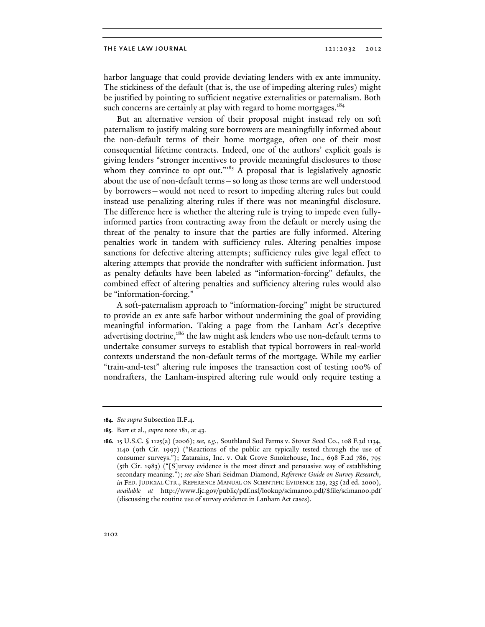harbor language that could provide deviating lenders with ex ante immunity. The stickiness of the default (that is, the use of impeding altering rules) might be justified by pointing to sufficient negative externalities or paternalism. Both such concerns are certainly at play with regard to home mortgages.<sup>184</sup>

But an alternative version of their proposal might instead rely on soft paternalism to justify making sure borrowers are meaningfully informed about the non-default terms of their home mortgage, often one of their most consequential lifetime contracts. Indeed, one of the authors' explicit goals is giving lenders "stronger incentives to provide meaningful disclosures to those whom they convince to opt out."<sup>185</sup> A proposal that is legislatively agnostic about the use of non-default terms—so long as those terms are well understood by borrowers—would not need to resort to impeding altering rules but could instead use penalizing altering rules if there was not meaningful disclosure. The difference here is whether the altering rule is trying to impede even fullyinformed parties from contracting away from the default or merely using the threat of the penalty to insure that the parties are fully informed. Altering penalties work in tandem with sufficiency rules. Altering penalties impose sanctions for defective altering attempts; sufficiency rules give legal effect to altering attempts that provide the nondrafter with sufficient information. Just as penalty defaults have been labeled as "information-forcing" defaults, the combined effect of altering penalties and sufficiency altering rules would also be "information-forcing."

A soft-paternalism approach to "information-forcing" might be structured to provide an ex ante safe harbor without undermining the goal of providing meaningful information. Taking a page from the Lanham Act's deceptive advertising doctrine,<sup>186</sup> the law might ask lenders who use non-default terms to undertake consumer surveys to establish that typical borrowers in real-world contexts understand the non-default terms of the mortgage. While my earlier "train-and-test" altering rule imposes the transaction cost of testing 100% of nondrafters, the Lanham-inspired altering rule would only require testing a

**<sup>184.</sup>** *See supra* Subsection II.F.4.

**<sup>185.</sup>** Barr et al., *supra* note 181, at 43.

**<sup>186.</sup>** 15 U.S.C. § 1125(a) (2006); *see, e.g.*, Southland Sod Farms v. Stover Seed Co., 108 F.3d 1134, 1140 (9th Cir. 1997) ("Reactions of the public are typically tested through the use of consumer surveys."); Zatarains, Inc. v. Oak Grove Smokehouse, Inc., 698 F.2d 786, 795 (5th Cir. 1983) ("[S]urvey evidence is the most direct and persuasive way of establishing secondary meaning."); *see also* Shari Seidman Diamond, *Reference Guide on Survey Research*, *in* FED. JUDICIAL CTR., REFERENCE MANUAL ON SCIENTIFIC EVIDENCE 229, 235 (2d ed. 2000), *available at* http://www.fjc.gov/public/pdf.nsf/lookup/sciman00.pdf/\$file/sciman00.pdf (discussing the routine use of survey evidence in Lanham Act cases).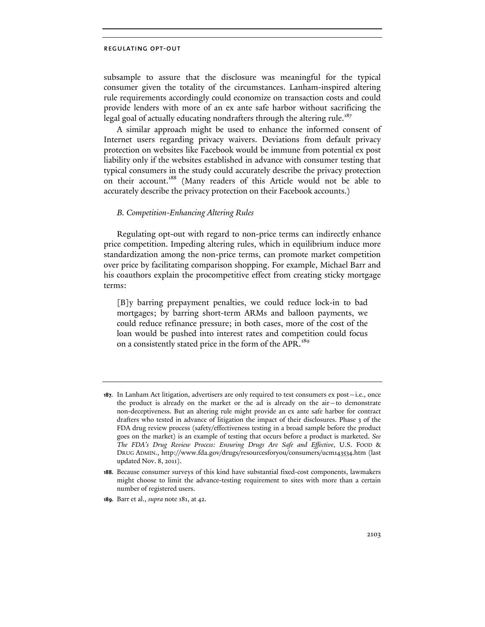subsample to assure that the disclosure was meaningful for the typical consumer given the totality of the circumstances. Lanham-inspired altering rule requirements accordingly could economize on transaction costs and could provide lenders with more of an ex ante safe harbor without sacrificing the legal goal of actually educating nondrafters through the altering rule.<sup>187</sup>

A similar approach might be used to enhance the informed consent of Internet users regarding privacy waivers. Deviations from default privacy protection on websites like Facebook would be immune from potential ex post liability only if the websites established in advance with consumer testing that typical consumers in the study could accurately describe the privacy protection on their account.<sup>188</sup> (Many readers of this Article would not be able to accurately describe the privacy protection on their Facebook accounts.)

# *B. Competition-Enhancing Altering Rules*

Regulating opt-out with regard to non-price terms can indirectly enhance price competition. Impeding altering rules, which in equilibrium induce more standardization among the non-price terms, can promote market competition over price by facilitating comparison shopping. For example, Michael Barr and his coauthors explain the procompetitive effect from creating sticky mortgage terms:

[B]y barring prepayment penalties, we could reduce lock-in to bad mortgages; by barring short-term ARMs and balloon payments, we could reduce refinance pressure; in both cases, more of the cost of the loan would be pushed into interest rates and competition could focus on a consistently stated price in the form of the APR.<sup>189</sup>

**<sup>187.</sup>** In Lanham Act litigation, advertisers are only required to test consumers ex post—i.e., once the product is already on the market or the ad is already on the air—to demonstrate non-deceptiveness. But an altering rule might provide an ex ante safe harbor for contract drafters who tested in advance of litigation the impact of their disclosures. Phase 3 of the FDA drug review process (safety/effectiveness testing in a broad sample before the product goes on the market) is an example of testing that occurs before a product is marketed. *See The FDA's Drug Review Process: Ensuring Drugs Are Safe and Effective*, U.S. FOOD & DRUG ADMIN., http://www.fda.gov/drugs/resourcesforyou/consumers/ucm143534.htm (last updated Nov. 8, 2011).

**<sup>188.</sup>** Because consumer surveys of this kind have substantial fixed-cost components, lawmakers might choose to limit the advance-testing requirement to sites with more than a certain number of registered users.

**<sup>189.</sup>** Barr et al., *supra* note 181, at 42.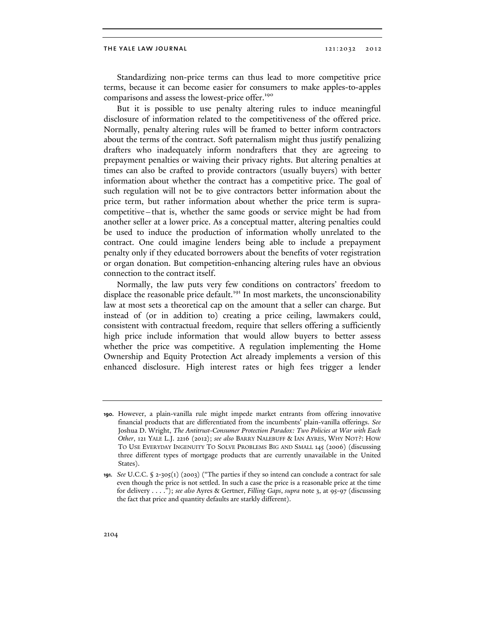Standardizing non-price terms can thus lead to more competitive price terms, because it can become easier for consumers to make apples-to-apples comparisons and assess the lowest-price offer.<sup>190</sup>

But it is possible to use penalty altering rules to induce meaningful disclosure of information related to the competitiveness of the offered price. Normally, penalty altering rules will be framed to better inform contractors about the terms of the contract. Soft paternalism might thus justify penalizing drafters who inadequately inform nondrafters that they are agreeing to prepayment penalties or waiving their privacy rights. But altering penalties at times can also be crafted to provide contractors (usually buyers) with better information about whether the contract has a competitive price. The goal of such regulation will not be to give contractors better information about the price term, but rather information about whether the price term is supracompetitive—that is, whether the same goods or service might be had from another seller at a lower price. As a conceptual matter, altering penalties could be used to induce the production of information wholly unrelated to the contract. One could imagine lenders being able to include a prepayment penalty only if they educated borrowers about the benefits of voter registration or organ donation. But competition-enhancing altering rules have an obvious connection to the contract itself.

Normally, the law puts very few conditions on contractors' freedom to displace the reasonable price default.<sup>191</sup> In most markets, the unconscionability law at most sets a theoretical cap on the amount that a seller can charge. But instead of (or in addition to) creating a price ceiling, lawmakers could, consistent with contractual freedom, require that sellers offering a sufficiently high price include information that would allow buyers to better assess whether the price was competitive. A regulation implementing the Home Ownership and Equity Protection Act already implements a version of this enhanced disclosure. High interest rates or high fees trigger a lender

**<sup>190.</sup>** However, a plain-vanilla rule might impede market entrants from offering innovative financial products that are differentiated from the incumbents' plain-vanilla offerings. *See*  Joshua D. Wright, *The Antitrust-Consumer Protection Paradox: Two Policies at War with Each Other*, 121 YALE L.J. 2216 (2012); *see also* BARRY NALEBUFF & IAN AYRES, WHY NOT?: HOW TO USE EVERYDAY INGENUITY TO SOLVE PROBLEMS BIG AND SMALL 145 (2006) (discussing three different types of mortgage products that are currently unavailable in the United States).

**<sup>191.</sup>** *See* U.C.C. § 2-305(1) (2003) ("The parties if they so intend can conclude a contract for sale even though the price is not settled. In such a case the price is a reasonable price at the time for delivery . . . ."); *see also* Ayres & Gertner, *Filling Gaps*, *supra* note 3, at 95-97 (discussing the fact that price and quantity defaults are starkly different).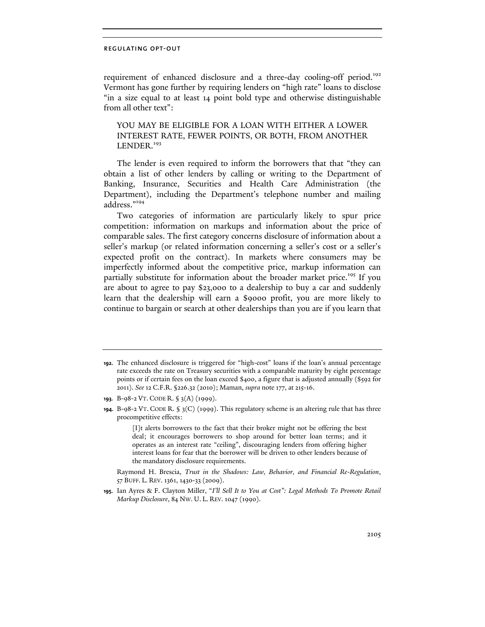requirement of enhanced disclosure and a three-day cooling-off period.<sup>192</sup> Vermont has gone further by requiring lenders on "high rate" loans to disclose "in a size equal to at least 14 point bold type and otherwise distinguishable from all other text":

YOU MAY BE ELIGIBLE FOR A LOAN WITH EITHER A LOWER INTEREST RATE, FEWER POINTS, OR BOTH, FROM ANOTHER LENDER.<sup>193</sup>

The lender is even required to inform the borrowers that that "they can obtain a list of other lenders by calling or writing to the Department of Banking, Insurance, Securities and Health Care Administration (the Department), including the Department's telephone number and mailing address."<sup>194</sup>

Two categories of information are particularly likely to spur price competition: information on markups and information about the price of comparable sales. The first category concerns disclosure of information about a seller's markup (or related information concerning a seller's cost or a seller's expected profit on the contract). In markets where consumers may be imperfectly informed about the competitive price, markup information can partially substitute for information about the broader market price.<sup>195</sup> If you are about to agree to pay \$23,000 to a dealership to buy a car and suddenly learn that the dealership will earn a \$9000 profit, you are more likely to continue to bargain or search at other dealerships than you are if you learn that

**<sup>192.</sup>** The enhanced disclosure is triggered for "high-cost" loans if the loan's annual percentage rate exceeds the rate on Treasury securities with a comparable maturity by eight percentage points or if certain fees on the loan exceed \$400, a figure that is adjusted annually (\$592 for 2011). *See* 12 C.F.R. §226.32 (2010); Maman, *supra* note 177, at 215-16.

**<sup>193.</sup>** B-98-2 VT. CODE R. § 3(A) (1999).

**<sup>194.</sup>** B-98-2 VT. CODE R. § 3(C) (1999). This regulatory scheme is an altering rule that has three procompetitive effects:

<sup>[</sup>I]t alerts borrowers to the fact that their broker might not be offering the best deal; it encourages borrowers to shop around for better loan terms; and it operates as an interest rate "ceiling", discouraging lenders from offering higher interest loans for fear that the borrower will be driven to other lenders because of the mandatory disclosure requirements.

Raymond H. Brescia, *Trust in the Shadows: Law, Behavior, and Financial Re-Regulation*, 57 BUFF. L. REV. 1361, 1430-33 (2009).

**<sup>195.</sup>** Ian Ayres & F. Clayton Miller, "*I'll Sell It to You at Cost": Legal Methods To Promote Retail Markup Disclosure*, 84 NW. U. L. REV. 1047 (1990).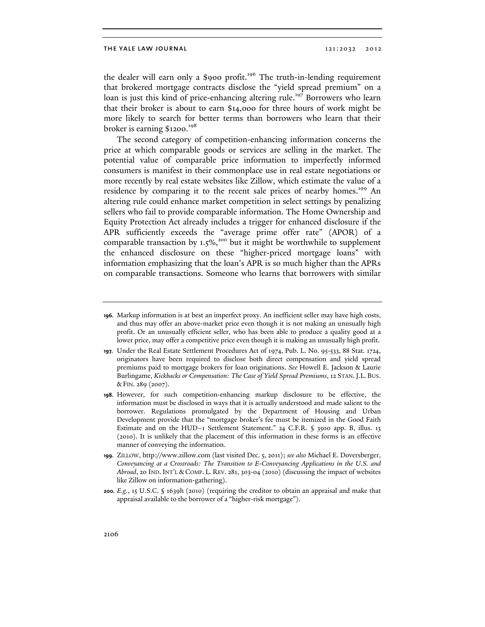the dealer will earn only a \$900 profit.<sup>196</sup> The truth-in-lending requirement that brokered mortgage contracts disclose the "yield spread premium" on a loan is just this kind of price-enhancing altering rule.<sup>197</sup> Borrowers who learn that their broker is about to earn \$14,000 for three hours of work might be more likely to search for better terms than borrowers who learn that their broker is earning \$1200.198

The second category of competition-enhancing information concerns the price at which comparable goods or services are selling in the market. The potential value of comparable price information to imperfectly informed consumers is manifest in their commonplace use in real estate negotiations or more recently by real estate websites like Zillow, which estimate the value of a residence by comparing it to the recent sale prices of nearby homes.<sup>199</sup> An altering rule could enhance market competition in select settings by penalizing sellers who fail to provide comparable information. The Home Ownership and Equity Protection Act already includes a trigger for enhanced disclosure if the APR sufficiently exceeds the "average prime offer rate" (APOR) of a comparable transaction by  $1.5\%$ <sup>200</sup> but it might be worthwhile to supplement the enhanced disclosure on these "higher-priced mortgage loans" with information emphasizing that the loan's APR is so much higher than the APRs on comparable transactions. Someone who learns that borrowers with similar

**<sup>196.</sup>** Markup information is at best an imperfect proxy. An inefficient seller may have high costs, and thus may offer an above-market price even though it is not making an unusually high profit. Or an unusually efficient seller, who has been able to produce a quality good at a lower price, may offer a competitive price even though it is making an unusually high profit.

**<sup>197.</sup>** Under the Real Estate Settlement Procedures Act of 1974, Pub. L. No. 95-533, 88 Stat. 1724, originators have been required to disclose both direct compensation and yield spread premiums paid to mortgage brokers for loan originations. *See* Howell E. Jackson & Laurie Burlingame, *Kickbacks or Compensation: The Case of Yield Spread Premiums*, 12 STAN.J.L. BUS. & FIN. 289 (2007).

**<sup>198.</sup>** However, for such competition-enhancing markup disclosure to be effective, the information must be disclosed in ways that it is actually understood and made salient to the borrower. Regulations promulgated by the Department of Housing and Urban Development provide that the "mortgage broker's fee must be itemized in the Good Faith Estimate and on the HUD–1 Settlement Statement." 24 C.F.R. § 3500 app. B, illus. 13 (2010). It is unlikely that the placement of this information in these forms is an effective manner of conveying the information.

**<sup>199.</sup>** ZILLOW, http://www.zillow.com (last visited Dec. 5, 2011); *see also* Michael E. Doversberger, *Conveyancing at a Crossroads: The Transition to E-Conveyancing Applications in the U.S. and Abroad*, 20 IND. INT'L & COMP. L. REV. 281, 303-04 (2010) (discussing the impact of websites like Zillow on information-gathering).

**<sup>200.</sup>** *E.g.*, 15 U.S.C. § 1639h (2010) (requiring the creditor to obtain an appraisal and make that appraisal available to the borrower of a "higher-risk mortgage").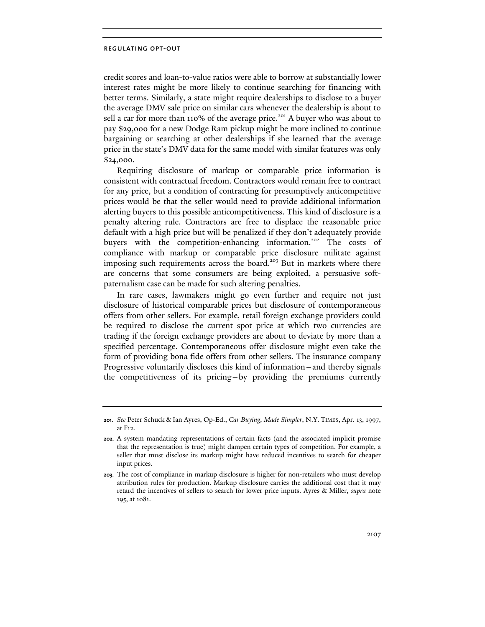credit scores and loan-to-value ratios were able to borrow at substantially lower interest rates might be more likely to continue searching for financing with better terms. Similarly, a state might require dealerships to disclose to a buyer the average DMV sale price on similar cars whenever the dealership is about to sell a car for more than 110% of the average price.<sup>201</sup> A buyer who was about to pay \$29,000 for a new Dodge Ram pickup might be more inclined to continue bargaining or searching at other dealerships if she learned that the average price in the state's DMV data for the same model with similar features was only \$24,000.

Requiring disclosure of markup or comparable price information is consistent with contractual freedom. Contractors would remain free to contract for any price, but a condition of contracting for presumptively anticompetitive prices would be that the seller would need to provide additional information alerting buyers to this possible anticompetitiveness. This kind of disclosure is a penalty altering rule. Contractors are free to displace the reasonable price default with a high price but will be penalized if they don't adequately provide buyers with the competition-enhancing information.<sup>202</sup> The costs of compliance with markup or comparable price disclosure militate against imposing such requirements across the board.<sup>203</sup> But in markets where there are concerns that some consumers are being exploited, a persuasive softpaternalism case can be made for such altering penalties.

In rare cases, lawmakers might go even further and require not just disclosure of historical comparable prices but disclosure of contemporaneous offers from other sellers. For example, retail foreign exchange providers could be required to disclose the current spot price at which two currencies are trading if the foreign exchange providers are about to deviate by more than a specified percentage. Contemporaneous offer disclosure might even take the form of providing bona fide offers from other sellers. The insurance company Progressive voluntarily discloses this kind of information—and thereby signals the competitiveness of its pricing—by providing the premiums currently

**<sup>201.</sup>** *See* Peter Schuck & Ian Ayres, Op-Ed., *Car Buying, Made Simpler*, N.Y. TIMES, Apr. 13, 1997, at F12.

**<sup>202.</sup>** A system mandating representations of certain facts (and the associated implicit promise that the representation is true) might dampen certain types of competition. For example, a seller that must disclose its markup might have reduced incentives to search for cheaper input prices.

**<sup>203.</sup>** The cost of compliance in markup disclosure is higher for non-retailers who must develop attribution rules for production. Markup disclosure carries the additional cost that it may retard the incentives of sellers to search for lower price inputs. Ayres & Miller, *supra* note 195, at 1081.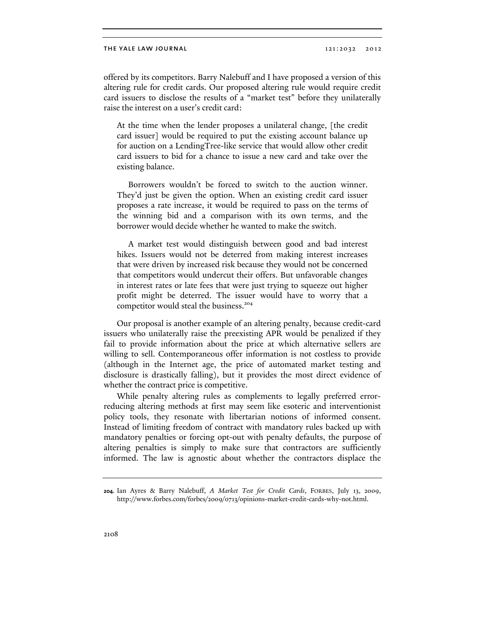offered by its competitors. Barry Nalebuff and I have proposed a version of this altering rule for credit cards. Our proposed altering rule would require credit card issuers to disclose the results of a "market test" before they unilaterally raise the interest on a user's credit card:

At the time when the lender proposes a unilateral change, [the credit card issuer] would be required to put the existing account balance up for auction on a LendingTree-like service that would allow other credit card issuers to bid for a chance to issue a new card and take over the existing balance.

 Borrowers wouldn't be forced to switch to the auction winner. They'd just be given the option. When an existing credit card issuer proposes a rate increase, it would be required to pass on the terms of the winning bid and a comparison with its own terms, and the borrower would decide whether he wanted to make the switch.

 A market test would distinguish between good and bad interest hikes. Issuers would not be deterred from making interest increases that were driven by increased risk because they would not be concerned that competitors would undercut their offers. But unfavorable changes in interest rates or late fees that were just trying to squeeze out higher profit might be deterred. The issuer would have to worry that a competitor would steal the business.<sup>204</sup>

Our proposal is another example of an altering penalty, because credit-card issuers who unilaterally raise the preexisting APR would be penalized if they fail to provide information about the price at which alternative sellers are willing to sell. Contemporaneous offer information is not costless to provide (although in the Internet age, the price of automated market testing and disclosure is drastically falling), but it provides the most direct evidence of whether the contract price is competitive.

While penalty altering rules as complements to legally preferred errorreducing altering methods at first may seem like esoteric and interventionist policy tools, they resonate with libertarian notions of informed consent. Instead of limiting freedom of contract with mandatory rules backed up with mandatory penalties or forcing opt-out with penalty defaults, the purpose of altering penalties is simply to make sure that contractors are sufficiently informed. The law is agnostic about whether the contractors displace the

**<sup>204.</sup>** Ian Ayres & Barry Nalebuff, *A Market Test for Credit Cards*, FORBES, July 13, 2009, http://www.forbes.com/forbes/2009/0713/opinions-market-credit-cards-why-not.html.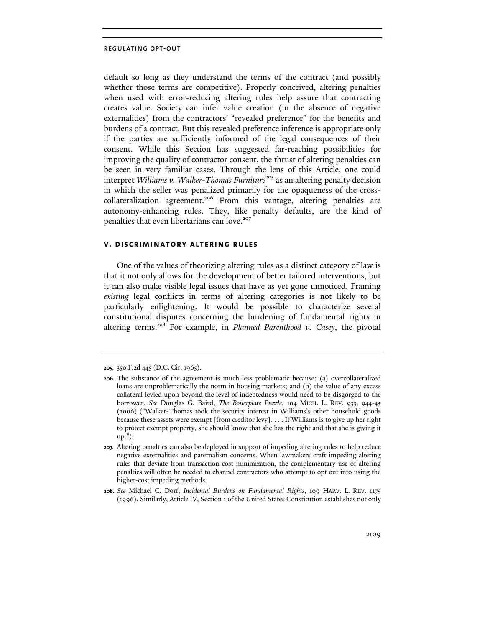default so long as they understand the terms of the contract (and possibly whether those terms are competitive). Properly conceived, altering penalties when used with error-reducing altering rules help assure that contracting creates value. Society can infer value creation (in the absence of negative externalities) from the contractors' "revealed preference" for the benefits and burdens of a contract. But this revealed preference inference is appropriate only if the parties are sufficiently informed of the legal consequences of their consent. While this Section has suggested far-reaching possibilities for improving the quality of contractor consent, the thrust of altering penalties can be seen in very familiar cases. Through the lens of this Article, one could interpret *Williams v. Walker-Thomas Furniture*<sup>205</sup> as an altering penalty decision in which the seller was penalized primarily for the opaqueness of the crosscollateralization agreement.<sup>206</sup> From this vantage, altering penalties are autonomy-enhancing rules. They, like penalty defaults, are the kind of penalties that even libertarians can love.<sup>207</sup>

# **v. discriminatory altering rules**

One of the values of theorizing altering rules as a distinct category of law is that it not only allows for the development of better tailored interventions, but it can also make visible legal issues that have as yet gone unnoticed. Framing *existing* legal conflicts in terms of altering categories is not likely to be particularly enlightening. It would be possible to characterize several constitutional disputes concerning the burdening of fundamental rights in altering terms.208 For example, in *Planned Parenthood v. Casey*, the pivotal

**208.** *See* Michael C. Dorf, *Incidental Burdens on Fundamental Rights*, 109 HARV. L. REV. 1175 (1996). Similarly, Article IV, Section 1 of the United States Constitution establishes not only

**<sup>205.</sup>** 350 F.2d 445 (D.C. Cir. 1965).

**<sup>206.</sup>** The substance of the agreement is much less problematic because: (a) overcollateralized loans are unproblematically the norm in housing markets; and (b) the value of any excess collateral levied upon beyond the level of indebtedness would need to be disgorged to the borrower. *See* Douglas G. Baird, *The Boilerplate Puzzle*, 104 MICH. L. REV. 933, 944-45 (2006) ("Walker-Thomas took the security interest in Williams's other household goods because these assets were exempt [from creditor levy]. . . . If Williams is to give up her right to protect exempt property, she should know that she has the right and that she is giving it up.").

**<sup>207.</sup>** Altering penalties can also be deployed in support of impeding altering rules to help reduce negative externalities and paternalism concerns. When lawmakers craft impeding altering rules that deviate from transaction cost minimization, the complementary use of altering penalties will often be needed to channel contractors who attempt to opt out into using the higher-cost impeding methods.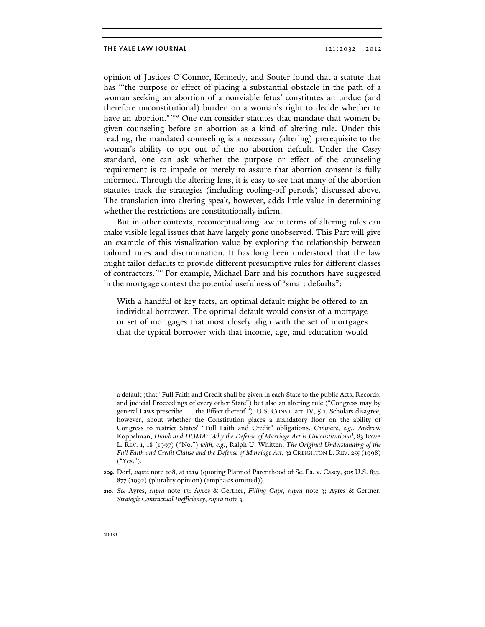opinion of Justices O'Connor, Kennedy, and Souter found that a statute that has "'the purpose or effect of placing a substantial obstacle in the path of a woman seeking an abortion of a nonviable fetus' constitutes an undue (and therefore unconstitutional) burden on a woman's right to decide whether to have an abortion."<sup>209</sup> One can consider statutes that mandate that women be given counseling before an abortion as a kind of altering rule. Under this reading, the mandated counseling is a necessary (altering) prerequisite to the woman's ability to opt out of the no abortion default. Under the *Casey* standard, one can ask whether the purpose or effect of the counseling requirement is to impede or merely to assure that abortion consent is fully informed. Through the altering lens, it is easy to see that many of the abortion statutes track the strategies (including cooling-off periods) discussed above. The translation into altering-speak, however, adds little value in determining whether the restrictions are constitutionally infirm.

But in other contexts, reconceptualizing law in terms of altering rules can make visible legal issues that have largely gone unobserved. This Part will give an example of this visualization value by exploring the relationship between tailored rules and discrimination. It has long been understood that the law might tailor defaults to provide different presumptive rules for different classes of contractors.<sup>210</sup> For example, Michael Barr and his coauthors have suggested in the mortgage context the potential usefulness of "smart defaults":

With a handful of key facts, an optimal default might be offered to an individual borrower. The optimal default would consist of a mortgage or set of mortgages that most closely align with the set of mortgages that the typical borrower with that income, age, and education would

a default (that "Full Faith and Credit shall be given in each State to the public Acts, Records, and judicial Proceedings of every other State") but also an altering rule ("Congress may by general Laws prescribe . . . the Effect thereof."). U.S. CONST. art. IV, § 1. Scholars disagree, however, about whether the Constitution places a mandatory floor on the ability of Congress to restrict States' "Full Faith and Credit" obligations. *Compare, e.g.*, Andrew Koppelman, *Dumb and DOMA: Why the Defense of Marriage Act is Unconstitutional*, 83 IOWA L. REV. 1, 18 (1997) ("No.") *with, e.g.*, Ralph U. Whitten, *The Original Understanding of the Full Faith and Credit Clause and the Defense of Marriage Act*, 32 CREIGHTON L. REV. 255 (1998) ("Yes.").

**<sup>209.</sup>** Dorf, *supra* note 208, at 1219 (quoting Planned Parenthood of Se. Pa. v. Casey, 505 U.S. 833, 877 (1992) (plurality opinion) (emphasis omitted)).

**<sup>210.</sup>** *See* Ayres, *supra* note 13; Ayres & Gertner, *Filling Gaps*, *supra* note 3; Ayres & Gertner, *Strategic Contractual Inefficiency*, *supra* note 3.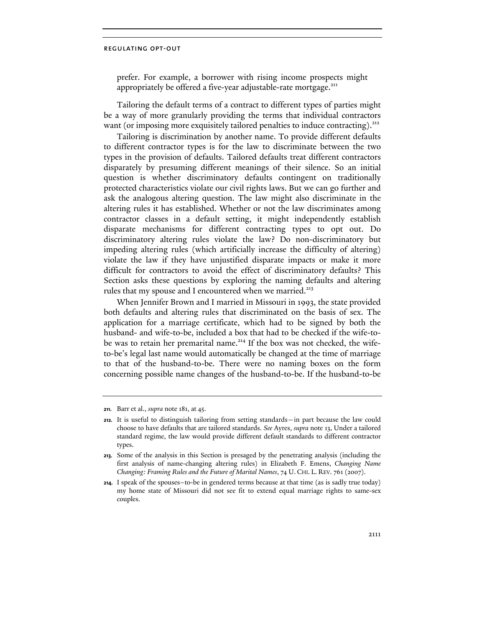prefer. For example, a borrower with rising income prospects might appropriately be offered a five-year adjustable-rate mortgage.<sup>211</sup>

Tailoring the default terms of a contract to different types of parties might be a way of more granularly providing the terms that individual contractors want (or imposing more exquisitely tailored penalties to induce contracting).<sup>212</sup>

Tailoring is discrimination by another name. To provide different defaults to different contractor types is for the law to discriminate between the two types in the provision of defaults. Tailored defaults treat different contractors disparately by presuming different meanings of their silence. So an initial question is whether discriminatory defaults contingent on traditionally protected characteristics violate our civil rights laws. But we can go further and ask the analogous altering question. The law might also discriminate in the altering rules it has established. Whether or not the law discriminates among contractor classes in a default setting, it might independently establish disparate mechanisms for different contracting types to opt out. Do discriminatory altering rules violate the law? Do non-discriminatory but impeding altering rules (which artificially increase the difficulty of altering) violate the law if they have unjustified disparate impacts or make it more difficult for contractors to avoid the effect of discriminatory defaults? This Section asks these questions by exploring the naming defaults and altering rules that my spouse and I encountered when we married.<sup>213</sup>

When Jennifer Brown and I married in Missouri in 1993, the state provided both defaults and altering rules that discriminated on the basis of sex. The application for a marriage certificate, which had to be signed by both the husband- and wife-to-be, included a box that had to be checked if the wife-tobe was to retain her premarital name.<sup>214</sup> If the box was not checked, the wifeto-be's legal last name would automatically be changed at the time of marriage to that of the husband-to-be. There were no naming boxes on the form concerning possible name changes of the husband-to-be. If the husband-to-be

**<sup>211.</sup>** Barr et al., *supra* note 181, at 45.

**<sup>212.</sup>** It is useful to distinguish tailoring from setting standards—in part because the law could choose to have defaults that are tailored standards. *See* Ayres, *supra* note 13. Under a tailored standard regime, the law would provide different default standards to different contractor types.

**<sup>213.</sup>** Some of the analysis in this Section is presaged by the penetrating analysis (including the first analysis of name-changing altering rules) in Elizabeth F. Emens, *Changing Name Changing: Framing Rules and the Future of Marital Names*, 74 U. CHI. L. REV. 761 (2007).

**<sup>214.</sup>** I speak of the spouses–to-be in gendered terms because at that time (as is sadly true today) my home state of Missouri did not see fit to extend equal marriage rights to same-sex couples.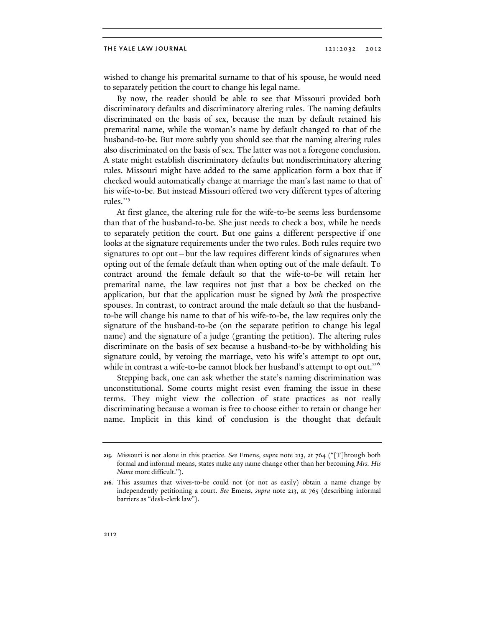wished to change his premarital surname to that of his spouse, he would need to separately petition the court to change his legal name.

By now, the reader should be able to see that Missouri provided both discriminatory defaults and discriminatory altering rules. The naming defaults discriminated on the basis of sex, because the man by default retained his premarital name, while the woman's name by default changed to that of the husband-to-be. But more subtly you should see that the naming altering rules also discriminated on the basis of sex. The latter was not a foregone conclusion. A state might establish discriminatory defaults but nondiscriminatory altering rules. Missouri might have added to the same application form a box that if checked would automatically change at marriage the man's last name to that of his wife-to-be. But instead Missouri offered two very different types of altering rules. $215$ 

At first glance, the altering rule for the wife-to-be seems less burdensome than that of the husband-to-be. She just needs to check a box, while he needs to separately petition the court. But one gains a different perspective if one looks at the signature requirements under the two rules. Both rules require two signatures to opt out—but the law requires different kinds of signatures when opting out of the female default than when opting out of the male default. To contract around the female default so that the wife-to-be will retain her premarital name, the law requires not just that a box be checked on the application, but that the application must be signed by *both* the prospective spouses. In contrast, to contract around the male default so that the husbandto-be will change his name to that of his wife-to-be, the law requires only the signature of the husband-to-be (on the separate petition to change his legal name) and the signature of a judge (granting the petition). The altering rules discriminate on the basis of sex because a husband-to-be by withholding his signature could, by vetoing the marriage, veto his wife's attempt to opt out, while in contrast a wife-to-be cannot block her husband's attempt to opt out.<sup>216</sup>

Stepping back, one can ask whether the state's naming discrimination was unconstitutional. Some courts might resist even framing the issue in these terms. They might view the collection of state practices as not really discriminating because a woman is free to choose either to retain or change her name. Implicit in this kind of conclusion is the thought that default

**<sup>215.</sup>** Missouri is not alone in this practice. *See* Emens, *supra* note 213, at 764 ("[T]hrough both formal and informal means, states make any name change other than her becoming *Mrs. His Name* more difficult.").

**<sup>216.</sup>** This assumes that wives-to-be could not (or not as easily) obtain a name change by independently petitioning a court. *See* Emens, *supra* note 213, at 765 (describing informal barriers as "desk-clerk law").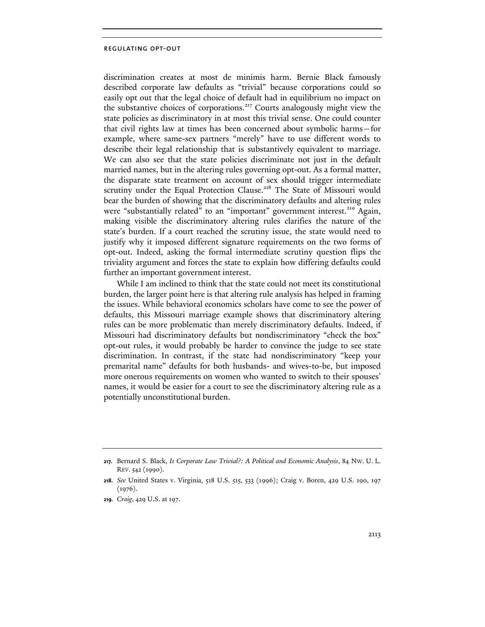discrimination creates at most de minimis harm. Bernie Black famously described corporate law defaults as "trivial" because corporations could so easily opt out that the legal choice of default had in equilibrium no impact on the substantive choices of corporations.<sup>217</sup> Courts analogously might view the state policies as discriminatory in at most this trivial sense. One could counter that civil rights law at times has been concerned about symbolic harms—for example, where same-sex partners "merely" have to use different words to describe their legal relationship that is substantively equivalent to marriage. We can also see that the state policies discriminate not just in the default married names, but in the altering rules governing opt-out. As a formal matter, the disparate state treatment on account of sex should trigger intermediate scrutiny under the Equal Protection Clause.<sup>218</sup> The State of Missouri would bear the burden of showing that the discriminatory defaults and altering rules were "substantially related" to an "important" government interest.<sup>219</sup> Again, making visible the discriminatory altering rules clarifies the nature of the state's burden. If a court reached the scrutiny issue, the state would need to justify why it imposed different signature requirements on the two forms of opt-out. Indeed, asking the formal intermediate scrutiny question flips the triviality argument and forces the state to explain how differing defaults could further an important government interest.

While I am inclined to think that the state could not meet its constitutional burden, the larger point here is that altering rule analysis has helped in framing the issues. While behavioral economics scholars have come to see the power of defaults, this Missouri marriage example shows that discriminatory altering rules can be more problematic than merely discriminatory defaults. Indeed, if Missouri had discriminatory defaults but nondiscriminatory "check the box" opt-out rules, it would probably be harder to convince the judge to see state discrimination. In contrast, if the state had nondiscriminatory "keep your premarital name" defaults for both husbands- and wives-to-be, but imposed more onerous requirements on women who wanted to switch to their spouses' names, it would be easier for a court to see the discriminatory altering rule as a potentially unconstitutional burden.

**<sup>217.</sup>** Bernard S. Black, *Is Corporate Law Trivial?: A Political and Economic Analysis*, 84 NW. U. L. REV. 542 (1990).

**<sup>218.</sup>** *See* United States v. Virginia, 518 U.S. 515, 533 (1996); Craig v. Boren, 429 U.S. 190, 197  $(1976).$ 

**<sup>219.</sup>** *Craig*, 429 U.S. at 197.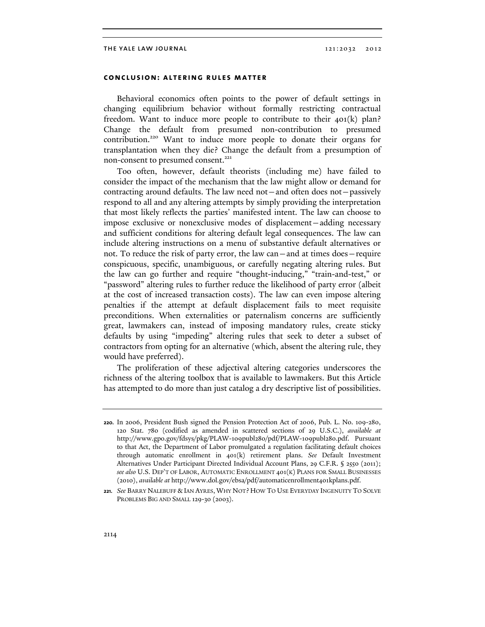# **conclusion: altering rules matter**

Behavioral economics often points to the power of default settings in changing equilibrium behavior without formally restricting contractual freedom. Want to induce more people to contribute to their 401(k) plan? Change the default from presumed non-contribution to presumed contribution.220 Want to induce more people to donate their organs for transplantation when they die? Change the default from a presumption of non-consent to presumed consent.<sup>221</sup>

Too often, however, default theorists (including me) have failed to consider the impact of the mechanism that the law might allow or demand for contracting around defaults. The law need not—and often does not—passively respond to all and any altering attempts by simply providing the interpretation that most likely reflects the parties' manifested intent. The law can choose to impose exclusive or nonexclusive modes of displacement—adding necessary and sufficient conditions for altering default legal consequences. The law can include altering instructions on a menu of substantive default alternatives or not. To reduce the risk of party error, the law can—and at times does—require conspicuous, specific, unambiguous, or carefully negating altering rules. But the law can go further and require "thought-inducing," "train-and-test," or "password" altering rules to further reduce the likelihood of party error (albeit at the cost of increased transaction costs). The law can even impose altering penalties if the attempt at default displacement fails to meet requisite preconditions. When externalities or paternalism concerns are sufficiently great, lawmakers can, instead of imposing mandatory rules, create sticky defaults by using "impeding" altering rules that seek to deter a subset of contractors from opting for an alternative (which, absent the altering rule, they would have preferred).

The proliferation of these adjectival altering categories underscores the richness of the altering toolbox that is available to lawmakers. But this Article has attempted to do more than just catalog a dry descriptive list of possibilities.

**<sup>220.</sup>** In 2006, President Bush signed the Pension Protection Act of 2006, Pub. L. No. 109-280, 120 Stat. 780 (codified as amended in scattered sections of 29 U.S.C.), *available at*  http://www.gpo.gov/fdsys/pkg/PLAW-109publ280/pdf/PLAW-109publ280.pdf. Pursuant to that Act, the Department of Labor promulgated a regulation facilitating default choices through automatic enrollment in 401(k) retirement plans. *See* Default Investment Alternatives Under Participant Directed Individual Account Plans, 29 C.F.R. § 2550 (2011); *see also* U.S. DEP'T OF LABOR, AUTOMATIC ENROLLMENT 401(K) PLANS FOR SMALL BUSINESSES (2010), *available at* http://www.dol.gov/ebsa/pdf/automaticenrollment401kplans.pdf.

**<sup>221.</sup>** *See* BARRY NALEBUFF & IAN AYRES, WHY NOT? HOW TO USE EVERYDAY INGENUITY TO SOLVE PROBLEMS BIG AND SMALL 129-30 (2003).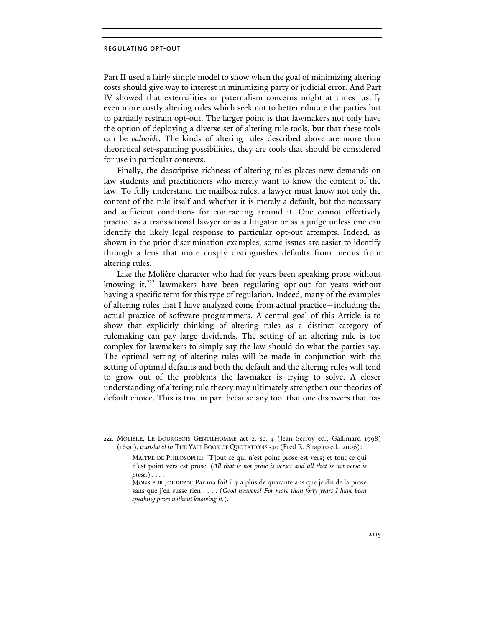Part II used a fairly simple model to show when the goal of minimizing altering costs should give way to interest in minimizing party or judicial error. And Part IV showed that externalities or paternalism concerns might at times justify even more costly altering rules which seek not to better educate the parties but to partially restrain opt-out. The larger point is that lawmakers not only have the option of deploying a diverse set of altering rule tools, but that these tools can be *valuable*. The kinds of altering rules described above are more than theoretical set-spanning possibilities, they are tools that should be considered for use in particular contexts.

Finally, the descriptive richness of altering rules places new demands on law students and practitioners who merely want to know the content of the law. To fully understand the mailbox rules, a lawyer must know not only the content of the rule itself and whether it is merely a default, but the necessary and sufficient conditions for contracting around it. One cannot effectively practice as a transactional lawyer or as a litigator or as a judge unless one can identify the likely legal response to particular opt-out attempts. Indeed, as shown in the prior discrimination examples, some issues are easier to identify through a lens that more crisply distinguishes defaults from menus from altering rules.

Like the Molière character who had for years been speaking prose without knowing it, $222$  lawmakers have been regulating opt-out for years without having a specific term for this type of regulation. Indeed, many of the examples of altering rules that I have analyzed come from actual practice—including the actual practice of software programmers. A central goal of this Article is to show that explicitly thinking of altering rules as a distinct category of rulemaking can pay large dividends. The setting of an altering rule is too complex for lawmakers to simply say the law should do what the parties say. The optimal setting of altering rules will be made in conjunction with the setting of optimal defaults and both the default and the altering rules will tend to grow out of the problems the lawmaker is trying to solve. A closer understanding of altering rule theory may ultimately strengthen our theories of default choice. This is true in part because any tool that one discovers that has

**<sup>222.</sup>** MOLIÈRE, LE BOURGEOIS GENTILHOMME act 2, sc. 4 (Jean Serroy ed., Gallimard 1998) (1690), *translated in* THE YALE BOOK OF QUOTATIONS 530 (Fred R. Shapiro ed., 2006):

MAITRE DE PHILOSOPHE: [T]out ce qui n'est point prose est vers; et tout ce qui n'est point vers est prose. (*All that is not prose is verse; and all that is not verse is prose.*) . . . .

MONSIEUR JOURDAN: Par ma foi! il y a plus de quarante ans que je dis de la prose sans que j'en susse rien . . . . (*Good heavens! For more than forty years I have been speaking prose without knowing it.*).